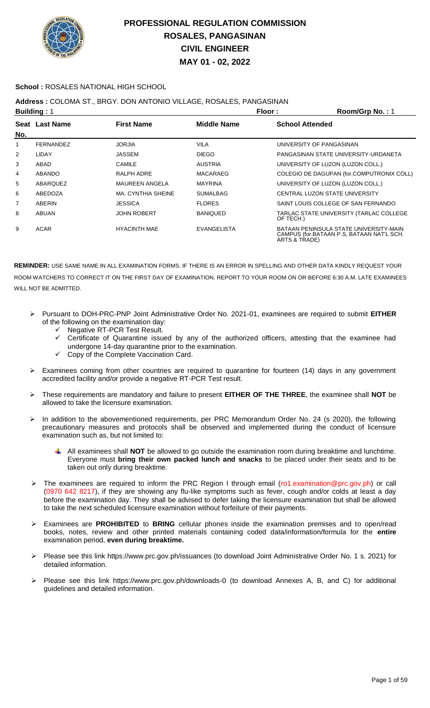

### **School :** ROSALES NATIONAL HIGH SCHOOL

### **Address :** COLOMA ST., BRGY. DON ANTONIO VILLAGE, ROSALES, PANGASINAN

|                | <b>Building: 1</b> |                       |                    |                        | Room/Grp No.: 1                                                                     |
|----------------|--------------------|-----------------------|--------------------|------------------------|-------------------------------------------------------------------------------------|
| No.            | Seat Last Name     | <b>First Name</b>     | <b>Middle Name</b> | <b>School Attended</b> |                                                                                     |
| 1              | <b>FERNANDEZ</b>   | <b>JORJIA</b>         | <b>VILA</b>        |                        | UNIVERSITY OF PANGASINAN                                                            |
| $\overline{2}$ | LIDAY              | <b>JASSEM</b>         | <b>DIEGO</b>       |                        | PANGASINAN STATE UNIVERSITY-URDANETA                                                |
| 3              | ABAD               | CAMILE                | <b>AUSTRIA</b>     |                        | UNIVERSITY OF LUZON (LUZON COLL.)                                                   |
| 4              | <b>ABANDO</b>      | RALPH ADRE            | <b>MACARAEG</b>    |                        | COLEGIO DE DAGUPAN (for.COMPUTRONIX COLL)                                           |
| 5              | ABARQUEZ           | <b>MAUREEN ANGELA</b> | <b>MAYRINA</b>     |                        | UNIVERSITY OF LUZON (LUZON COLL.)                                                   |
| 6              | ABEDOZA            | MA, CYNTHIA SHEINE    | <b>SUMALBAG</b>    |                        | CENTRAL LUZON STATE UNIVERSITY                                                      |
| $\overline{7}$ | ABERIN             | <b>JESSICA</b>        | <b>FLORES</b>      |                        | SAINT LOUIS COLLEGE OF SAN FERNANDO                                                 |
| 8              | ABUAN              | <b>JOHN ROBERT</b>    | <b>BANIQUED</b>    | OF TECH.)              | TARLAC STATE UNIVERSITY (TARLAC COLLEGE                                             |
| 9              | <b>ACAR</b>        | <b>HYACINTH MAE</b>   | <b>EVANGELISTA</b> | ARTS & TRADE)          | BATAAN PENINSULA STATE UNIVERSITY-MAIN<br>CAMPUS (for.BATAAN P.S. BATAAN NAT'L SCH. |

- Pursuant to DOH-PRC-PNP Joint Administrative Order No. 2021-01, examinees are required to submit **EITHER** of the following on the examination day:
	- $\checkmark$  Negative RT-PCR Test Result.
	- Certificate of Quarantine issued by any of the authorized officers, attesting that the examinee had undergone 14-day quarantine prior to the examination.
	- Copy of the Complete Vaccination Card.
- Examinees coming from other countries are required to quarantine for fourteen (14) days in any government accredited facility and/or provide a negative RT-PCR Test result.
- These requirements are mandatory and failure to present **EITHER OF THE THREE**, the examinee shall **NOT** be allowed to take the licensure examination.
- > In addition to the abovementioned requirements, per PRC Memorandum Order No. 24 (s 2020), the following precautionary measures and protocols shall be observed and implemented during the conduct of licensure examination such as, but not limited to:
	- All examinees shall **NOT** be allowed to go outside the examination room during breaktime and lunchtime. Everyone must **bring their own packed lunch and snacks** to be placed under their seats and to be taken out only during breaktime.
- The examinees are required to inform the PRC Region I through email (ro1.examination@prc.gov.ph) or call (0970 642 8217), if they are showing any flu-like symptoms such as fever, cough and/or colds at least a day before the examination day. They shall be advised to defer taking the licensure examination but shall be allowed to take the next scheduled licensure examination without forfeiture of their payments.
- Examinees are **PROHIBITED** to **BRING** cellular phones inside the examination premises and to open/read books, notes, review and other printed materials containing coded data/information/formula for the **entire** examination period, **even during breaktime.**
- Please see this link https://www.prc.gov.ph/issuances (to download Joint Administrative Order No. 1 s. 2021) for detailed information.
- Please see this link https://www.prc.gov.ph/downloads-0 (to download Annexes A, B, and C) for additional guidelines and detailed information.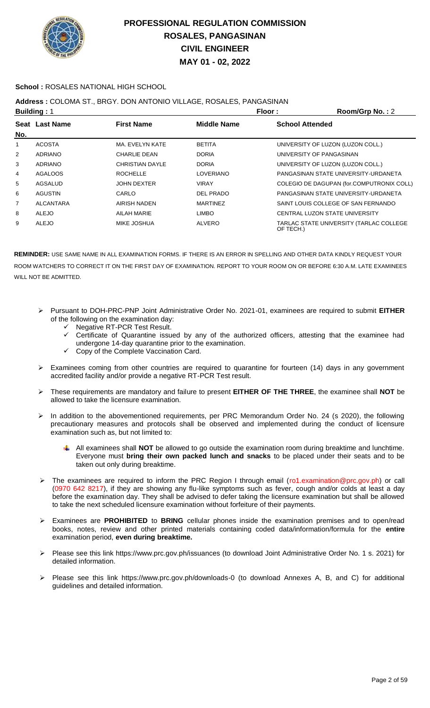

### **School :** ROSALES NATIONAL HIGH SCHOOL

### **Address :** COLOMA ST., BRGY. DON ANTONIO VILLAGE, ROSALES, PANGASINAN

|                | <b>Building: 1</b> |                        |                  | Floor:                 | Room/Grp No.: 2                           |
|----------------|--------------------|------------------------|------------------|------------------------|-------------------------------------------|
|                | Seat Last Name     | <b>First Name</b>      | Middle Name      | <b>School Attended</b> |                                           |
| No.            |                    |                        |                  |                        |                                           |
| 1              | <b>ACOSTA</b>      | MA. EVELYN KATE        | <b>BETITA</b>    |                        | UNIVERSITY OF LUZON (LUZON COLL.)         |
| $\overline{2}$ | <b>ADRIANO</b>     | CHARLIE DEAN           | <b>DORIA</b>     |                        | UNIVERSITY OF PANGASINAN                  |
| 3              | ADRIANO            | <b>CHRISTIAN DAYLE</b> | <b>DORIA</b>     |                        | UNIVERSITY OF LUZON (LUZON COLL.)         |
| 4              | <b>AGALOOS</b>     | <b>ROCHELLE</b>        | <b>LOVERIANO</b> |                        | PANGASINAN STATE UNIVERSITY-URDANETA      |
| 5              | AGSALUD            | <b>JOHN DEXTER</b>     | <b>VIRAY</b>     |                        | COLEGIO DE DAGUPAN (for.COMPUTRONIX COLL) |
| 6              | <b>AGUSTIN</b>     | CARLO                  | DEL PRADO        |                        | PANGASINAN STATE UNIVERSITY-URDANETA      |
| $\overline{7}$ | <b>ALCANTARA</b>   | AIRISH NADEN           | <b>MARTINEZ</b>  |                        | SAINT LOUIS COLLEGE OF SAN FERNANDO       |
| 8              | ALEJO              | AILAH MARIE            | LIMBO            |                        | CENTRAL LUZON STATE UNIVERSITY            |
| 9              | <b>ALEJO</b>       | <b>MIKE JOSHUA</b>     | <b>ALVERO</b>    | OF TECH.)              | TARLAC STATE UNIVERSITY (TARLAC COLLEGE   |

- Pursuant to DOH-PRC-PNP Joint Administrative Order No. 2021-01, examinees are required to submit **EITHER** of the following on the examination day:
	- Son and BASIT Result.<br>V Negative RT-PCR Test Result.<br>V Certificate of C
	- Certificate of Quarantine issued by any of the authorized officers, attesting that the examinee had undergone 14-day quarantine prior to the examination.
	- $\checkmark$  Copy of the Complete Vaccination Card.
- Examinees coming from other countries are required to quarantine for fourteen (14) days in any government accredited facility and/or provide a negative RT-PCR Test result.
- These requirements are mandatory and failure to present **EITHER OF THE THREE**, the examinee shall **NOT** be allowed to take the licensure examination.
- In addition to the abovementioned requirements, per PRC Memorandum Order No. 24 (s 2020), the following precautionary measures and protocols shall be observed and implemented during the conduct of licensure examination such as, but not limited to:
	- All examinees shall **NOT** be allowed to go outside the examination room during breaktime and lunchtime. Everyone must **bring their own packed lunch and snacks** to be placed under their seats and to be taken out only during breaktime.
- The examinees are required to inform the PRC Region I through email (ro1.examination@prc.gov.ph) or call (0970 642 8217), if they are showing any flu-like symptoms such as fever, cough and/or colds at least a day before the examination day. They shall be advised to defer taking the licensure examination but shall be allowed to take the next scheduled licensure examination without forfeiture of their payments.
- Examinees are **PROHIBITED** to **BRING** cellular phones inside the examination premises and to open/read books, notes, review and other printed materials containing coded data/information/formula for the **entire** examination period, **even during breaktime.**
- Please see this link https://www.prc.gov.ph/issuances (to download Joint Administrative Order No. 1 s. 2021) for detailed information.
- Please see this link https://www.prc.gov.ph/downloads-0 (to download Annexes A, B, and C) for additional guidelines and detailed information.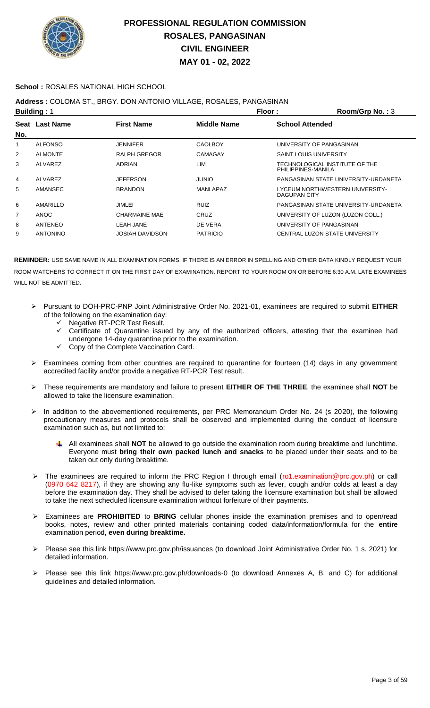

### **School :** ROSALES NATIONAL HIGH SCHOOL

## **Address :** COLOMA ST., BRGY. DON ANTONIO VILLAGE, ROSALES, PANGASINAN

|     | <b>Building: 1</b> |                        | Floor:             | Room/Grp No.: 3                                        |
|-----|--------------------|------------------------|--------------------|--------------------------------------------------------|
| No. | Seat Last Name     | <b>First Name</b>      | <b>Middle Name</b> | <b>School Attended</b>                                 |
| 1   | <b>ALFONSO</b>     | <b>JENNIFER</b>        | <b>CAOLBOY</b>     | UNIVERSITY OF PANGASINAN                               |
| 2   | <b>ALMONTE</b>     | <b>RALPH GREGOR</b>    | CAMAGAY            | <b>SAINT LOUIS UNIVERSITY</b>                          |
| 3   | ALVAREZ            | <b>ADRIAN</b>          | LIM                | TECHNOLOGICAL INSTITUTE OF THE<br>PHILIPPINES-MANILA   |
| 4   | ALVAREZ            | JEFERSON               | <b>OINIU</b>       | PANGASINAN STATE UNIVERSITY-URDANETA                   |
| 5   | AMANSEC            | <b>BRANDON</b>         | MANLAPAZ           | LYCEUM NORTHWESTERN UNIVERSITY-<br><b>DAGUPAN CITY</b> |
| 6   | AMARILLO           | JIMLEI                 | RUIZ               | PANGASINAN STATE UNIVERSITY-URDANETA                   |
| 7   | <b>ANOC</b>        | <b>CHARMAINE MAE</b>   | CRUZ               | UNIVERSITY OF LUZON (LUZON COLL.)                      |
| 8   | ANTENEO            | LEAH JANE              | DE VERA            | UNIVERSITY OF PANGASINAN                               |
| 9   | <b>ANTONINO</b>    | <b>JOSIAH DAVIDSON</b> | <b>PATRICIO</b>    | CENTRAL LUZON STATE UNIVERSITY                         |

- Pursuant to DOH-PRC-PNP Joint Administrative Order No. 2021-01, examinees are required to submit **EITHER** of the following on the examination day:
	- Negative RT-PCR Test Result.
	- Certificate of Quarantine issued by any of the authorized officers, attesting that the examinee had undergone 14-day quarantine prior to the examination.
	- Copy of the Complete Vaccination Card.
- $\triangleright$  Examinees coming from other countries are required to quarantine for fourteen (14) days in any government accredited facility and/or provide a negative RT-PCR Test result.
- These requirements are mandatory and failure to present **EITHER OF THE THREE**, the examinee shall **NOT** be allowed to take the licensure examination.
- > In addition to the abovementioned requirements, per PRC Memorandum Order No. 24 (s 2020), the following precautionary measures and protocols shall be observed and implemented during the conduct of licensure examination such as, but not limited to:
	- All examinees shall **NOT** be allowed to go outside the examination room during breaktime and lunchtime. Everyone must **bring their own packed lunch and snacks** to be placed under their seats and to be taken out only during breaktime.
- > The examinees are required to inform the PRC Region I through email (ro1.examination@prc.gov.ph) or call (0970 642 8217), if they are showing any flu-like symptoms such as fever, cough and/or colds at least a day before the examination day. They shall be advised to defer taking the licensure examination but shall be allowed to take the next scheduled licensure examination without forfeiture of their payments.
- Examinees are **PROHIBITED** to **BRING** cellular phones inside the examination premises and to open/read books, notes, review and other printed materials containing coded data/information/formula for the **entire** examination period, **even during breaktime.**
- Please see this link https://www.prc.gov.ph/issuances (to download Joint Administrative Order No. 1 s. 2021) for detailed information.
- Please see this link https://www.prc.gov.ph/downloads-0 (to download Annexes A, B, and C) for additional guidelines and detailed information.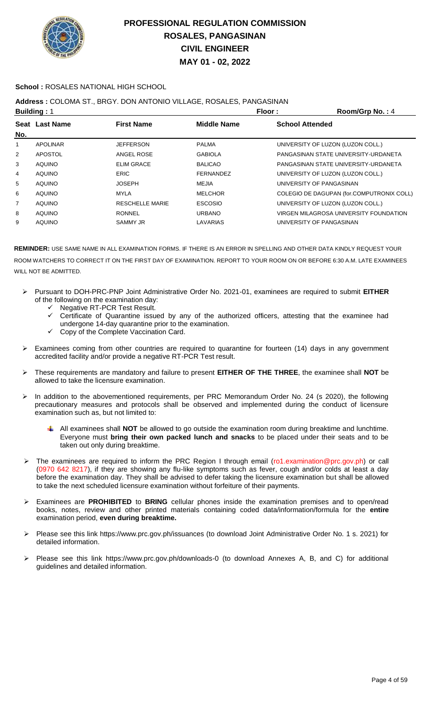

### **School :** ROSALES NATIONAL HIGH SCHOOL

### **Address :** COLOMA ST., BRGY. DON ANTONIO VILLAGE, ROSALES, PANGASINAN

|     | <b>Building: 1</b> |                        | Floor:             | Room/Grp No.: 4                           |
|-----|--------------------|------------------------|--------------------|-------------------------------------------|
|     | Seat Last Name     | <b>First Name</b>      | <b>Middle Name</b> | <b>School Attended</b>                    |
| No. |                    |                        |                    |                                           |
| 1   | <b>APOLINAR</b>    | <b>JEFFERSON</b>       | <b>PALMA</b>       | UNIVERSITY OF LUZON (LUZON COLL.)         |
| 2   | <b>APOSTOL</b>     | ANGEL ROSE             | <b>GABIOLA</b>     | PANGASINAN STATE UNIVERSITY-URDANETA      |
| 3   | <b>AQUINO</b>      | <b>ELIM GRACE</b>      | <b>BALICAO</b>     | PANGASINAN STATE UNIVERSITY-URDANETA      |
| 4   | <b>AQUINO</b>      | <b>ERIC</b>            | <b>FERNANDEZ</b>   | UNIVERSITY OF LUZON (LUZON COLL.)         |
| 5   | <b>AQUINO</b>      | <b>JOSEPH</b>          | MEJIA              | UNIVERSITY OF PANGASINAN                  |
| 6   | <b>AQUINO</b>      | MYLA                   | <b>MELCHOR</b>     | COLEGIO DE DAGUPAN (for.COMPUTRONIX COLL) |
| 7   | <b>AQUINO</b>      | <b>RESCHELLE MARIE</b> | <b>ESCOSIO</b>     | UNIVERSITY OF LUZON (LUZON COLL.)         |
| 8   | <b>AQUINO</b>      | <b>RONNEL</b>          | <b>URBANO</b>      | VIRGEN MILAGROSA UNIVERSITY FOUNDATION    |
| 9   | <b>AQUINO</b>      | <b>SAMMY JR</b>        | <b>LAVARIAS</b>    | UNIVERSITY OF PANGASINAN                  |
|     |                    |                        |                    |                                           |

- Pursuant to DOH-PRC-PNP Joint Administrative Order No. 2021-01, examinees are required to submit **EITHER** of the following on the examination day:
	- V Negative RT-PCR Test Result.<br>V Certificate of Quarantine issue
	- Certificate of Quarantine issued by any of the authorized officers, attesting that the examinee had undergone 14-day quarantine prior to the examination.
	- $\checkmark$  Copy of the Complete Vaccination Card.
- Examinees coming from other countries are required to quarantine for fourteen (14) days in any government accredited facility and/or provide a negative RT-PCR Test result.
- These requirements are mandatory and failure to present **EITHER OF THE THREE**, the examinee shall **NOT** be allowed to take the licensure examination.
- > In addition to the abovementioned requirements, per PRC Memorandum Order No. 24 (s 2020), the following precautionary measures and protocols shall be observed and implemented during the conduct of licensure examination such as, but not limited to:
	- All examinees shall **NOT** be allowed to go outside the examination room during breaktime and lunchtime. Everyone must **bring their own packed lunch and snacks** to be placed under their seats and to be taken out only during breaktime.
- > The examinees are required to inform the PRC Region I through email (ro1.examination@prc.gov.ph) or call (0970 642 8217), if they are showing any flu-like symptoms such as fever, cough and/or colds at least a day before the examination day. They shall be advised to defer taking the licensure examination but shall be allowed to take the next scheduled licensure examination without forfeiture of their payments.
- Examinees are **PROHIBITED** to **BRING** cellular phones inside the examination premises and to open/read books, notes, review and other printed materials containing coded data/information/formula for the **entire** examination period, **even during breaktime.**
- Please see this link https://www.prc.gov.ph/issuances (to download Joint Administrative Order No. 1 s. 2021) for detailed information.
- Please see this link https://www.prc.gov.ph/downloads-0 (to download Annexes A, B, and C) for additional guidelines and detailed information.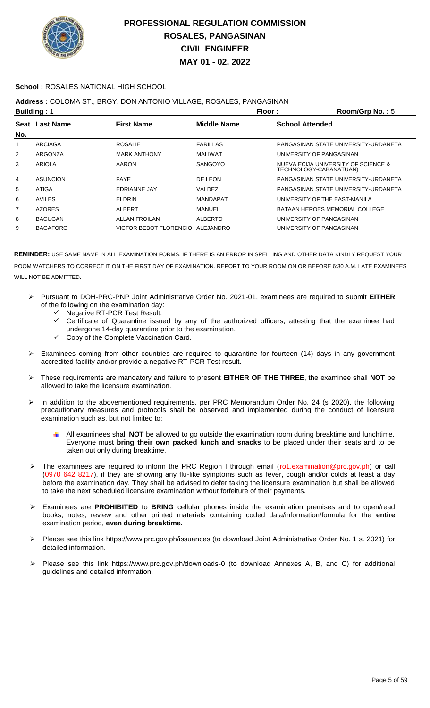

### **School :** ROSALES NATIONAL HIGH SCHOOL

## **Address :** COLOMA ST., BRGY. DON ANTONIO VILLAGE, ROSALES, PANGASINAN

|                 |                                      |                 | Floor:                           | Room/Grp No.: 5                      |
|-----------------|--------------------------------------|-----------------|----------------------------------|--------------------------------------|
|                 | <b>First Name</b>                    | Middle Name     | <b>School Attended</b>           |                                      |
|                 |                                      |                 |                                  |                                      |
| ARCIAGA         | <b>ROSALIE</b>                       | <b>FARILLAS</b> |                                  | PANGASINAN STATE UNIVERSITY-URDANETA |
| ARGONZA         | <b>MARK ANTHONY</b>                  | <b>MALIWAT</b>  | UNIVERSITY OF PANGASINAN         |                                      |
| ARIOLA          | AARON                                | <b>SANGOYO</b>  | TECHNOLOGY-CABANATUAN)           | NUEVA ECIJA UNIVERSITY OF SCIENCE &  |
| <b>ASUNCION</b> | <b>FAYE</b>                          | DE LEON         |                                  | PANGASINAN STATE UNIVERSITY-URDANETA |
| ATIGA           | <b>EDRIANNE JAY</b>                  | VALDEZ          |                                  | PANGASINAN STATE UNIVERSITY-URDANETA |
| <b>AVILES</b>   | <b>ELDRIN</b>                        | <b>MANDAPAT</b> |                                  | UNIVERSITY OF THE EAST-MANILA        |
| <b>AZORES</b>   | <b>ALBERT</b>                        | MANUEL          |                                  | BATAAN HEROES MEMORIAL COLLEGE       |
| <b>BACUGAN</b>  | <b>ALLAN FROILAN</b>                 | <b>ALBERTO</b>  | UNIVERSITY OF PANGASINAN         |                                      |
| <b>BAGAFORO</b> |                                      |                 | UNIVERSITY OF PANGASINAN         |                                      |
|                 | <b>Building: 1</b><br>Seat Last Name |                 | VICTOR BEBOT FLORENCIO ALEJANDRO |                                      |

- Pursuant to DOH-PRC-PNP Joint Administrative Order No. 2021-01, examinees are required to submit **EITHER** of the following on the examination day:
	- Negative RT-PCR Test Result.
	- Certificate of Quarantine issued by any of the authorized officers, attesting that the examinee had undergone 14-day quarantine prior to the examination.
	- Copy of the Complete Vaccination Card.
- Examinees coming from other countries are required to quarantine for fourteen (14) days in any government accredited facility and/or provide a negative RT-PCR Test result.
- These requirements are mandatory and failure to present **EITHER OF THE THREE**, the examinee shall **NOT** be allowed to take the licensure examination.
- > In addition to the abovementioned requirements, per PRC Memorandum Order No. 24 (s 2020), the following precautionary measures and protocols shall be observed and implemented during the conduct of licensure examination such as, but not limited to:
	- All examinees shall **NOT** be allowed to go outside the examination room during breaktime and lunchtime. Everyone must **bring their own packed lunch and snacks** to be placed under their seats and to be taken out only during breaktime.
- ▶ The examinees are required to inform the PRC Region I through email (ro1.examination@prc.gov.ph) or call (0970 642 8217), if they are showing any flu-like symptoms such as fever, cough and/or colds at least a day before the examination day. They shall be advised to defer taking the licensure examination but shall be allowed to take the next scheduled licensure examination without forfeiture of their payments.
- Examinees are **PROHIBITED** to **BRING** cellular phones inside the examination premises and to open/read books, notes, review and other printed materials containing coded data/information/formula for the **entire** examination period, **even during breaktime.**
- Please see this link https://www.prc.gov.ph/issuances (to download Joint Administrative Order No. 1 s. 2021) for detailed information.
- Please see this link https://www.prc.gov.ph/downloads-0 (to download Annexes A, B, and C) for additional guidelines and detailed information.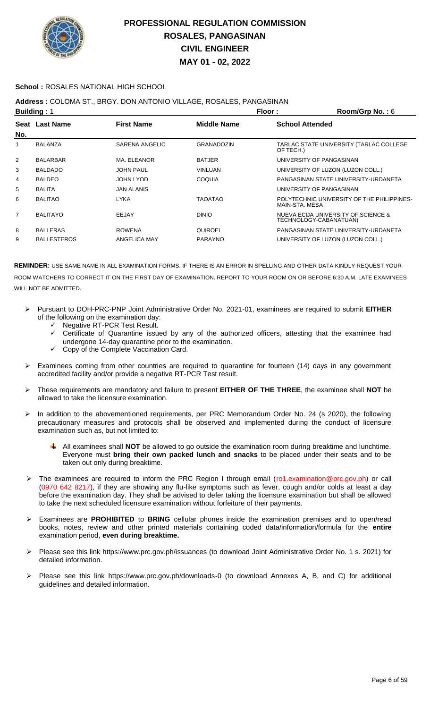

### **School :** ROSALES NATIONAL HIGH SCHOOL

### **Address :** COLOMA ST., BRGY. DON ANTONIO VILLAGE, ROSALES, PANGASINAN

|                | <b>Building: 1</b>    |                   | Floor:             | Room/Grp No.: $6$                                             |
|----------------|-----------------------|-------------------|--------------------|---------------------------------------------------------------|
|                | <b>Seat Last Name</b> | <b>First Name</b> | <b>Middle Name</b> | <b>School Attended</b>                                        |
| No.            |                       |                   |                    |                                                               |
| 1              | <b>BALANZA</b>        | SARENA ANGELIC    | <b>GRANADOZIN</b>  | TARLAC STATE UNIVERSITY (TARLAC COLLEGE<br>OF TECH.)          |
| 2              | <b>BALARBAR</b>       | MA. ELEANOR       | <b>BATJER</b>      | UNIVERSITY OF PANGASINAN                                      |
| 3              | <b>BALDADO</b>        | <b>JOHN PAUL</b>  | <b>VINLUAN</b>     | UNIVERSITY OF LUZON (LUZON COLL.)                             |
| 4              | <b>BALDEO</b>         | JOHN LYOD         | <b>COQUIA</b>      | PANGASINAN STATE UNIVERSITY-URDANETA                          |
| 5              | <b>BALITA</b>         | <b>JAN ALANIS</b> |                    | UNIVERSITY OF PANGASINAN                                      |
| 6              | <b>BALITAO</b>        | <b>LYKA</b>       | <b>TAOATAO</b>     | POLYTECHNIC UNIVERSITY OF THE PHILIPPINES-<br>MAIN-STA, MESA  |
| $\overline{7}$ | <b>BALITAYO</b>       | EEJAY             | <b>DINIO</b>       | NUEVA ECIJA UNIVERSITY OF SCIENCE &<br>TECHNOLOGY-CABANATUAN) |
| 8              | <b>BALLERAS</b>       | <b>ROWENA</b>     | <b>QUIROEL</b>     | PANGASINAN STATE UNIVERSITY-URDANETA                          |
| 9              | <b>BALLESTEROS</b>    | ANGELICA MAY      | <b>PARAYNO</b>     | UNIVERSITY OF LUZON (LUZON COLL.)                             |
|                |                       |                   |                    |                                                               |

- Pursuant to DOH-PRC-PNP Joint Administrative Order No. 2021-01, examinees are required to submit **EITHER** of the following on the examination day:
	- Negative RT-PCR Test Result.
	- Certificate of Quarantine issued by any of the authorized officers, attesting that the examinee had undergone 14-day quarantine prior to the examination.
	- Copy of the Complete Vaccination Card.
- Examinees coming from other countries are required to quarantine for fourteen (14) days in any government accredited facility and/or provide a negative RT-PCR Test result.
- These requirements are mandatory and failure to present **EITHER OF THE THREE**, the examinee shall **NOT** be allowed to take the licensure examination.
- In addition to the abovementioned requirements, per PRC Memorandum Order No. 24 (s 2020), the following precautionary measures and protocols shall be observed and implemented during the conduct of licensure examination such as, but not limited to:
	- All examinees shall **NOT** be allowed to go outside the examination room during breaktime and lunchtime. Everyone must **bring their own packed lunch and snacks** to be placed under their seats and to be taken out only during breaktime.
- The examinees are required to inform the PRC Region I through email (ro1.examination@prc.gov.ph) or call (0970 642 8217), if they are showing any flu-like symptoms such as fever, cough and/or colds at least a day before the examination day. They shall be advised to defer taking the licensure examination but shall be allowed to take the next scheduled licensure examination without forfeiture of their payments.
- Examinees are **PROHIBITED** to **BRING** cellular phones inside the examination premises and to open/read books, notes, review and other printed materials containing coded data/information/formula for the **entire** examination period, **even during breaktime.**
- Please see this link https://www.prc.gov.ph/issuances (to download Joint Administrative Order No. 1 s. 2021) for detailed information.
- Please see this link https://www.prc.gov.ph/downloads-0 (to download Annexes A, B, and C) for additional guidelines and detailed information.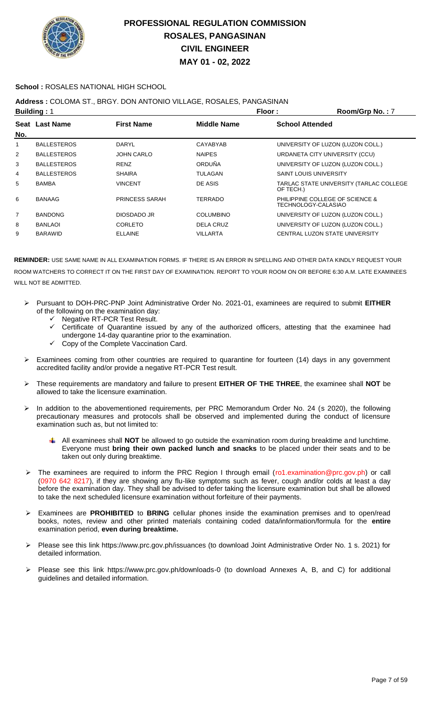

### **School :** ROSALES NATIONAL HIGH SCHOOL

### **Address :** COLOMA ST., BRGY. DON ANTONIO VILLAGE, ROSALES, PANGASINAN

|                | <b>Building: 1</b> |                       | Floor:             | Room/Grp No.: 7                                        |
|----------------|--------------------|-----------------------|--------------------|--------------------------------------------------------|
| No.            | Seat Last Name     | <b>First Name</b>     | <b>Middle Name</b> | <b>School Attended</b>                                 |
|                | <b>BALLESTEROS</b> | <b>DARYL</b>          | CAYABYAB           | UNIVERSITY OF LUZON (LUZON COLL.)                      |
| $\overline{2}$ | <b>BALLESTEROS</b> | <b>JOHN CARLO</b>     | <b>NAIPES</b>      | URDANETA CITY UNIVERSITY (CCU)                         |
| 3              | <b>BALLESTEROS</b> | <b>RENZ</b>           | ORDUÑA             | UNIVERSITY OF LUZON (LUZON COLL.)                      |
| 4              | <b>BALLESTEROS</b> | <b>SHAIRA</b>         | <b>TULAGAN</b>     | <b>SAINT LOUIS UNIVERSITY</b>                          |
| 5              | <b>BAMBA</b>       | <b>VINCENT</b>        | DE ASIS            | TARLAC STATE UNIVERSITY (TARLAC COLLEGE<br>OF TECH.)   |
| 6              | <b>BANAAG</b>      | <b>PRINCESS SARAH</b> | TERRADO            | PHILIPPINE COLLEGE OF SCIENCE &<br>TECHNOLOGY-CALASIAO |
| 7              | <b>BANDONG</b>     | DIOSDADO JR           | <b>COLUMBINO</b>   | UNIVERSITY OF LUZON (LUZON COLL.)                      |
| 8              | <b>BANLAOI</b>     | CORLETO               | DELA CRUZ          | UNIVERSITY OF LUZON (LUZON COLL.)                      |
| 9              | <b>BARAWID</b>     | <b>ELLAINE</b>        | <b>VILLARTA</b>    | CENTRAL LUZON STATE UNIVERSITY                         |
|                |                    |                       |                    |                                                        |

- Pursuant to DOH-PRC-PNP Joint Administrative Order No. 2021-01, examinees are required to submit **EITHER** of the following on the examination day:
	- ← Negative RT-PCR Test Result.
	- Certificate of Quarantine issued by any of the authorized officers, attesting that the examinee had undergone 14-day quarantine prior to the examination.
	- $\checkmark$  Copy of the Complete Vaccination Card.
- Examinees coming from other countries are required to quarantine for fourteen (14) days in any government accredited facility and/or provide a negative RT-PCR Test result.
- These requirements are mandatory and failure to present **EITHER OF THE THREE**, the examinee shall **NOT** be allowed to take the licensure examination.
- > In addition to the abovementioned requirements, per PRC Memorandum Order No. 24 (s 2020), the following precautionary measures and protocols shall be observed and implemented during the conduct of licensure examination such as, but not limited to:
	- All examinees shall **NOT** be allowed to go outside the examination room during breaktime and lunchtime. Everyone must **bring their own packed lunch and snacks** to be placed under their seats and to be taken out only during breaktime.
- The examinees are required to inform the PRC Region I through email (ro1.examination@prc.gov.ph) or call (0970 642 8217), if they are showing any flu-like symptoms such as fever, cough and/or colds at least a day before the examination day. They shall be advised to defer taking the licensure examination but shall be allowed to take the next scheduled licensure examination without forfeiture of their payments.
- Examinees are **PROHIBITED** to **BRING** cellular phones inside the examination premises and to open/read books, notes, review and other printed materials containing coded data/information/formula for the **entire** examination period, **even during breaktime.**
- Please see this link https://www.prc.gov.ph/issuances (to download Joint Administrative Order No. 1 s. 2021) for detailed information.
- Please see this link https://www.prc.gov.ph/downloads-0 (to download Annexes A, B, and C) for additional guidelines and detailed information.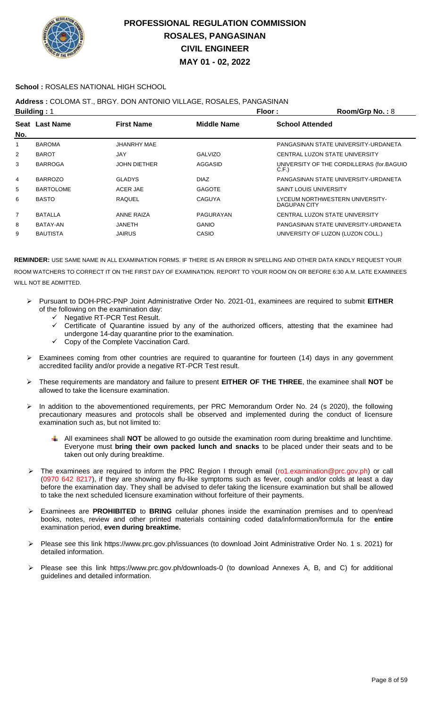

### **School :** ROSALES NATIONAL HIGH SCHOOL

**Address :** COLOMA ST., BRGY. DON ANTONIO VILLAGE, ROSALES, PANGASINAN

|                | <b>Building: 1</b> |                     | Floor:             | Room/Grp No.: 8                                   |
|----------------|--------------------|---------------------|--------------------|---------------------------------------------------|
| No.            | Seat Last Name     | <b>First Name</b>   | <b>Middle Name</b> | <b>School Attended</b>                            |
| 1              | <b>BAROMA</b>      | JHANRHY MAE         |                    | PANGASINAN STATE UNIVERSITY-URDANETA              |
| 2              | <b>BAROT</b>       | JAY                 | <b>GALVIZO</b>     | CENTRAL LUZON STATE UNIVERSITY                    |
| 3              | <b>BARROGA</b>     | <b>JOHN DIETHER</b> | AGGASID            | UNIVERSITY OF THE CORDILLERAS (for BAGUIO<br>C.F. |
| 4              | <b>BARROZO</b>     | <b>GLADYS</b>       | <b>DIAZ</b>        | PANGASINAN STATE UNIVERSITY-URDANETA              |
| 5              | <b>BARTOLOME</b>   | ACER JAE            | <b>GAGOTE</b>      | <b>SAINT LOUIS UNIVERSITY</b>                     |
| 6              | <b>BASTO</b>       | <b>RAQUEL</b>       | <b>CAGUYA</b>      | LYCEUM NORTHWESTERN UNIVERSITY-<br>DAGUPAN CITY   |
| $\overline{7}$ | <b>BATALLA</b>     | <b>ANNE RAIZA</b>   | PAGURAYAN          | CENTRAL LUZON STATE UNIVERSITY                    |
| 8              | BATAY-AN           | JANETH              | <b>GANIO</b>       | PANGASINAN STATE UNIVERSITY-URDANETA              |
| 9              | <b>BAUTISTA</b>    | <b>JAIRUS</b>       | <b>CASIO</b>       | UNIVERSITY OF LUZON (LUZON COLL.)                 |
|                |                    |                     |                    |                                                   |

- Pursuant to DOH-PRC-PNP Joint Administrative Order No. 2021-01, examinees are required to submit **EITHER** of the following on the examination day:
	- G Negative RT-PCR Test Result.<br>Gertificate of Quarantine issu
	- Certificate of Quarantine issued by any of the authorized officers, attesting that the examinee had undergone 14-day quarantine prior to the examination.
	- Copy of the Complete Vaccination Card.
- $\triangleright$  Examinees coming from other countries are required to quarantine for fourteen (14) days in any government accredited facility and/or provide a negative RT-PCR Test result.
- These requirements are mandatory and failure to present **EITHER OF THE THREE**, the examinee shall **NOT** be allowed to take the licensure examination.
- In addition to the abovementioned requirements, per PRC Memorandum Order No. 24 (s 2020), the following precautionary measures and protocols shall be observed and implemented during the conduct of licensure examination such as, but not limited to:
	- All examinees shall **NOT** be allowed to go outside the examination room during breaktime and lunchtime. Everyone must **bring their own packed lunch and snacks** to be placed under their seats and to be taken out only during breaktime.
- The examinees are required to inform the PRC Region I through email (ro1.examination@prc.gov.ph) or call (0970 642 8217), if they are showing any flu-like symptoms such as fever, cough and/or colds at least a day before the examination day. They shall be advised to defer taking the licensure examination but shall be allowed to take the next scheduled licensure examination without forfeiture of their payments.
- Examinees are **PROHIBITED** to **BRING** cellular phones inside the examination premises and to open/read books, notes, review and other printed materials containing coded data/information/formula for the **entire** examination period, **even during breaktime.**
- Please see this link https://www.prc.gov.ph/issuances (to download Joint Administrative Order No. 1 s. 2021) for detailed information.
- Please see this link https://www.prc.gov.ph/downloads-0 (to download Annexes A, B, and C) for additional guidelines and detailed information.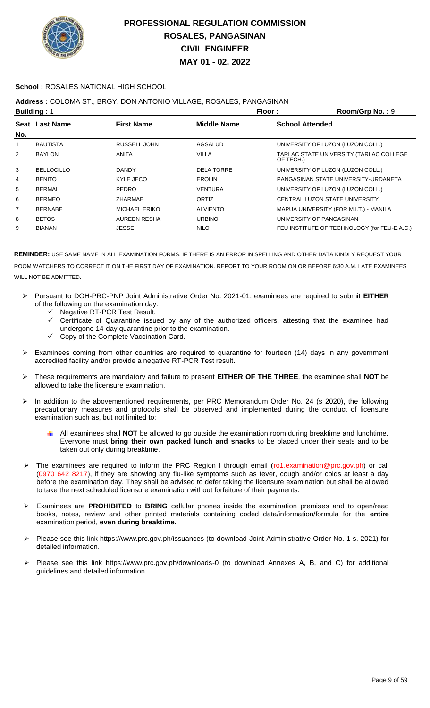

### **School :** ROSALES NATIONAL HIGH SCHOOL

## **Address :** COLOMA ST., BRGY. DON ANTONIO VILLAGE, ROSALES, PANGASINAN

|                   |                                      | Floor:             | Room/Grp No.: 9                                      |
|-------------------|--------------------------------------|--------------------|------------------------------------------------------|
|                   | <b>First Name</b>                    | <b>Middle Name</b> | <b>School Attended</b>                               |
|                   |                                      |                    |                                                      |
| <b>BAUTISTA</b>   | RUSSELL JOHN                         | AGSALUD            | UNIVERSITY OF LUZON (LUZON COLL.)                    |
| <b>BAYLON</b>     | <b>ANITA</b>                         | <b>VILLA</b>       | TARLAC STATE UNIVERSITY (TARLAC COLLEGE<br>OF TECH.) |
| <b>BELLOCILLO</b> | <b>DANDY</b>                         | <b>DELA TORRE</b>  | UNIVERSITY OF LUZON (LUZON COLL.)                    |
| <b>BENITO</b>     | KYLE JECO                            | <b>EROLIN</b>      | PANGASINAN STATE UNIVERSITY-URDANETA                 |
| <b>BERMAL</b>     | <b>PEDRO</b>                         | VENTURA            | UNIVERSITY OF LUZON (LUZON COLL.)                    |
| <b>BERMEO</b>     | <b>ZHARMAE</b>                       | ORTIZ              | CENTRAL LUZON STATE UNIVERSITY                       |
| <b>BERNABE</b>    | <b>MICHAEL ERIKO</b>                 | <b>ALVIENTO</b>    | MAPUA UNIVERSITY (FOR M.I.T.) - MANILA               |
| <b>BETOS</b>      | AUREEN RESHA                         | <b>URBINO</b>      | UNIVERSITY OF PANGASINAN                             |
| <b>BIANAN</b>     | JESSE                                | <b>NILO</b>        | FEU INSTITUTE OF TECHNOLOGY (for FEU-E.A.C.)         |
|                   | <b>Building: 1</b><br>Seat Last Name |                    |                                                      |

- Pursuant to DOH-PRC-PNP Joint Administrative Order No. 2021-01, examinees are required to submit **EITHER** of the following on the examination day:
	- V Negative RT-PCR Test Result.<br>V Certificate of Quarantine issue
	- Certificate of Quarantine issued by any of the authorized officers, attesting that the examinee had undergone 14-day quarantine prior to the examination.
	- $\checkmark$  Copy of the Complete Vaccination Card.
- Examinees coming from other countries are required to quarantine for fourteen (14) days in any government accredited facility and/or provide a negative RT-PCR Test result.
- These requirements are mandatory and failure to present **EITHER OF THE THREE**, the examinee shall **NOT** be allowed to take the licensure examination.
- In addition to the abovementioned requirements, per PRC Memorandum Order No. 24 (s 2020), the following precautionary measures and protocols shall be observed and implemented during the conduct of licensure examination such as, but not limited to:
	- All examinees shall **NOT** be allowed to go outside the examination room during breaktime and lunchtime. Everyone must **bring their own packed lunch and snacks** to be placed under their seats and to be taken out only during breaktime.
- > The examinees are required to inform the PRC Region I through email (ro1.examination@prc.gov.ph) or call (0970 642 8217), if they are showing any flu-like symptoms such as fever, cough and/or colds at least a day before the examination day. They shall be advised to defer taking the licensure examination but shall be allowed to take the next scheduled licensure examination without forfeiture of their payments.
- Examinees are **PROHIBITED** to **BRING** cellular phones inside the examination premises and to open/read books, notes, review and other printed materials containing coded data/information/formula for the **entire** examination period, **even during breaktime.**
- Please see this link https://www.prc.gov.ph/issuances (to download Joint Administrative Order No. 1 s. 2021) for detailed information.
- Please see this link https://www.prc.gov.ph/downloads-0 (to download Annexes A, B, and C) for additional guidelines and detailed information.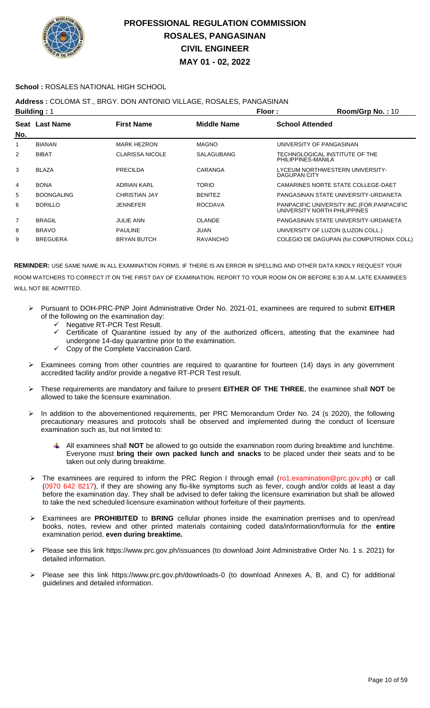

#### **School :** ROSALES NATIONAL HIGH SCHOOL

### **Address :** COLOMA ST., BRGY. DON ANTONIO VILLAGE, ROSALES, PANGASINAN

|                | <b>Building: 1</b>    |                        | Floor:             | Room/Grp No.: 10                                                            |
|----------------|-----------------------|------------------------|--------------------|-----------------------------------------------------------------------------|
|                | <b>Seat Last Name</b> | <b>First Name</b>      | <b>Middle Name</b> | <b>School Attended</b>                                                      |
| No.            |                       |                        |                    |                                                                             |
| 1              | <b>BIANAN</b>         | <b>MARK HEZRON</b>     | <b>MAGNO</b>       | UNIVERSITY OF PANGASINAN                                                    |
| 2              | <b>BIBAT</b>          | <b>CLARISSA NICOLE</b> | <b>SALAGUBANG</b>  | TECHNOLOGICAL INSTITUTE OF THE<br>PHILIPPINES-MANILA                        |
| 3              | <b>BLAZA</b>          | PRECILDA               | CARANGA            | LYCEUM NORTHWESTERN UNIVERSITY-<br>DAGUPAN CITY                             |
| 4              | <b>BONA</b>           | <b>ADRIAN KARL</b>     | <b>TORIO</b>       | CAMARINES NORTE STATE COLLEGE-DAET                                          |
| 5              | <b>BOONGALING</b>     | <b>CHRISTIAN JAY</b>   | <b>BENITEZ</b>     | PANGASINAN STATE UNIVERSITY-URDANETA                                        |
| 6              | <b>BORILLO</b>        | <b>JENNEFER</b>        | <b>ROCDAVA</b>     | PANPACIFIC UNIVERSITY INC. (FOR. PANPACIFIC<br>UNIVERSITY NORTH PHILIPPINES |
| $\overline{7}$ | <b>BRAGIL</b>         | <b>JULIE ANN</b>       | <b>OLANDE</b>      | PANGASINAN STATE UNIVERSITY-URDANETA                                        |
| 8              | <b>BRAVO</b>          | <b>PAULINE</b>         | <b>JUAN</b>        | UNIVERSITY OF LUZON (LUZON COLL.)                                           |
| 9              | <b>BREGUERA</b>       | <b>BRYAN BUTCH</b>     | <b>RAVANCHO</b>    | COLEGIO DE DAGUPAN (for.COMPUTRONIX COLL)                                   |

- Pursuant to DOH-PRC-PNP Joint Administrative Order No. 2021-01, examinees are required to submit **EITHER** of the following on the examination day:
	- ← Negative RT-PCR Test Result.
	- Certificate of Quarantine issued by any of the authorized officers, attesting that the examinee had undergone 14-day quarantine prior to the examination.
	- $\checkmark$  Copy of the Complete Vaccination Card.
- Examinees coming from other countries are required to quarantine for fourteen (14) days in any government accredited facility and/or provide a negative RT-PCR Test result.
- These requirements are mandatory and failure to present **EITHER OF THE THREE**, the examinee shall **NOT** be allowed to take the licensure examination.
- In addition to the abovementioned requirements, per PRC Memorandum Order No. 24 (s 2020), the following precautionary measures and protocols shall be observed and implemented during the conduct of licensure examination such as, but not limited to:
	- All examinees shall **NOT** be allowed to go outside the examination room during breaktime and lunchtime. Everyone must **bring their own packed lunch and snacks** to be placed under their seats and to be taken out only during breaktime.
- > The examinees are required to inform the PRC Region I through email (ro1.examination@prc.gov.ph) or call (0970 642 8217), if they are showing any flu-like symptoms such as fever, cough and/or colds at least a day before the examination day. They shall be advised to defer taking the licensure examination but shall be allowed to take the next scheduled licensure examination without forfeiture of their payments.
- Examinees are **PROHIBITED** to **BRING** cellular phones inside the examination premises and to open/read books, notes, review and other printed materials containing coded data/information/formula for the **entire** examination period, **even during breaktime.**
- Please see this link https://www.prc.gov.ph/issuances (to download Joint Administrative Order No. 1 s. 2021) for detailed information.
- Please see this link https://www.prc.gov.ph/downloads-0 (to download Annexes A, B, and C) for additional guidelines and detailed information.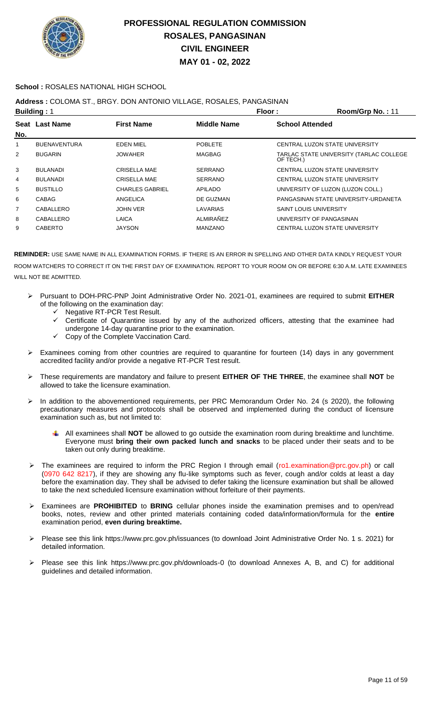

### **School :** ROSALES NATIONAL HIGH SCHOOL

### **Address :** COLOMA ST., BRGY. DON ANTONIO VILLAGE, ROSALES, PANGASINAN

|                | <b>Building: 1</b>  |                        | Floor:             | Room/Grp No.: 11                                     |
|----------------|---------------------|------------------------|--------------------|------------------------------------------------------|
|                | Seat Last Name      | <b>First Name</b>      | <b>Middle Name</b> | <b>School Attended</b>                               |
| No.            |                     |                        |                    |                                                      |
| 1              | <b>BUENAVENTURA</b> | <b>EDEN MIEL</b>       | <b>POBLETE</b>     | CENTRAL LUZON STATE UNIVERSITY                       |
| $\overline{2}$ | <b>BUGARIN</b>      | <b>JOWAHER</b>         | <b>MAGBAG</b>      | TARLAC STATE UNIVERSITY (TARLAC COLLEGE<br>OF TECH.) |
| 3              | <b>BULANADI</b>     | <b>CRISELLA MAE</b>    | <b>SERRANO</b>     | CENTRAL LUZON STATE UNIVERSITY                       |
| 4              | <b>BULANADI</b>     | <b>CRISELLA MAE</b>    | <b>SERRANO</b>     | CENTRAL LUZON STATE UNIVERSITY                       |
| 5              | <b>BUSTILLO</b>     | <b>CHARLES GABRIEL</b> | <b>APILADO</b>     | UNIVERSITY OF LUZON (LUZON COLL.)                    |
| 6              | <b>CABAG</b>        | ANGELICA               | DE GUZMAN          | PANGASINAN STATE UNIVERSITY-URDANETA                 |
| 7              | CABALLERO           | <b>JOHN VER</b>        | LAVARIAS           | <b>SAINT LOUIS UNIVERSITY</b>                        |
| 8              | CABALLERO           | LAICA                  | ALMIRAÑEZ          | UNIVERSITY OF PANGASINAN                             |
| 9              | <b>CABERTO</b>      | <b>JAYSON</b>          | <b>MANZANO</b>     | CENTRAL LUZON STATE UNIVERSITY                       |
|                |                     |                        |                    |                                                      |

- Pursuant to DOH-PRC-PNP Joint Administrative Order No. 2021-01, examinees are required to submit **EITHER** of the following on the examination day:
	- Negative RT-PCR Test Result.
	- Certificate of Quarantine issued by any of the authorized officers, attesting that the examinee had undergone 14-day quarantine prior to the examination.
	- $\checkmark$  Copy of the Complete Vaccination Card.
- Examinees coming from other countries are required to quarantine for fourteen (14) days in any government accredited facility and/or provide a negative RT-PCR Test result.
- These requirements are mandatory and failure to present **EITHER OF THE THREE**, the examinee shall **NOT** be allowed to take the licensure examination.
- In addition to the abovementioned requirements, per PRC Memorandum Order No. 24 (s 2020), the following precautionary measures and protocols shall be observed and implemented during the conduct of licensure examination such as, but not limited to:
	- All examinees shall **NOT** be allowed to go outside the examination room during breaktime and lunchtime. Everyone must **bring their own packed lunch and snacks** to be placed under their seats and to be taken out only during breaktime.
- The examinees are required to inform the PRC Region I through email (ro1.examination@prc.gov.ph) or call (0970 642 8217), if they are showing any flu-like symptoms such as fever, cough and/or colds at least a day before the examination day. They shall be advised to defer taking the licensure examination but shall be allowed to take the next scheduled licensure examination without forfeiture of their payments.
- Examinees are **PROHIBITED** to **BRING** cellular phones inside the examination premises and to open/read books, notes, review and other printed materials containing coded data/information/formula for the **entire** examination period, **even during breaktime.**
- Please see this link https://www.prc.gov.ph/issuances (to download Joint Administrative Order No. 1 s. 2021) for detailed information.
- Please see this link https://www.prc.gov.ph/downloads-0 (to download Annexes A, B, and C) for additional guidelines and detailed information.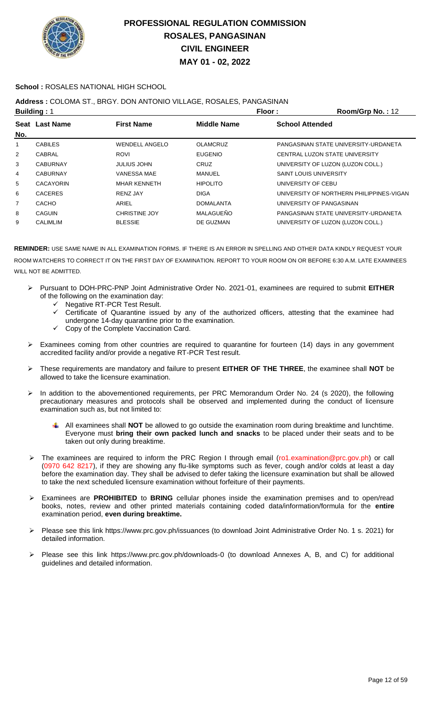

### **School :** ROSALES NATIONAL HIGH SCHOOL

## **Address :** COLOMA ST., BRGY. DON ANTONIO VILLAGE, ROSALES, PANGASINAN

|                | <b>Building: 1</b> |                       | Floor:             | Room/Grp No.: 12                         |
|----------------|--------------------|-----------------------|--------------------|------------------------------------------|
|                | Seat Last Name     | <b>First Name</b>     | <b>Middle Name</b> | <b>School Attended</b>                   |
| No.            |                    |                       |                    |                                          |
| 1              | <b>CABILES</b>     | <b>WENDELL ANGELO</b> | <b>OLAMCRUZ</b>    | PANGASINAN STATE UNIVERSITY-URDANETA     |
| 2              | CABRAL             | <b>ROVI</b>           | <b>EUGENIO</b>     | CENTRAL LUZON STATE UNIVERSITY           |
| 3              | <b>CABURNAY</b>    | JULIUS JOHN           | <b>CRUZ</b>        | UNIVERSITY OF LUZON (LUZON COLL.)        |
| 4              | <b>CABURNAY</b>    | <b>VANESSA MAE</b>    | MANUEL             | <b>SAINT LOUIS UNIVERSITY</b>            |
| 5              | <b>CACAYORIN</b>   | <b>MHAR KENNETH</b>   | <b>HIPOLITO</b>    | UNIVERSITY OF CEBU                       |
| 6              | <b>CACERES</b>     | RENZ JAY              | <b>DIGA</b>        | UNIVERSITY OF NORTHERN PHILIPPINES-VIGAN |
| $\overline{7}$ | <b>CACHO</b>       | ARIEL                 | <b>DOMALANTA</b>   | UNIVERSITY OF PANGASINAN                 |
| 8              | <b>CAGUIN</b>      | <b>CHRISTINE JOY</b>  | MALAGUEÑO          | PANGASINAN STATE UNIVERSITY-URDANETA     |
| 9              | <b>CALIMLIM</b>    | <b>BLESSIE</b>        | DE GUZMAN          | UNIVERSITY OF LUZON (LUZON COLL.)        |
|                |                    |                       |                    |                                          |

- Pursuant to DOH-PRC-PNP Joint Administrative Order No. 2021-01, examinees are required to submit **EITHER** of the following on the examination day:
	- $\checkmark$  Negative RT-PCR Test Result.<br> $\checkmark$  Certificate of Quarantine issue
	- Certificate of Quarantine issued by any of the authorized officers, attesting that the examinee had undergone 14-day quarantine prior to the examination.
	- Copy of the Complete Vaccination Card.
- $\triangleright$  Examinees coming from other countries are required to quarantine for fourteen (14) days in any government accredited facility and/or provide a negative RT-PCR Test result.
- These requirements are mandatory and failure to present **EITHER OF THE THREE**, the examinee shall **NOT** be allowed to take the licensure examination.
- In addition to the abovementioned requirements, per PRC Memorandum Order No. 24 (s 2020), the following precautionary measures and protocols shall be observed and implemented during the conduct of licensure examination such as, but not limited to:
	- All examinees shall **NOT** be allowed to go outside the examination room during breaktime and lunchtime. Everyone must **bring their own packed lunch and snacks** to be placed under their seats and to be taken out only during breaktime.
- The examinees are required to inform the PRC Region I through email (ro1.examination@prc.gov.ph) or call (0970 642 8217), if they are showing any flu-like symptoms such as fever, cough and/or colds at least a day before the examination day. They shall be advised to defer taking the licensure examination but shall be allowed to take the next scheduled licensure examination without forfeiture of their payments.
- Examinees are **PROHIBITED** to **BRING** cellular phones inside the examination premises and to open/read books, notes, review and other printed materials containing coded data/information/formula for the **entire** examination period, **even during breaktime.**
- Please see this link https://www.prc.gov.ph/issuances (to download Joint Administrative Order No. 1 s. 2021) for detailed information.
- Please see this link https://www.prc.gov.ph/downloads-0 (to download Annexes A, B, and C) for additional guidelines and detailed information.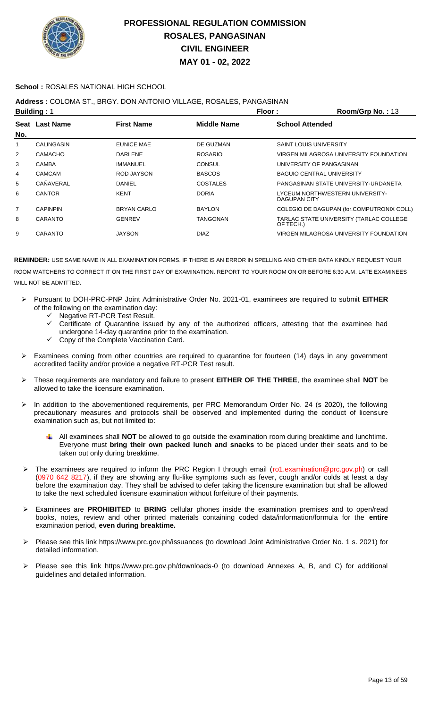

### **School :** ROSALES NATIONAL HIGH SCHOOL

### **Address :** COLOMA ST., BRGY. DON ANTONIO VILLAGE, ROSALES, PANGASINAN

|                | <b>Building: 1</b> |                    | Floor:             | Room/Grp No.: 13                                       |
|----------------|--------------------|--------------------|--------------------|--------------------------------------------------------|
| No.            | Seat Last Name     | <b>First Name</b>  | <b>Middle Name</b> | <b>School Attended</b>                                 |
|                | CALINGASIN         | <b>EUNICE MAE</b>  | DE GUZMAN          | <b>SAINT LOUIS UNIVERSITY</b>                          |
| $\overline{2}$ | <b>CAMACHO</b>     | DARLENE            | <b>ROSARIO</b>     | VIRGEN MILAGROSA UNIVERSITY FOUNDATION                 |
| 3              | <b>CAMBA</b>       | IMMANUEL           | <b>CONSUL</b>      | UNIVERSITY OF PANGASINAN                               |
| 4              | <b>CAMCAM</b>      | ROD JAYSON         | <b>BASCOS</b>      | <b>BAGUIO CENTRAL UNIVERSITY</b>                       |
| 5              | CAÑAVERAL          | DANIEL             | <b>COSTALES</b>    | PANGASINAN STATE UNIVERSITY-URDANETA                   |
| 6              | <b>CANTOR</b>      | <b>KENT</b>        | <b>DORIA</b>       | LYCEUM NORTHWESTERN UNIVERSITY-<br><b>DAGUPAN CITY</b> |
| $\overline{7}$ | <b>CAPINPIN</b>    | <b>BRYAN CARLO</b> | <b>BAYLON</b>      | COLEGIO DE DAGUPAN (for.COMPUTRONIX COLL)              |
| 8              | CARANTO            | <b>GENREV</b>      | TANGONAN           | TARLAC STATE UNIVERSITY (TARLAC COLLEGE<br>OF TECH.)   |
| 9              | <b>CARANTO</b>     | <b>JAYSON</b>      | <b>DIAZ</b>        | VIRGEN MILAGROSA UNIVERSITY FOUNDATION                 |
|                |                    |                    |                    |                                                        |

- Pursuant to DOH-PRC-PNP Joint Administrative Order No. 2021-01, examinees are required to submit **EITHER** of the following on the examination day:
	- Negative RT-PCR Test Result.
	- Certificate of Quarantine issued by any of the authorized officers, attesting that the examinee had undergone 14-day quarantine prior to the examination.
	- Copy of the Complete Vaccination Card.
- $\triangleright$  Examinees coming from other countries are required to quarantine for fourteen (14) days in any government accredited facility and/or provide a negative RT-PCR Test result.
- These requirements are mandatory and failure to present **EITHER OF THE THREE**, the examinee shall **NOT** be allowed to take the licensure examination.
- In addition to the abovementioned requirements, per PRC Memorandum Order No. 24 (s 2020), the following precautionary measures and protocols shall be observed and implemented during the conduct of licensure examination such as, but not limited to:
	- All examinees shall **NOT** be allowed to go outside the examination room during breaktime and lunchtime. Everyone must **bring their own packed lunch and snacks** to be placed under their seats and to be taken out only during breaktime.
- > The examinees are required to inform the PRC Region I through email (ro1.examination@prc.gov.ph) or call (0970 642 8217), if they are showing any flu-like symptoms such as fever, cough and/or colds at least a day before the examination day. They shall be advised to defer taking the licensure examination but shall be allowed to take the next scheduled licensure examination without forfeiture of their payments.
- Examinees are **PROHIBITED** to **BRING** cellular phones inside the examination premises and to open/read books, notes, review and other printed materials containing coded data/information/formula for the **entire** examination period, **even during breaktime.**
- Please see this link https://www.prc.gov.ph/issuances (to download Joint Administrative Order No. 1 s. 2021) for detailed information.
- Please see this link https://www.prc.gov.ph/downloads-0 (to download Annexes A, B, and C) for additional guidelines and detailed information.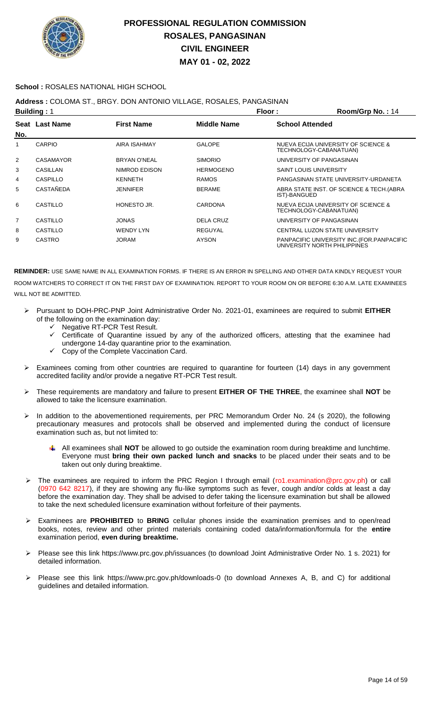

### **School :** ROSALES NATIONAL HIGH SCHOOL

### **Address :** COLOMA ST., BRGY. DON ANTONIO VILLAGE, ROSALES, PANGASINAN

|                | <b>Building: 1</b> |                   |                    | Floor:                        | Room/Grp No.: 14                                                            |
|----------------|--------------------|-------------------|--------------------|-------------------------------|-----------------------------------------------------------------------------|
| No.            | Seat Last Name     | <b>First Name</b> | <b>Middle Name</b> | <b>School Attended</b>        |                                                                             |
|                | <b>CARPIO</b>      | AIRA ISAHMAY      | <b>GALOPE</b>      | TECHNOLOGY-CABANATUAN)        | NUEVA ECIJA UNIVERSITY OF SCIENCE &                                         |
| 2              | <b>CASAMAYOR</b>   | BRYAN O'NEAL      | <b>SIMORIO</b>     | UNIVERSITY OF PANGASINAN      |                                                                             |
| 3              | CASILLAN           | NIMROD EDISON     | <b>HERMOGENO</b>   | <b>SAINT LOUIS UNIVERSITY</b> |                                                                             |
| 4              | CASPILLO           | KENNETH           | <b>RAMOS</b>       |                               | PANGASINAN STATE UNIVERSITY-URDANETA                                        |
| 5              | CASTAÑEDA          | <b>JENNIFER</b>   | <b>BERAME</b>      | IST)-BANGUED                  | ABRA STATE INST. OF SCIENCE & TECH. (ABRA                                   |
| 6              | CASTILLO           | HONESTO JR.       | <b>CARDONA</b>     | TECHNOLOGY-CABANATUAN)        | NUEVA ECIJA UNIVERSITY OF SCIENCE &                                         |
| $\overline{7}$ | CASTILLO           | <b>JONAS</b>      | <b>DELA CRUZ</b>   | UNIVERSITY OF PANGASINAN      |                                                                             |
| 8              | CASTILLO           | <b>WENDY LYN</b>  | REGUYAL            |                               | CENTRAL LUZON STATE UNIVERSITY                                              |
| 9              | <b>CASTRO</b>      | JORAM             | <b>AYSON</b>       |                               | PANPACIFIC UNIVERSITY INC. (FOR. PANPACIFIC<br>UNIVERSITY NORTH PHILIPPINES |

- Pursuant to DOH-PRC-PNP Joint Administrative Order No. 2021-01, examinees are required to submit **EITHER** of the following on the examination day:
	- $\checkmark$  Negative RT-PCR Test Result.<br> $\checkmark$  Certificate of Quarantine issue
	- Certificate of Quarantine issued by any of the authorized officers, attesting that the examinee had undergone 14-day quarantine prior to the examination.
	- $\checkmark$  Copy of the Complete Vaccination Card.
- Examinees coming from other countries are required to quarantine for fourteen (14) days in any government accredited facility and/or provide a negative RT-PCR Test result.
- These requirements are mandatory and failure to present **EITHER OF THE THREE**, the examinee shall **NOT** be allowed to take the licensure examination.
- > In addition to the abovementioned requirements, per PRC Memorandum Order No. 24 (s 2020), the following precautionary measures and protocols shall be observed and implemented during the conduct of licensure examination such as, but not limited to:
	- All examinees shall **NOT** be allowed to go outside the examination room during breaktime and lunchtime. Everyone must **bring their own packed lunch and snacks** to be placed under their seats and to be taken out only during breaktime.
- The examinees are required to inform the PRC Region I through email (ro1.examination@prc.gov.ph) or call (0970 642 8217), if they are showing any flu-like symptoms such as fever, cough and/or colds at least a day before the examination day. They shall be advised to defer taking the licensure examination but shall be allowed to take the next scheduled licensure examination without forfeiture of their payments.
- Examinees are **PROHIBITED** to **BRING** cellular phones inside the examination premises and to open/read books, notes, review and other printed materials containing coded data/information/formula for the **entire** examination period, **even during breaktime.**
- Please see this link https://www.prc.gov.ph/issuances (to download Joint Administrative Order No. 1 s. 2021) for detailed information.
- Please see this link https://www.prc.gov.ph/downloads-0 (to download Annexes A, B, and C) for additional guidelines and detailed information.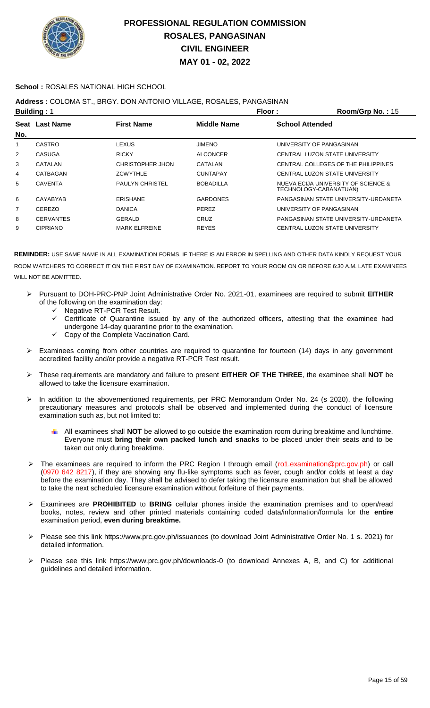

### **School :** ROSALES NATIONAL HIGH SCHOOL

### **Address :** COLOMA ST., BRGY. DON ANTONIO VILLAGE, ROSALES, PANGASINAN

|     | <b>Building: 1</b> |                        |                    | Floor:                 | Room/Grp No.: 15                                              |
|-----|--------------------|------------------------|--------------------|------------------------|---------------------------------------------------------------|
|     | Seat Last Name     | <b>First Name</b>      | <b>Middle Name</b> | <b>School Attended</b> |                                                               |
| No. |                    |                        |                    |                        |                                                               |
| 1   | <b>CASTRO</b>      | LEXUS.                 | <b>JIMENO</b>      |                        | UNIVERSITY OF PANGASINAN                                      |
| 2   | CASUGA             | <b>RICKY</b>           | <b>ALCONCER</b>    |                        | CENTRAL LUZON STATE UNIVERSITY                                |
| 3   | CATALAN            | CHRISTOPHER JHON       | CATALAN            |                        | CENTRAL COLLEGES OF THE PHILIPPINES                           |
| 4   | CATBAGAN           | <b>ZCWYTHLE</b>        | <b>CUNTAPAY</b>    |                        | CENTRAL LUZON STATE UNIVERSITY                                |
| 5   | <b>CAVENTA</b>     | <b>PAULYN CHRISTEL</b> | <b>BOBADILLA</b>   |                        | NUEVA ECIJA UNIVERSITY OF SCIENCE &<br>TECHNOLOGY-CABANATUAN) |
| 6   | CAYABYAB           | <b>ERISHANE</b>        | <b>GARDONES</b>    |                        | PANGASINAN STATE UNIVERSITY-URDANETA                          |
| 7   | CEREZO             | <b>DANICA</b>          | PEREZ              |                        | UNIVERSITY OF PANGASINAN                                      |
| 8   | <b>CERVANTES</b>   | GERALD                 | <b>CRUZ</b>        |                        | PANGASINAN STATE UNIVERSITY-URDANETA                          |
| 9   | <b>CIPRIANO</b>    | <b>MARK ELFREINE</b>   | <b>REYES</b>       |                        | CENTRAL LUZON STATE UNIVERSITY                                |

- Pursuant to DOH-PRC-PNP Joint Administrative Order No. 2021-01, examinees are required to submit **EITHER** of the following on the examination day:
	- ← Negative RT-PCR Test Result.
	- Certificate of Quarantine issued by any of the authorized officers, attesting that the examinee had undergone 14-day quarantine prior to the examination.
	- Copy of the Complete Vaccination Card.
- Examinees coming from other countries are required to quarantine for fourteen (14) days in any government accredited facility and/or provide a negative RT-PCR Test result.
- These requirements are mandatory and failure to present **EITHER OF THE THREE**, the examinee shall **NOT** be allowed to take the licensure examination.
- > In addition to the abovementioned requirements, per PRC Memorandum Order No. 24 (s 2020), the following precautionary measures and protocols shall be observed and implemented during the conduct of licensure examination such as, but not limited to:
	- All examinees shall **NOT** be allowed to go outside the examination room during breaktime and lunchtime. Everyone must **bring their own packed lunch and snacks** to be placed under their seats and to be taken out only during breaktime.
- The examinees are required to inform the PRC Region I through email (ro1.examination@prc.gov.ph) or call (0970 642 8217), if they are showing any flu-like symptoms such as fever, cough and/or colds at least a day before the examination day. They shall be advised to defer taking the licensure examination but shall be allowed to take the next scheduled licensure examination without forfeiture of their payments.
- Examinees are **PROHIBITED** to **BRING** cellular phones inside the examination premises and to open/read books, notes, review and other printed materials containing coded data/information/formula for the **entire** examination period, **even during breaktime.**
- Please see this link https://www.prc.gov.ph/issuances (to download Joint Administrative Order No. 1 s. 2021) for detailed information.
- Please see this link https://www.prc.gov.ph/downloads-0 (to download Annexes A, B, and C) for additional guidelines and detailed information.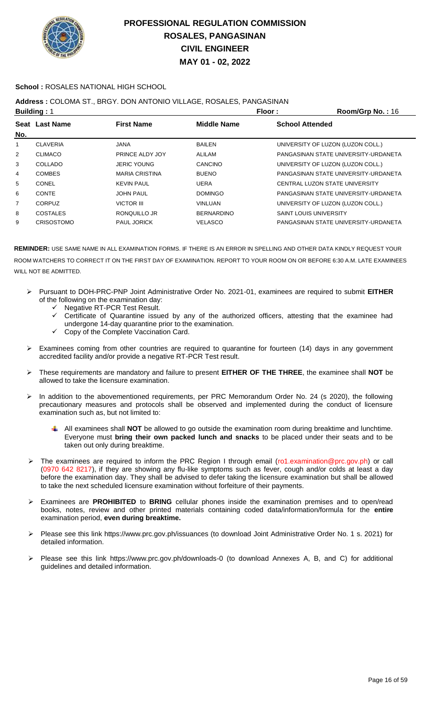

### **School :** ROSALES NATIONAL HIGH SCHOOL

### **Address :** COLOMA ST., BRGY. DON ANTONIO VILLAGE, ROSALES, PANGASINAN

|     | <b>Building: 1</b> |                       | Floor:             | Room/Grp No.: 16                     |
|-----|--------------------|-----------------------|--------------------|--------------------------------------|
|     | Seat Last Name     | <b>First Name</b>     | <b>Middle Name</b> | <b>School Attended</b>               |
| No. |                    |                       |                    |                                      |
| 1   | <b>CLAVERIA</b>    | <b>JANA</b>           | <b>BAILEN</b>      | UNIVERSITY OF LUZON (LUZON COLL.)    |
| 2   | <b>CLIMACO</b>     | PRINCE ALDY JOY       | ALILAM             | PANGASINAN STATE UNIVERSITY-URDANETA |
| 3   | COLLADO            | <b>JERIC YOUNG</b>    | CANCINO            | UNIVERSITY OF LUZON (LUZON COLL.)    |
| 4   | <b>COMBES</b>      | <b>MARIA CRISTINA</b> | <b>BUENO</b>       | PANGASINAN STATE UNIVERSITY-URDANETA |
| 5   | CONEL              | <b>KEVIN PAUL</b>     | UERA               | CENTRAL LUZON STATE UNIVERSITY       |
| 6   | <b>CONTE</b>       | <b>JOHN PAUL</b>      | <b>DOMINGO</b>     | PANGASINAN STATE UNIVERSITY-URDANETA |
| 7   | <b>CORPUZ</b>      | VICTOR III            | <b>VINLUAN</b>     | UNIVERSITY OF LUZON (LUZON COLL.)    |
| 8   | COSTALES           | RONOUILLO JR          | <b>BERNARDINO</b>  | <b>SAINT LOUIS UNIVERSITY</b>        |
| 9   | <b>CRISOSTOMO</b>  | <b>PAUL JORICK</b>    | <b>VELASCO</b>     | PANGASINAN STATE UNIVERSITY-URDANETA |
|     |                    |                       |                    |                                      |

- Pursuant to DOH-PRC-PNP Joint Administrative Order No. 2021-01, examinees are required to submit **EITHER** of the following on the examination day:
	- V Negative RT-PCR Test Result.<br>V Certificate of Quarantine issue
	- Certificate of Quarantine issued by any of the authorized officers, attesting that the examinee had undergone 14-day quarantine prior to the examination.
	- $\checkmark$  Copy of the Complete Vaccination Card.
- Examinees coming from other countries are required to quarantine for fourteen (14) days in any government accredited facility and/or provide a negative RT-PCR Test result.
- These requirements are mandatory and failure to present **EITHER OF THE THREE**, the examinee shall **NOT** be allowed to take the licensure examination.
- > In addition to the abovementioned requirements, per PRC Memorandum Order No. 24 (s 2020), the following precautionary measures and protocols shall be observed and implemented during the conduct of licensure examination such as, but not limited to:
	- All examinees shall **NOT** be allowed to go outside the examination room during breaktime and lunchtime. Everyone must **bring their own packed lunch and snacks** to be placed under their seats and to be taken out only during breaktime.
- The examinees are required to inform the PRC Region I through email (ro1.examination@prc.gov.ph) or call (0970 642 8217), if they are showing any flu-like symptoms such as fever, cough and/or colds at least a day before the examination day. They shall be advised to defer taking the licensure examination but shall be allowed to take the next scheduled licensure examination without forfeiture of their payments.
- Examinees are **PROHIBITED** to **BRING** cellular phones inside the examination premises and to open/read books, notes, review and other printed materials containing coded data/information/formula for the **entire** examination period, **even during breaktime.**
- Please see this link https://www.prc.gov.ph/issuances (to download Joint Administrative Order No. 1 s. 2021) for detailed information.
- Please see this link https://www.prc.gov.ph/downloads-0 (to download Annexes A, B, and C) for additional guidelines and detailed information.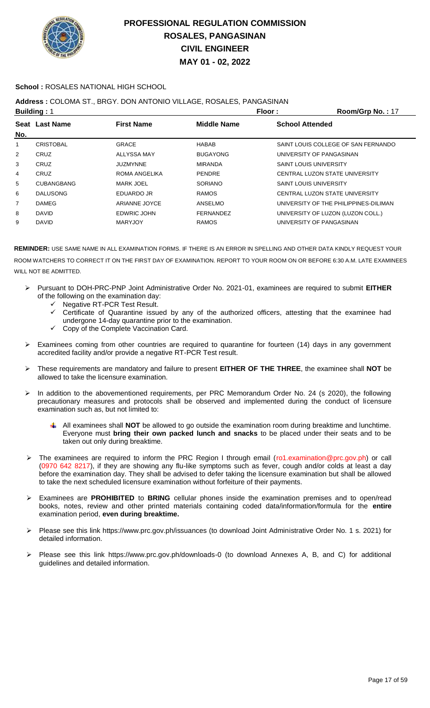

### **School :** ROSALES NATIONAL HIGH SCHOOL

## **Address :** COLOMA ST., BRGY. DON ANTONIO VILLAGE, ROSALES, PANGASINAN

|     | <b>Building: 1</b> |                    | Floor:             | Room/Grp No.: 17                      |
|-----|--------------------|--------------------|--------------------|---------------------------------------|
|     | Seat Last Name     | <b>First Name</b>  | <b>Middle Name</b> | <b>School Attended</b>                |
| No. |                    |                    |                    |                                       |
| 1   | <b>CRISTOBAL</b>   | <b>GRACE</b>       | <b>HABAB</b>       | SAINT LOUIS COLLEGE OF SAN FERNANDO   |
| 2   | CRUZ               | ALLYSSA MAY        | <b>BUGAYONG</b>    | UNIVERSITY OF PANGASINAN              |
| 3   | CRUZ               | <b>JUZMYNNE</b>    | <b>MIRANDA</b>     | <b>SAINT LOUIS UNIVERSITY</b>         |
| 4   | CRUZ               | ROMA ANGELIKA      | <b>PENDRE</b>      | CENTRAL LUZON STATE UNIVERSITY        |
| 5   | <b>CUBANGBANG</b>  | <b>MARK JOEL</b>   | <b>SORIANO</b>     | <b>SAINT LOUIS UNIVERSITY</b>         |
| 6   | <b>DALUSONG</b>    | EDUARDO JR         | <b>RAMOS</b>       | CENTRAL LUZON STATE UNIVERSITY        |
| 7   | <b>DAMEG</b>       | ARIANNE JOYCE      | ANSELMO            | UNIVERSITY OF THE PHILIPPINES-DILIMAN |
| 8   | <b>DAVID</b>       | <b>EDWRIC JOHN</b> | <b>FERNANDEZ</b>   | UNIVERSITY OF LUZON (LUZON COLL.)     |
| 9   | <b>DAVID</b>       | <b>MARYJOY</b>     | <b>RAMOS</b>       | UNIVERSITY OF PANGASINAN              |
|     |                    |                    |                    |                                       |

- Pursuant to DOH-PRC-PNP Joint Administrative Order No. 2021-01, examinees are required to submit **EITHER** of the following on the examination day:
	- $\checkmark$  Negative RT-PCR Test Result.<br> $\checkmark$  Certificate of Quarantine issue
	- Certificate of Quarantine issued by any of the authorized officers, attesting that the examinee had undergone 14-day quarantine prior to the examination.
	- Copy of the Complete Vaccination Card.
- $\triangleright$  Examinees coming from other countries are required to quarantine for fourteen (14) days in any government accredited facility and/or provide a negative RT-PCR Test result.
- These requirements are mandatory and failure to present **EITHER OF THE THREE**, the examinee shall **NOT** be allowed to take the licensure examination.
- > In addition to the abovementioned requirements, per PRC Memorandum Order No. 24 (s 2020), the following precautionary measures and protocols shall be observed and implemented during the conduct of licensure examination such as, but not limited to:
	- All examinees shall **NOT** be allowed to go outside the examination room during breaktime and lunchtime. Everyone must **bring their own packed lunch and snacks** to be placed under their seats and to be taken out only during breaktime.
- The examinees are required to inform the PRC Region I through email (ro1.examination@prc.gov.ph) or call (0970 642 8217), if they are showing any flu-like symptoms such as fever, cough and/or colds at least a day before the examination day. They shall be advised to defer taking the licensure examination but shall be allowed to take the next scheduled licensure examination without forfeiture of their payments.
- Examinees are **PROHIBITED** to **BRING** cellular phones inside the examination premises and to open/read books, notes, review and other printed materials containing coded data/information/formula for the **entire** examination period, **even during breaktime.**
- Please see this link https://www.prc.gov.ph/issuances (to download Joint Administrative Order No. 1 s. 2021) for detailed information.
- Please see this link https://www.prc.gov.ph/downloads-0 (to download Annexes A, B, and C) for additional guidelines and detailed information.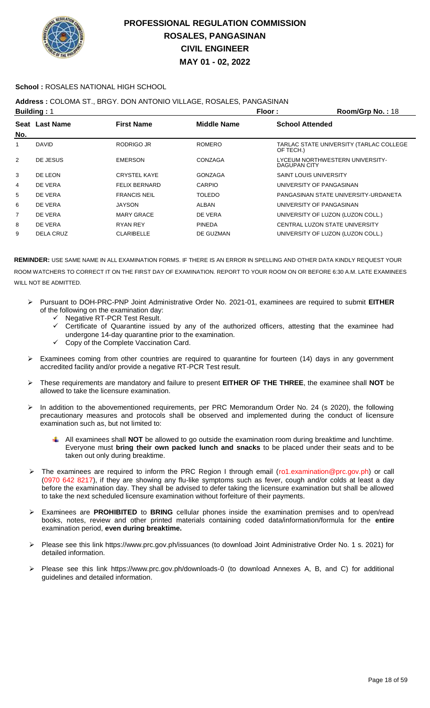

### **School :** ROSALES NATIONAL HIGH SCHOOL

**Address :** COLOMA ST., BRGY. DON ANTONIO VILLAGE, ROSALES, PANGASINAN

|     | <b>Building: 1</b> |                      | Floor:             | Room/Grp No.: 18                                     |
|-----|--------------------|----------------------|--------------------|------------------------------------------------------|
| No. | Seat Last Name     | <b>First Name</b>    | <b>Middle Name</b> | <b>School Attended</b>                               |
| 1   | <b>DAVID</b>       | RODRIGO JR           | <b>ROMERO</b>      | TARLAC STATE UNIVERSITY (TARLAC COLLEGE<br>OF TECH.) |
| 2   | DE JESUS           | <b>EMERSON</b>       | CONZAGA            | LYCEUM NORTHWESTERN UNIVERSITY-<br>DAGUPAN CITY      |
| 3   | DE LEON            | <b>CRYSTEL KAYE</b>  | <b>GONZAGA</b>     | <b>SAINT LOUIS UNIVERSITY</b>                        |
| 4   | DE VERA            | <b>FELIX BERNARD</b> | CARPIO             | UNIVERSITY OF PANGASINAN                             |
| 5   | DE VERA            | <b>FRANCIS NEIL</b>  | <b>TOLEDO</b>      | PANGASINAN STATE UNIVERSITY-URDANETA                 |
| 6   | DE VERA            | <b>JAYSON</b>        | ALBAN              | UNIVERSITY OF PANGASINAN                             |
| 7   | DE VERA            | <b>MARY GRACE</b>    | DE VERA            | UNIVERSITY OF LUZON (LUZON COLL.)                    |
| 8   | DE VERA            | <b>RYAN REY</b>      | <b>PINEDA</b>      | CENTRAL LUZON STATE UNIVERSITY                       |
| 9   | <b>DELA CRUZ</b>   | <b>CLARIBELLE</b>    | DE GUZMAN          | UNIVERSITY OF LUZON (LUZON COLL.)                    |
|     |                    |                      |                    |                                                      |

- Pursuant to DOH-PRC-PNP Joint Administrative Order No. 2021-01, examinees are required to submit **EITHER** of the following on the examination day:
	- G Negative RT-PCR Test Result.<br>Gertificate of Quarantine issu
	- Certificate of Quarantine issued by any of the authorized officers, attesting that the examinee had undergone 14-day quarantine prior to the examination.
	- $\checkmark$  Copy of the Complete Vaccination Card.
- $\triangleright$  Examinees coming from other countries are required to quarantine for fourteen (14) days in any government accredited facility and/or provide a negative RT-PCR Test result.
- These requirements are mandatory and failure to present **EITHER OF THE THREE**, the examinee shall **NOT** be allowed to take the licensure examination.
- In addition to the abovementioned requirements, per PRC Memorandum Order No. 24 (s 2020), the following precautionary measures and protocols shall be observed and implemented during the conduct of licensure examination such as, but not limited to:
	- All examinees shall **NOT** be allowed to go outside the examination room during breaktime and lunchtime. Everyone must **bring their own packed lunch and snacks** to be placed under their seats and to be taken out only during breaktime.
- The examinees are required to inform the PRC Region I through email (ro1.examination@prc.gov.ph) or call (0970 642 8217), if they are showing any flu-like symptoms such as fever, cough and/or colds at least a day before the examination day. They shall be advised to defer taking the licensure examination but shall be allowed to take the next scheduled licensure examination without forfeiture of their payments.
- Examinees are **PROHIBITED** to **BRING** cellular phones inside the examination premises and to open/read books, notes, review and other printed materials containing coded data/information/formula for the **entire** examination period, **even during breaktime.**
- Please see this link https://www.prc.gov.ph/issuances (to download Joint Administrative Order No. 1 s. 2021) for detailed information.
- Please see this link https://www.prc.gov.ph/downloads-0 (to download Annexes A, B, and C) for additional guidelines and detailed information.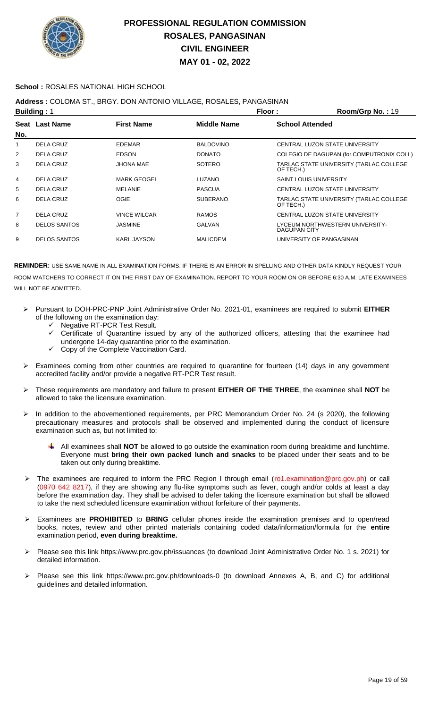

#### **School :** ROSALES NATIONAL HIGH SCHOOL

### **Address :** COLOMA ST., BRGY. DON ANTONIO VILLAGE, ROSALES, PANGASINAN

|                | <b>Building: 1</b>  |                     |                    | Floor:                        | Room/Grp No.: 19                          |
|----------------|---------------------|---------------------|--------------------|-------------------------------|-------------------------------------------|
| No.            | Seat Last Name      | <b>First Name</b>   | <b>Middle Name</b> | <b>School Attended</b>        |                                           |
| 1              | DELA CRUZ           | <b>EDEMAR</b>       | <b>BALDOVINO</b>   |                               | CENTRAL LUZON STATE UNIVERSITY            |
| $\overline{2}$ | <b>DELA CRUZ</b>    | <b>EDSON</b>        | <b>DONATO</b>      |                               | COLEGIO DE DAGUPAN (for.COMPUTRONIX COLL) |
| 3              | <b>DELA CRUZ</b>    | <b>JHONA MAE</b>    | <b>SOTERO</b>      | OF TECH.)                     | TARLAC STATE UNIVERSITY (TARLAC COLLEGE   |
| 4              | DELA CRUZ           | <b>MARK GEOGEL</b>  | <b>LUZANO</b>      | <b>SAINT LOUIS UNIVERSITY</b> |                                           |
| 5              | <b>DELA CRUZ</b>    | MELANIE             | <b>PASCUA</b>      |                               | CENTRAL LUZON STATE UNIVERSITY            |
| 6              | DELA CRUZ           | OGIE                | <b>SUBERANO</b>    | OF TECH.)                     | TARLAC STATE UNIVERSITY (TARLAC COLLEGE   |
| $\overline{7}$ | DELA CRUZ           | <b>VINCE WILCAR</b> | <b>RAMOS</b>       |                               | CENTRAL LUZON STATE UNIVERSITY            |
| 8              | <b>DELOS SANTOS</b> | <b>JASMINE</b>      | <b>GALVAN</b>      | DAGUPAN CITY                  | LYCEUM NORTHWESTERN UNIVERSITY-           |
| 9              | <b>DELOS SANTOS</b> | <b>KARL JAYSON</b>  | <b>MALICDEM</b>    |                               | UNIVERSITY OF PANGASINAN                  |

- Pursuant to DOH-PRC-PNP Joint Administrative Order No. 2021-01, examinees are required to submit **EITHER** of the following on the examination day:
	- $\checkmark$  Negative RT-PCR Test Result.<br> $\checkmark$  Certificate of Quarantine issu
	- Certificate of Quarantine issued by any of the authorized officers, attesting that the examinee had undergone 14-day quarantine prior to the examination.
	- Copy of the Complete Vaccination Card.
- Examinees coming from other countries are required to quarantine for fourteen (14) days in any government accredited facility and/or provide a negative RT-PCR Test result.
- These requirements are mandatory and failure to present **EITHER OF THE THREE**, the examinee shall **NOT** be allowed to take the licensure examination.
- In addition to the abovementioned requirements, per PRC Memorandum Order No. 24 (s 2020), the following precautionary measures and protocols shall be observed and implemented during the conduct of licensure examination such as, but not limited to:
	- All examinees shall **NOT** be allowed to go outside the examination room during breaktime and lunchtime. Everyone must **bring their own packed lunch and snacks** to be placed under their seats and to be taken out only during breaktime.
- The examinees are required to inform the PRC Region I through email (ro1.examination@prc.gov.ph) or call (0970 642 8217), if they are showing any flu-like symptoms such as fever, cough and/or colds at least a day before the examination day. They shall be advised to defer taking the licensure examination but shall be allowed to take the next scheduled licensure examination without forfeiture of their payments.
- Examinees are **PROHIBITED** to **BRING** cellular phones inside the examination premises and to open/read books, notes, review and other printed materials containing coded data/information/formula for the **entire** examination period, **even during breaktime.**
- Please see this link https://www.prc.gov.ph/issuances (to download Joint Administrative Order No. 1 s. 2021) for detailed information.
- Please see this link https://www.prc.gov.ph/downloads-0 (to download Annexes A, B, and C) for additional guidelines and detailed information.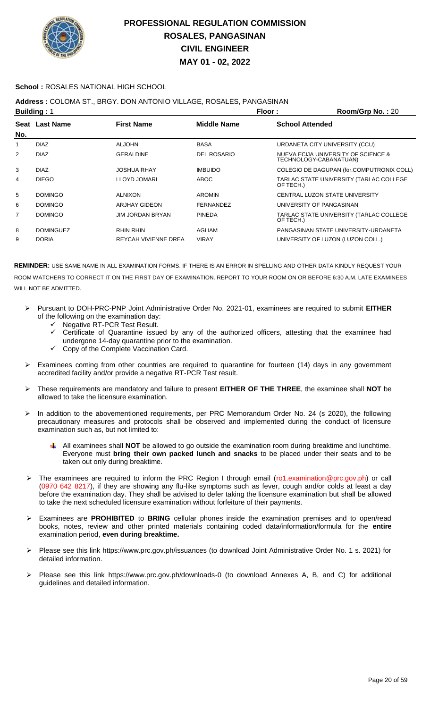

#### **School :** ROSALES NATIONAL HIGH SCHOOL

### **Address :** COLOMA ST., BRGY. DON ANTONIO VILLAGE, ROSALES, PANGASINAN

|     | <b>Building: 1</b> |                      | Floor:             | Room/Grp No.: 20                                              |
|-----|--------------------|----------------------|--------------------|---------------------------------------------------------------|
|     | Seat Last Name     | <b>First Name</b>    | <b>Middle Name</b> | <b>School Attended</b>                                        |
| No. |                    |                      |                    |                                                               |
|     | <b>DIAZ</b>        | <b>ALJOHN</b>        | <b>BASA</b>        | URDANETA CITY UNIVERSITY (CCU)                                |
| 2   | <b>DIAZ</b>        | <b>GERALDINE</b>     | <b>DEL ROSARIO</b> | NUEVA ECIJA UNIVERSITY OF SCIENCE &<br>TECHNOLOGY-CABANATUAN) |
| 3   | <b>DIAZ</b>        | JOSHUA RHAY          | <b>IMBUIDO</b>     | COLEGIO DE DAGUPAN (for.COMPUTRONIX COLL)                     |
| 4   | <b>DIEGO</b>       | LLOYD JOMARI         | ABOC               | TARLAC STATE UNIVERSITY (TARLAC COLLEGE<br>OF TECH.)          |
| 5   | <b>DOMINGO</b>     | <b>ALNIXON</b>       | <b>AROMIN</b>      | CENTRAL LUZON STATE UNIVERSITY                                |
| 6   | <b>DOMINGO</b>     | ARJHAY GIDEON        | <b>FERNANDEZ</b>   | UNIVERSITY OF PANGASINAN                                      |
| 7   | <b>DOMINGO</b>     | JIM JORDAN BRYAN     | <b>PINEDA</b>      | TARLAC STATE UNIVERSITY (TARLAC COLLEGE<br>OF TECH.)          |
| 8   | <b>DOMINGUEZ</b>   | RHIN RHIN            | <b>AGLIAM</b>      | PANGASINAN STATE UNIVERSITY-URDANETA                          |
| 9   | <b>DORIA</b>       | REYCAH VIVIENNE DREA | <b>VIRAY</b>       | UNIVERSITY OF LUZON (LUZON COLL.)                             |

- Pursuant to DOH-PRC-PNP Joint Administrative Order No. 2021-01, examinees are required to submit **EITHER** of the following on the examination day:
	- ← Negative RT-PCR Test Result.
	- Certificate of Quarantine issued by any of the authorized officers, attesting that the examinee had undergone 14-day quarantine prior to the examination.
	- Copy of the Complete Vaccination Card.
- Examinees coming from other countries are required to quarantine for fourteen (14) days in any government accredited facility and/or provide a negative RT-PCR Test result.
- These requirements are mandatory and failure to present **EITHER OF THE THREE**, the examinee shall **NOT** be allowed to take the licensure examination.
- In addition to the abovementioned requirements, per PRC Memorandum Order No. 24 (s 2020), the following precautionary measures and protocols shall be observed and implemented during the conduct of licensure examination such as, but not limited to:
	- All examinees shall **NOT** be allowed to go outside the examination room during breaktime and lunchtime. Everyone must **bring their own packed lunch and snacks** to be placed under their seats and to be taken out only during breaktime.
- The examinees are required to inform the PRC Region I through email (ro1.examination@prc.gov.ph) or call (0970 642 8217), if they are showing any flu-like symptoms such as fever, cough and/or colds at least a day before the examination day. They shall be advised to defer taking the licensure examination but shall be allowed to take the next scheduled licensure examination without forfeiture of their payments.
- Examinees are **PROHIBITED** to **BRING** cellular phones inside the examination premises and to open/read books, notes, review and other printed materials containing coded data/information/formula for the **entire** examination period, **even during breaktime.**
- Please see this link https://www.prc.gov.ph/issuances (to download Joint Administrative Order No. 1 s. 2021) for detailed information.
- Please see this link https://www.prc.gov.ph/downloads-0 (to download Annexes A, B, and C) for additional guidelines and detailed information.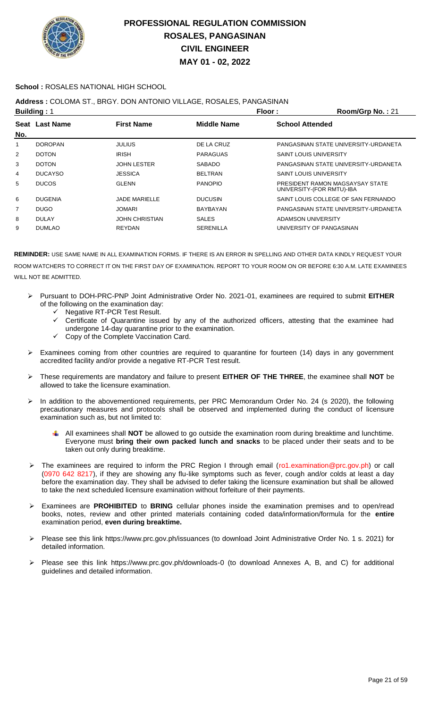

### **School :** ROSALES NATIONAL HIGH SCHOOL

### **Address :** COLOMA ST., BRGY. DON ANTONIO VILLAGE, ROSALES, PANGASINAN

|                | <b>Building: 1</b> |                       | Floor:           | Room/Grp No.: 21                                             |
|----------------|--------------------|-----------------------|------------------|--------------------------------------------------------------|
|                | Seat Last Name     | <b>First Name</b>     | Middle Name      | <b>School Attended</b>                                       |
| No.            |                    |                       |                  |                                                              |
| 1              | <b>DOROPAN</b>     | <b>JULIUS</b>         | DE LA CRUZ       | PANGASINAN STATE UNIVERSITY-URDANETA                         |
| $\overline{2}$ | <b>DOTON</b>       | <b>IRISH</b>          | PARAGUAS         | <b>SAINT LOUIS UNIVERSITY</b>                                |
| 3              | <b>DOTON</b>       | <b>JOHN LESTER</b>    | <b>SABADO</b>    | PANGASINAN STATE UNIVERSITY-URDANETA                         |
| 4              | <b>DUCAYSO</b>     | <b>JESSICA</b>        | <b>BELTRAN</b>   | <b>SAINT LOUIS UNIVERSITY</b>                                |
| 5              | <b>DUCOS</b>       | <b>GLENN</b>          | <b>PANOPIO</b>   | PRESIDENT RAMON MAGSAYSAY STATE<br>UNIVERSITY-(FOR RMTU)-IBA |
| 6              | <b>DUGENIA</b>     | <b>JADE MARIELLE</b>  | <b>DUCUSIN</b>   | SAINT LOUIS COLLEGE OF SAN FERNANDO                          |
| 7              | <b>DUGO</b>        | <b>JOMARI</b>         | BAYBAYAN         | PANGASINAN STATE UNIVERSITY-URDANETA                         |
| 8              | <b>DULAY</b>       | <b>JOHN CHRISTIAN</b> | <b>SALES</b>     | ADAMSON UNIVERSITY                                           |
| 9              | <b>DUMLAO</b>      | <b>REYDAN</b>         | <b>SERENILLA</b> | UNIVERSITY OF PANGASINAN                                     |
|                |                    |                       |                  |                                                              |

- Pursuant to DOH-PRC-PNP Joint Administrative Order No. 2021-01, examinees are required to submit **EITHER** of the following on the examination day:
	- Negative RT-PCR Test Result.
	- Certificate of Quarantine issued by any of the authorized officers, attesting that the examinee had undergone 14-day quarantine prior to the examination.
	- $\checkmark$  Copy of the Complete Vaccination Card.
- Examinees coming from other countries are required to quarantine for fourteen (14) days in any government accredited facility and/or provide a negative RT-PCR Test result.
- These requirements are mandatory and failure to present **EITHER OF THE THREE**, the examinee shall **NOT** be allowed to take the licensure examination.
- In addition to the abovementioned requirements, per PRC Memorandum Order No. 24 (s 2020), the following precautionary measures and protocols shall be observed and implemented during the conduct of licensure examination such as, but not limited to:
	- All examinees shall **NOT** be allowed to go outside the examination room during breaktime and lunchtime. Everyone must **bring their own packed lunch and snacks** to be placed under their seats and to be taken out only during breaktime.
- The examinees are required to inform the PRC Region I through email (ro1.examination@prc.gov.ph) or call (0970 642 8217), if they are showing any flu-like symptoms such as fever, cough and/or colds at least a day before the examination day. They shall be advised to defer taking the licensure examination but shall be allowed to take the next scheduled licensure examination without forfeiture of their payments.
- Examinees are **PROHIBITED** to **BRING** cellular phones inside the examination premises and to open/read books, notes, review and other printed materials containing coded data/information/formula for the **entire** examination period, **even during breaktime.**
- Please see this link https://www.prc.gov.ph/issuances (to download Joint Administrative Order No. 1 s. 2021) for detailed information.
- Please see this link https://www.prc.gov.ph/downloads-0 (to download Annexes A, B, and C) for additional guidelines and detailed information.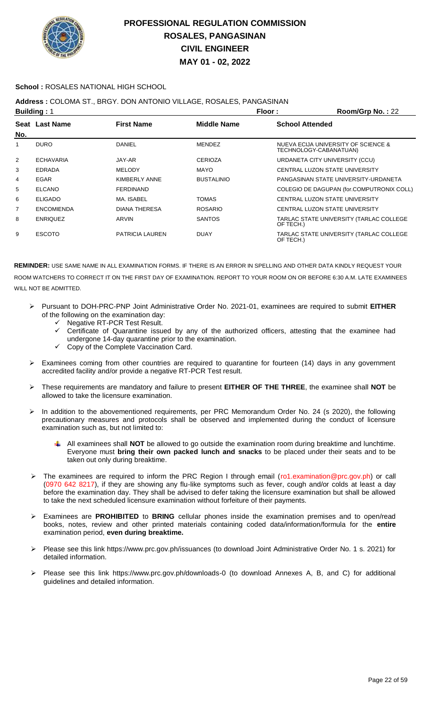

#### **School :** ROSALES NATIONAL HIGH SCHOOL

### **Address :** COLOMA ST., BRGY. DON ANTONIO VILLAGE, ROSALES, PANGASINAN

|     | <b>Building: 1</b> |                        | Floor:             | Room/Grp No.: 22                                              |
|-----|--------------------|------------------------|--------------------|---------------------------------------------------------------|
| No. | Seat Last Name     | <b>First Name</b>      | <b>Middle Name</b> | <b>School Attended</b>                                        |
| 1   | <b>DURO</b>        | DANIEL                 | <b>MENDEZ</b>      | NUEVA ECIJA UNIVERSITY OF SCIENCE &<br>TECHNOLOGY-CABANATUAN) |
| 2   | <b>ECHAVARIA</b>   | JAY-AR                 | <b>CERIOZA</b>     | URDANETA CITY UNIVERSITY (CCU)                                |
| 3   | <b>EDRADA</b>      | <b>MELODY</b>          | <b>MAYO</b>        | CENTRAL LUZON STATE UNIVERSITY                                |
| 4   | <b>EGAR</b>        | KIMBERLY ANNE          | <b>BUSTALINIO</b>  | PANGASINAN STATE UNIVERSITY-URDANETA                          |
| 5   | <b>ELCANO</b>      | <b>FERDINAND</b>       |                    | COLEGIO DE DAGUPAN (for.COMPUTRONIX COLL)                     |
| 6   | <b>ELIGADO</b>     | MA. ISABEL             | <b>TOMAS</b>       | CENTRAL LUZON STATE UNIVERSITY                                |
| 7   | <b>ENCOMIENDA</b>  | <b>DIANA THERESA</b>   | <b>ROSARIO</b>     | CENTRAL LUZON STATE UNIVERSITY                                |
| 8   | <b>ENRIQUEZ</b>    | ARVIN                  | <b>SANTOS</b>      | TARLAC STATE UNIVERSITY (TARLAC COLLEGE<br>OF TECH.)          |
| 9   | <b>ESCOTO</b>      | <b>PATRICIA LAUREN</b> | <b>DUAY</b>        | TARLAC STATE UNIVERSITY (TARLAC COLLEGE<br>OF TECH.)          |

- Pursuant to DOH-PRC-PNP Joint Administrative Order No. 2021-01, examinees are required to submit **EITHER** of the following on the examination day:
	- Negative RT-PCR Test Result.
	- $\checkmark$  Certificate of Quarantine issued by any of the authorized officers, attesting that the examinee had undergone 14-day quarantine prior to the examination.
	- Copy of the Complete Vaccination Card.
- Examinees coming from other countries are required to quarantine for fourteen (14) days in any government accredited facility and/or provide a negative RT-PCR Test result.
- These requirements are mandatory and failure to present **EITHER OF THE THREE**, the examinee shall **NOT** be allowed to take the licensure examination.
- > In addition to the abovementioned requirements, per PRC Memorandum Order No. 24 (s 2020), the following precautionary measures and protocols shall be observed and implemented during the conduct of licensure examination such as, but not limited to:
	- All examinees shall **NOT** be allowed to go outside the examination room during breaktime and lunchtime. Everyone must **bring their own packed lunch and snacks** to be placed under their seats and to be taken out only during breaktime.
- ▶ The examinees are required to inform the PRC Region I through email (ro1.examination@prc.gov.ph) or call (0970 642 8217), if they are showing any flu-like symptoms such as fever, cough and/or colds at least a day before the examination day. They shall be advised to defer taking the licensure examination but shall be allowed to take the next scheduled licensure examination without forfeiture of their payments.
- Examinees are **PROHIBITED** to **BRING** cellular phones inside the examination premises and to open/read books, notes, review and other printed materials containing coded data/information/formula for the **entire** examination period, **even during breaktime.**
- Please see this link https://www.prc.gov.ph/issuances (to download Joint Administrative Order No. 1 s. 2021) for detailed information.
- Please see this link https://www.prc.gov.ph/downloads-0 (to download Annexes A, B, and C) for additional guidelines and detailed information.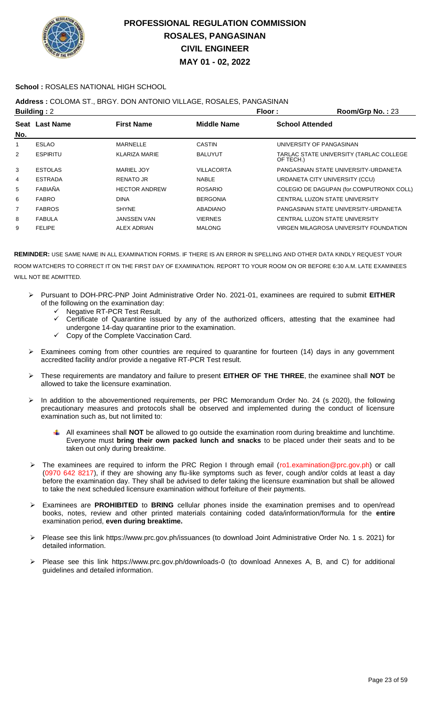

### **School :** ROSALES NATIONAL HIGH SCHOOL

## **Address :** COLOMA ST., BRGY. DON ANTONIO VILLAGE, ROSALES, PANGASINAN

|     | <b>Building: 2</b> |                      | Floor:             | Room/Grp No.: 23                                     |
|-----|--------------------|----------------------|--------------------|------------------------------------------------------|
|     | Seat Last Name     | <b>First Name</b>    | <b>Middle Name</b> | <b>School Attended</b>                               |
| No. |                    |                      |                    |                                                      |
|     | <b>ESLAO</b>       | MARNELLE             | <b>CASTIN</b>      | UNIVERSITY OF PANGASINAN                             |
| 2   | <b>ESPIRITU</b>    | <b>KLARIZA MARIE</b> | <b>BALUYUT</b>     | TARLAC STATE UNIVERSITY (TARLAC COLLEGE<br>OF TECH.) |
| 3   | <b>ESTOLAS</b>     | MARIEL JOY           | VILLACORTA         | PANGASINAN STATE UNIVERSITY-URDANETA                 |
| 4   | <b>ESTRADA</b>     | <b>RENATO JR</b>     | <b>NABLE</b>       | URDANETA CITY UNIVERSITY (CCU)                       |
| 5   | FABIAÑA            | <b>HECTOR ANDREW</b> | <b>ROSARIO</b>     | COLEGIO DE DAGUPAN (for.COMPUTRONIX COLL)            |
| 6   | <b>FABRO</b>       | <b>DINA</b>          | <b>BERGONIA</b>    | CENTRAL LUZON STATE UNIVERSITY                       |
| 7   | <b>FABROS</b>      | <b>SHYNE</b>         | ABADIANO           | PANGASINAN STATE UNIVERSITY-URDANETA                 |
| 8   | <b>FABULA</b>      | <b>JANSSEN VAN</b>   | <b>VIERNES</b>     | CENTRAL LUZON STATE UNIVERSITY                       |
| 9   | <b>FELIPE</b>      | ALEX ADRIAN          | <b>MALONG</b>      | VIRGEN MILAGROSA UNIVERSITY FOUNDATION               |
|     |                    |                      |                    |                                                      |

- Pursuant to DOH-PRC-PNP Joint Administrative Order No. 2021-01, examinees are required to submit **EITHER** of the following on the examination day:
	- Negative RT-PCR Test Result.
	- Certificate of Quarantine issued by any of the authorized officers, attesting that the examinee had undergone 14-day quarantine prior to the examination.
	- Copy of the Complete Vaccination Card.
- Examinees coming from other countries are required to quarantine for fourteen (14) days in any government accredited facility and/or provide a negative RT-PCR Test result.
- These requirements are mandatory and failure to present **EITHER OF THE THREE**, the examinee shall **NOT** be allowed to take the licensure examination.
- In addition to the abovementioned requirements, per PRC Memorandum Order No. 24 (s 2020), the following precautionary measures and protocols shall be observed and implemented during the conduct of licensure examination such as, but not limited to:
	- All examinees shall **NOT** be allowed to go outside the examination room during breaktime and lunchtime. Everyone must **bring their own packed lunch and snacks** to be placed under their seats and to be taken out only during breaktime.
- > The examinees are required to inform the PRC Region I through email (ro1.examination@prc.gov.ph) or call (0970 642 8217), if they are showing any flu-like symptoms such as fever, cough and/or colds at least a day before the examination day. They shall be advised to defer taking the licensure examination but shall be allowed to take the next scheduled licensure examination without forfeiture of their payments.
- Examinees are **PROHIBITED** to **BRING** cellular phones inside the examination premises and to open/read books, notes, review and other printed materials containing coded data/information/formula for the **entire** examination period, **even during breaktime.**
- Please see this link https://www.prc.gov.ph/issuances (to download Joint Administrative Order No. 1 s. 2021) for detailed information.
- Please see this link https://www.prc.gov.ph/downloads-0 (to download Annexes A, B, and C) for additional guidelines and detailed information.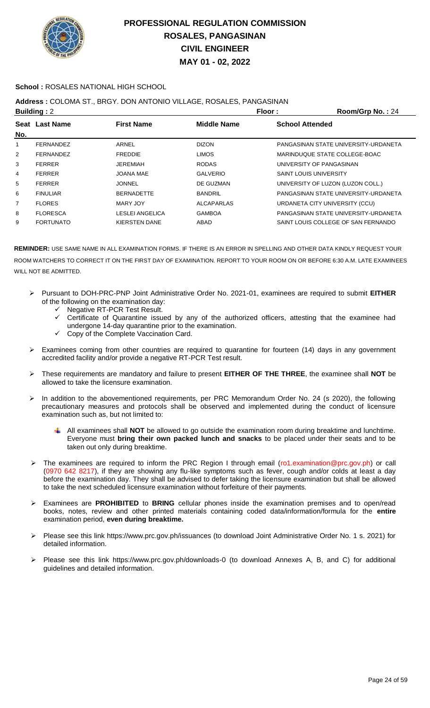

### **School :** ROSALES NATIONAL HIGH SCHOOL

### **Address :** COLOMA ST., BRGY. DON ANTONIO VILLAGE, ROSALES, PANGASINAN

|                | <b>Building: 2</b> |                        | Floor:             | Room/Grp No.: 24                     |
|----------------|--------------------|------------------------|--------------------|--------------------------------------|
|                | Seat Last Name     | <b>First Name</b>      | <b>Middle Name</b> | <b>School Attended</b>               |
| No.            |                    |                        |                    |                                      |
| 1              | FERNANDEZ          | ARNEL                  | <b>DIZON</b>       | PANGASINAN STATE UNIVERSITY-URDANETA |
| 2              | FERNANDEZ          | <b>FREDDIE</b>         | <b>LIMOS</b>       | MARINDUQUE STATE COLLEGE-BOAC        |
| 3              | <b>FERRER</b>      | JEREMIAH               | <b>RODAS</b>       | UNIVERSITY OF PANGASINAN             |
| 4              | <b>FERRER</b>      | JOANA MAE              | <b>GALVERIO</b>    | <b>SAINT LOUIS UNIVERSITY</b>        |
| 5              | <b>FERRER</b>      | JONNEL                 | DE GUZMAN          | UNIVERSITY OF LUZON (LUZON COLL.)    |
| 6              | <b>FINULIAR</b>    | <b>BERNADETTE</b>      | <b>BANDRIL</b>     | PANGASINAN STATE UNIVERSITY-URDANETA |
| $\overline{7}$ | <b>FLORES</b>      | MARY JOY               | <b>ALCAPARLAS</b>  | URDANETA CITY UNIVERSITY (CCU)       |
| 8              | <b>FLORESCA</b>    | <b>LESLEI ANGELICA</b> | <b>GAMBOA</b>      | PANGASINAN STATE UNIVERSITY-URDANETA |
| 9              | <b>FORTUNATO</b>   | <b>KIERSTEN DANE</b>   | ABAD               | SAINT LOUIS COLLEGE OF SAN FERNANDO  |
|                |                    |                        |                    |                                      |

- Pursuant to DOH-PRC-PNP Joint Administrative Order No. 2021-01, examinees are required to submit **EITHER** of the following on the examination day:
	- ← Negative RT-PCR Test Result.
	- Certificate of Quarantine issued by any of the authorized officers, attesting that the examinee had undergone 14-day quarantine prior to the examination.
	- Copy of the Complete Vaccination Card.
- $\triangleright$  Examinees coming from other countries are required to quarantine for fourteen (14) days in any government accredited facility and/or provide a negative RT-PCR Test result.
- These requirements are mandatory and failure to present **EITHER OF THE THREE**, the examinee shall **NOT** be allowed to take the licensure examination.
- $\triangleright$  In addition to the abovementioned requirements, per PRC Memorandum Order No. 24 (s 2020), the following precautionary measures and protocols shall be observed and implemented during the conduct of licensure examination such as, but not limited to:
	- All examinees shall **NOT** be allowed to go outside the examination room during breaktime and lunchtime. Everyone must **bring their own packed lunch and snacks** to be placed under their seats and to be taken out only during breaktime.
- The examinees are required to inform the PRC Region I through email (ro1.examination@prc.gov.ph) or call (0970 642 8217), if they are showing any flu-like symptoms such as fever, cough and/or colds at least a day before the examination day. They shall be advised to defer taking the licensure examination but shall be allowed to take the next scheduled licensure examination without forfeiture of their payments.
- Examinees are **PROHIBITED** to **BRING** cellular phones inside the examination premises and to open/read books, notes, review and other printed materials containing coded data/information/formula for the **entire** examination period, **even during breaktime.**
- Please see this link https://www.prc.gov.ph/issuances (to download Joint Administrative Order No. 1 s. 2021) for detailed information.
- Please see this link https://www.prc.gov.ph/downloads-0 (to download Annexes A, B, and C) for additional guidelines and detailed information.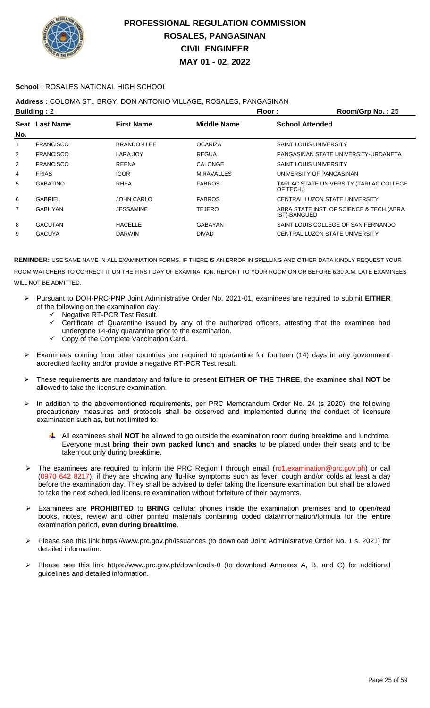

### **School :** ROSALES NATIONAL HIGH SCHOOL

### **Address :** COLOMA ST., BRGY. DON ANTONIO VILLAGE, ROSALES, PANGASINAN

| <b>Building: 2</b><br>Floor: |                  |                    |                    | Room/Grp No.: 25                                         |
|------------------------------|------------------|--------------------|--------------------|----------------------------------------------------------|
| No.                          | Seat Last Name   | <b>First Name</b>  | <b>Middle Name</b> | <b>School Attended</b>                                   |
|                              | <b>FRANCISCO</b> | <b>BRANDON LEE</b> | <b>OCARIZA</b>     | <b>SAINT LOUIS UNIVERSITY</b>                            |
| 2                            | <b>FRANCISCO</b> | LARA JOY           | <b>REGUA</b>       | PANGASINAN STATE UNIVERSITY-URDANETA                     |
| 3                            | <b>FRANCISCO</b> | <b>REENA</b>       | CALONGE            | <b>SAINT LOUIS UNIVERSITY</b>                            |
| 4                            | <b>FRIAS</b>     | <b>IGOR</b>        | <b>MIRAVALLES</b>  | UNIVERSITY OF PANGASINAN                                 |
| 5                            | <b>GABATINO</b>  | <b>RHEA</b>        | <b>FABROS</b>      | TARLAC STATE UNIVERSITY (TARLAC COLLEGE<br>OF TECH.)     |
| 6                            | <b>GABRIEL</b>   | <b>JOHN CARLO</b>  | <b>FABROS</b>      | CENTRAL LUZON STATE UNIVERSITY                           |
| $\overline{7}$               | <b>GABUYAN</b>   | <b>JESSAMINE</b>   | <b>TEJERO</b>      | ABRA STATE INST. OF SCIENCE & TECH.(ABRA<br>IST)-BANGUED |
| 8                            | <b>GACUTAN</b>   | <b>HACELLE</b>     | GABAYAN            | SAINT LOUIS COLLEGE OF SAN FERNANDO                      |
| 9                            | <b>GACUYA</b>    | <b>DARWIN</b>      | <b>DIVAD</b>       | CENTRAL LUZON STATE UNIVERSITY                           |
|                              |                  |                    |                    |                                                          |

- Pursuant to DOH-PRC-PNP Joint Administrative Order No. 2021-01, examinees are required to submit **EITHER** of the following on the examination day:
	- Negative RT-PCR Test Result.
	- $\checkmark$  Certificate of Quarantine issued by any of the authorized officers, attesting that the examinee had undergone 14-day quarantine prior to the examination.
		- Copy of the Complete Vaccination Card.
- Examinees coming from other countries are required to quarantine for fourteen (14) days in any government accredited facility and/or provide a negative RT-PCR Test result.
- These requirements are mandatory and failure to present **EITHER OF THE THREE**, the examinee shall **NOT** be allowed to take the licensure examination.
- In addition to the abovementioned requirements, per PRC Memorandum Order No. 24 (s 2020), the following precautionary measures and protocols shall be observed and implemented during the conduct of licensure examination such as, but not limited to:
	- All examinees shall **NOT** be allowed to go outside the examination room during breaktime and lunchtime. Everyone must **bring their own packed lunch and snacks** to be placed under their seats and to be taken out only during breaktime.
- > The examinees are required to inform the PRC Region I through email (ro1.examination@prc.gov.ph) or call (0970 642 8217), if they are showing any flu-like symptoms such as fever, cough and/or colds at least a day before the examination day. They shall be advised to defer taking the licensure examination but shall be allowed to take the next scheduled licensure examination without forfeiture of their payments.
- Examinees are **PROHIBITED** to **BRING** cellular phones inside the examination premises and to open/read books, notes, review and other printed materials containing coded data/information/formula for the **entire** examination period, **even during breaktime.**
- Please see this link https://www.prc.gov.ph/issuances (to download Joint Administrative Order No. 1 s. 2021) for detailed information.
- Please see this link https://www.prc.gov.ph/downloads-0 (to download Annexes A, B, and C) for additional guidelines and detailed information.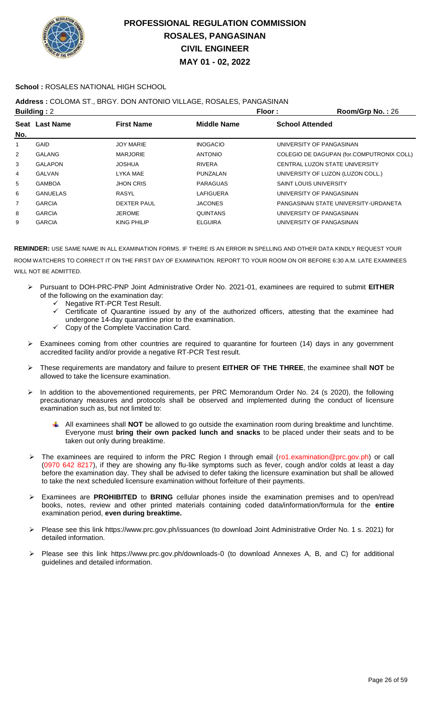

### **School :** ROSALES NATIONAL HIGH SCHOOL

## **Address :** COLOMA ST., BRGY. DON ANTONIO VILLAGE, ROSALES, PANGASINAN

| <b>Building: 2</b> |                 |                    | Floor:           | Room/Grp No.: 26                          |
|--------------------|-----------------|--------------------|------------------|-------------------------------------------|
|                    | Seat Last Name  | <b>First Name</b>  | Middle Name      | <b>School Attended</b>                    |
| No.                |                 |                    |                  |                                           |
| 1                  | <b>GAID</b>     | <b>JOY MARIE</b>   | <b>INOGACIO</b>  | UNIVERSITY OF PANGASINAN                  |
| 2                  | <b>GALANG</b>   | <b>MARJORIE</b>    | <b>ANTONIO</b>   | COLEGIO DE DAGUPAN (for.COMPUTRONIX COLL) |
| 3                  | <b>GALAPON</b>  | <b>JOSHUA</b>      | <b>RIVERA</b>    | CENTRAL LUZON STATE UNIVERSITY            |
| 4                  | GALVAN          | LYKA MAE           | PUNZALAN         | UNIVERSITY OF LUZON (LUZON COLL.)         |
| 5                  | <b>GAMBOA</b>   | <b>JHON CRIS</b>   | <b>PARAGUAS</b>  | <b>SAINT LOUIS UNIVERSITY</b>             |
| 6                  | <b>GANUELAS</b> | RASYL              | <b>LAFIGUERA</b> | UNIVERSITY OF PANGASINAN                  |
| 7                  | <b>GARCIA</b>   | DEXTER PAUL        | <b>JACONES</b>   | PANGASINAN STATE UNIVERSITY-URDANETA      |
| 8                  | <b>GARCIA</b>   | <b>JEROME</b>      | <b>QUINTANS</b>  | UNIVERSITY OF PANGASINAN                  |
| 9                  | <b>GARCIA</b>   | <b>KING PHILIP</b> | <b>ELGUIRA</b>   | UNIVERSITY OF PANGASINAN                  |
|                    |                 |                    |                  |                                           |

- Pursuant to DOH-PRC-PNP Joint Administrative Order No. 2021-01, examinees are required to submit **EITHER** of the following on the examination day:
	- $\checkmark$  Negative RT-PCR Test Result.<br> $\checkmark$  Certificate of Quarantine issue
	- Certificate of Quarantine issued by any of the authorized officers, attesting that the examinee had undergone 14-day quarantine prior to the examination.
	- $\checkmark$  Copy of the Complete Vaccination Card.
- Examinees coming from other countries are required to quarantine for fourteen (14) days in any government accredited facility and/or provide a negative RT-PCR Test result.
- These requirements are mandatory and failure to present **EITHER OF THE THREE**, the examinee shall **NOT** be allowed to take the licensure examination.
- In addition to the abovementioned requirements, per PRC Memorandum Order No. 24 (s 2020), the following precautionary measures and protocols shall be observed and implemented during the conduct of licensure examination such as, but not limited to:
	- All examinees shall **NOT** be allowed to go outside the examination room during breaktime and lunchtime. Everyone must **bring their own packed lunch and snacks** to be placed under their seats and to be taken out only during breaktime.
- The examinees are required to inform the PRC Region I through email (ro1.examination@prc.gov.ph) or call (0970 642 8217), if they are showing any flu-like symptoms such as fever, cough and/or colds at least a day before the examination day. They shall be advised to defer taking the licensure examination but shall be allowed to take the next scheduled licensure examination without forfeiture of their payments.
- Examinees are **PROHIBITED** to **BRING** cellular phones inside the examination premises and to open/read books, notes, review and other printed materials containing coded data/information/formula for the **entire** examination period, **even during breaktime.**
- Please see this link https://www.prc.gov.ph/issuances (to download Joint Administrative Order No. 1 s. 2021) for detailed information.
- Please see this link https://www.prc.gov.ph/downloads-0 (to download Annexes A, B, and C) for additional guidelines and detailed information.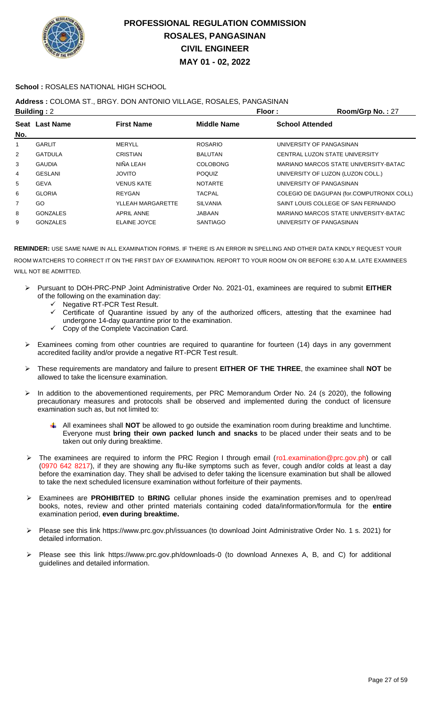

### **School :** ROSALES NATIONAL HIGH SCHOOL

### **Address :** COLOMA ST., BRGY. DON ANTONIO VILLAGE, ROSALES, PANGASINAN

|     | <b>Building: 2</b> |                   |                    | Room/Grp No.: 27<br>Floor:                |
|-----|--------------------|-------------------|--------------------|-------------------------------------------|
|     | Seat Last Name     | <b>First Name</b> | <b>Middle Name</b> | <b>School Attended</b>                    |
| No. |                    |                   |                    |                                           |
| 1   | <b>GARLIT</b>      | <b>MERYLL</b>     | <b>ROSARIO</b>     | UNIVERSITY OF PANGASINAN                  |
| 2   | <b>GATDULA</b>     | CRISTIAN          | <b>BALUTAN</b>     | CENTRAL LUZON STATE UNIVERSITY            |
| 3   | <b>GAUDIA</b>      | NIÑA LEAH         | <b>COLOBONG</b>    | MARIANO MARCOS STATE UNIVERSITY-BATAC     |
| 4   | <b>GESLANI</b>     | <b>OTIVOL</b>     | <b>POQUIZ</b>      | UNIVERSITY OF LUZON (LUZON COLL.)         |
| 5   | <b>GEVA</b>        | <b>VENUS KATE</b> | <b>NOTARTE</b>     | UNIVERSITY OF PANGASINAN                  |
| 6   | <b>GLORIA</b>      | REYGAN            | <b>TACPAL</b>      | COLEGIO DE DAGUPAN (for.COMPUTRONIX COLL) |
| 7   | GO                 | YLLEAH MARGARETTE | <b>SILVANIA</b>    | SAINT LOUIS COLLEGE OF SAN FERNANDO       |
| 8   | <b>GONZALES</b>    | <b>APRIL ANNE</b> | <b>JABAAN</b>      | MARIANO MARCOS STATE UNIVERSITY-BATAC     |
| 9   | <b>GONZALES</b>    | ELAINE JOYCE      | <b>SANTIAGO</b>    | UNIVERSITY OF PANGASINAN                  |
|     |                    |                   |                    |                                           |

- Pursuant to DOH-PRC-PNP Joint Administrative Order No. 2021-01, examinees are required to submit **EITHER** of the following on the examination day:
	- $\checkmark$  Negative RT-PCR Test Result.<br> $\checkmark$  Certificate of Quarantine issue
	- Certificate of Quarantine issued by any of the authorized officers, attesting that the examinee had undergone 14-day quarantine prior to the examination.
	- Copy of the Complete Vaccination Card.
- $\triangleright$  Examinees coming from other countries are required to quarantine for fourteen (14) days in any government accredited facility and/or provide a negative RT-PCR Test result.
- These requirements are mandatory and failure to present **EITHER OF THE THREE**, the examinee shall **NOT** be allowed to take the licensure examination.
- > In addition to the abovementioned requirements, per PRC Memorandum Order No. 24 (s 2020), the following precautionary measures and protocols shall be observed and implemented during the conduct of licensure examination such as, but not limited to:
	- All examinees shall **NOT** be allowed to go outside the examination room during breaktime and lunchtime. Everyone must **bring their own packed lunch and snacks** to be placed under their seats and to be taken out only during breaktime.
- The examinees are required to inform the PRC Region I through email (ro1.examination@prc.gov.ph) or call (0970 642 8217), if they are showing any flu-like symptoms such as fever, cough and/or colds at least a day before the examination day. They shall be advised to defer taking the licensure examination but shall be allowed to take the next scheduled licensure examination without forfeiture of their payments.
- Examinees are **PROHIBITED** to **BRING** cellular phones inside the examination premises and to open/read books, notes, review and other printed materials containing coded data/information/formula for the **entire** examination period, **even during breaktime.**
- Please see this link https://www.prc.gov.ph/issuances (to download Joint Administrative Order No. 1 s. 2021) for detailed information.
- Please see this link https://www.prc.gov.ph/downloads-0 (to download Annexes A, B, and C) for additional guidelines and detailed information.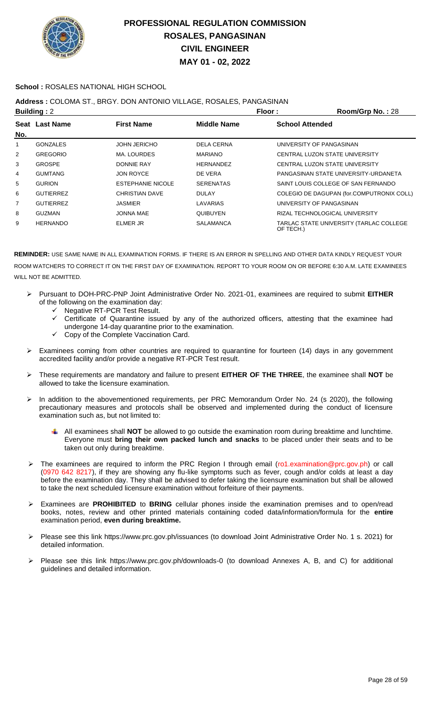

### **School :** ROSALES NATIONAL HIGH SCHOOL

### **Address :** COLOMA ST., BRGY. DON ANTONIO VILLAGE, ROSALES, PANGASINAN

| <b>Building: 2</b> |                  |                          | Floor:            | Room/Grp No.: 28                                     |
|--------------------|------------------|--------------------------|-------------------|------------------------------------------------------|
|                    | Seat Last Name   | <b>First Name</b>        | Middle Name       | <b>School Attended</b>                               |
| No.                |                  |                          |                   |                                                      |
|                    | <b>GONZALES</b>  | <b>JOHN JERICHO</b>      | <b>DELA CERNA</b> | UNIVERSITY OF PANGASINAN                             |
| $\overline{2}$     | <b>GREGORIO</b>  | MA. LOURDES              | <b>MARIANO</b>    | CENTRAL LUZON STATE UNIVERSITY                       |
| 3                  | <b>GROSPE</b>    | <b>DONNIE RAY</b>        | <b>HERNANDEZ</b>  | CENTRAL LUZON STATE UNIVERSITY                       |
| 4                  | <b>GUMTANG</b>   | <b>JON ROYCE</b>         | DE VERA           | PANGASINAN STATE UNIVERSITY-URDANETA                 |
| 5                  | <b>GURION</b>    | <b>ESTEPHANIE NICOLE</b> | <b>SERENATAS</b>  | SAINT LOUIS COLLEGE OF SAN FERNANDO                  |
| 6                  | <b>GUTIERREZ</b> | <b>CHRISTIAN DAVE</b>    | <b>DULAY</b>      | COLEGIO DE DAGUPAN (for.COMPUTRONIX COLL)            |
| 7                  | <b>GUTIERREZ</b> | JASMIER                  | LAVARIAS          | UNIVERSITY OF PANGASINAN                             |
| 8                  | <b>GUZMAN</b>    | <b>JONNA MAE</b>         | QUIBUYEN          | RIZAL TECHNOLOGICAL UNIVERSITY                       |
| 9                  | <b>HERNANDO</b>  | ELMER JR                 | <b>SALAMANCA</b>  | TARLAC STATE UNIVERSITY (TARLAC COLLEGE<br>OF TECH.) |

- Pursuant to DOH-PRC-PNP Joint Administrative Order No. 2021-01, examinees are required to submit **EITHER** of the following on the examination day:
	- ← Negative RT-PCR Test Result.
	- Certificate of Quarantine issued by any of the authorized officers, attesting that the examinee had undergone 14-day quarantine prior to the examination.
	- Copy of the Complete Vaccination Card.
- Examinees coming from other countries are required to quarantine for fourteen (14) days in any government accredited facility and/or provide a negative RT-PCR Test result.
- These requirements are mandatory and failure to present **EITHER OF THE THREE**, the examinee shall **NOT** be allowed to take the licensure examination.
- > In addition to the abovementioned requirements, per PRC Memorandum Order No. 24 (s 2020), the following precautionary measures and protocols shall be observed and implemented during the conduct of licensure examination such as, but not limited to:
	- All examinees shall **NOT** be allowed to go outside the examination room during breaktime and lunchtime. Everyone must **bring their own packed lunch and snacks** to be placed under their seats and to be taken out only during breaktime.
- The examinees are required to inform the PRC Region I through email (ro1.examination@prc.gov.ph) or call (0970 642 8217), if they are showing any flu-like symptoms such as fever, cough and/or colds at least a day before the examination day. They shall be advised to defer taking the licensure examination but shall be allowed to take the next scheduled licensure examination without forfeiture of their payments.
- Examinees are **PROHIBITED** to **BRING** cellular phones inside the examination premises and to open/read books, notes, review and other printed materials containing coded data/information/formula for the **entire** examination period, **even during breaktime.**
- Please see this link https://www.prc.gov.ph/issuances (to download Joint Administrative Order No. 1 s. 2021) for detailed information.
- Please see this link https://www.prc.gov.ph/downloads-0 (to download Annexes A, B, and C) for additional guidelines and detailed information.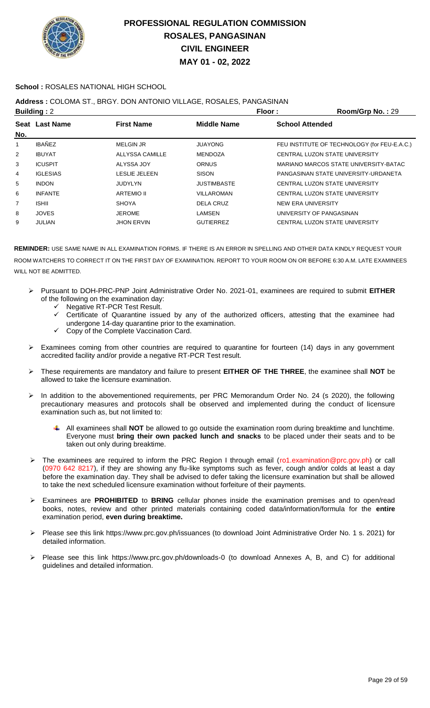

### **School :** ROSALES NATIONAL HIGH SCHOOL

## **Address :** COLOMA ST., BRGY. DON ANTONIO VILLAGE, ROSALES, PANGASINAN

|                | <b>Building: 2</b> |                      |                    | Floor:<br>Room/Grp No.: 29                   |
|----------------|--------------------|----------------------|--------------------|----------------------------------------------|
|                | Seat Last Name     | <b>First Name</b>    | <b>Middle Name</b> | <b>School Attended</b>                       |
| No.            |                    |                      |                    |                                              |
| 1              | <b>IBAÑEZ</b>      | <b>MELGIN JR</b>     | <b>JUAYONG</b>     | FEU INSTITUTE OF TECHNOLOGY (for FEU-E.A.C.) |
| $\overline{2}$ | <b>IBUYAT</b>      | ALLYSSA CAMILLE      | <b>MENDOZA</b>     | CENTRAL LUZON STATE UNIVERSITY               |
| 3              | <b>ICUSPIT</b>     | ALYSSA JOY           | <b>ORNUS</b>       | MARIANO MARCOS STATE UNIVERSITY-BATAC        |
| 4              | <b>IGLESIAS</b>    | <b>LESLIE JELEEN</b> | <b>SISON</b>       | PANGASINAN STATE UNIVERSITY-URDANETA         |
| 5              | <b>INDON</b>       | JUDYLYN              | <b>JUSTIMBASTE</b> | CENTRAL LUZON STATE UNIVERSITY               |
| 6              | <b>INFANTE</b>     | <b>ARTEMIO II</b>    | <b>VILLAROMAN</b>  | CENTRAL LUZON STATE UNIVERSITY               |
| $\overline{7}$ | <b>ISHII</b>       | <b>SHOYA</b>         | <b>DELA CRUZ</b>   | NEW ERA UNIVERSITY                           |
| 8              | <b>JOVES</b>       | <b>JEROME</b>        | <b>LAMSEN</b>      | UNIVERSITY OF PANGASINAN                     |
| 9              | <b>JULIAN</b>      | <b>JHON ERVIN</b>    | <b>GUTIERREZ</b>   | CENTRAL LUZON STATE UNIVERSITY               |
|                |                    |                      |                    |                                              |

- Pursuant to DOH-PRC-PNP Joint Administrative Order No. 2021-01, examinees are required to submit **EITHER** of the following on the examination day:
	- $\checkmark$  Negative RT-PCR Test Result.<br> $\checkmark$  Certificate of Quarantine issue
	- Certificate of Quarantine issued by any of the authorized officers, attesting that the examinee had undergone 14-day quarantine prior to the examination.
	- Copy of the Complete Vaccination Card.
- $\triangleright$  Examinees coming from other countries are required to quarantine for fourteen (14) days in any government accredited facility and/or provide a negative RT-PCR Test result.
- These requirements are mandatory and failure to present **EITHER OF THE THREE**, the examinee shall **NOT** be allowed to take the licensure examination.
- In addition to the abovementioned requirements, per PRC Memorandum Order No. 24 (s 2020), the following precautionary measures and protocols shall be observed and implemented during the conduct of licensure examination such as, but not limited to:
	- All examinees shall **NOT** be allowed to go outside the examination room during breaktime and lunchtime. Everyone must **bring their own packed lunch and snacks** to be placed under their seats and to be taken out only during breaktime.
- $\triangleright$  The examinees are required to inform the PRC Region I through email (ro1.examination@prc.gov.ph) or call (0970 642 8217), if they are showing any flu-like symptoms such as fever, cough and/or colds at least a day before the examination day. They shall be advised to defer taking the licensure examination but shall be allowed to take the next scheduled licensure examination without forfeiture of their payments.
- Examinees are **PROHIBITED** to **BRING** cellular phones inside the examination premises and to open/read books, notes, review and other printed materials containing coded data/information/formula for the **entire** examination period, **even during breaktime.**
- Please see this link https://www.prc.gov.ph/issuances (to download Joint Administrative Order No. 1 s. 2021) for detailed information.
- Please see this link https://www.prc.gov.ph/downloads-0 (to download Annexes A, B, and C) for additional guidelines and detailed information.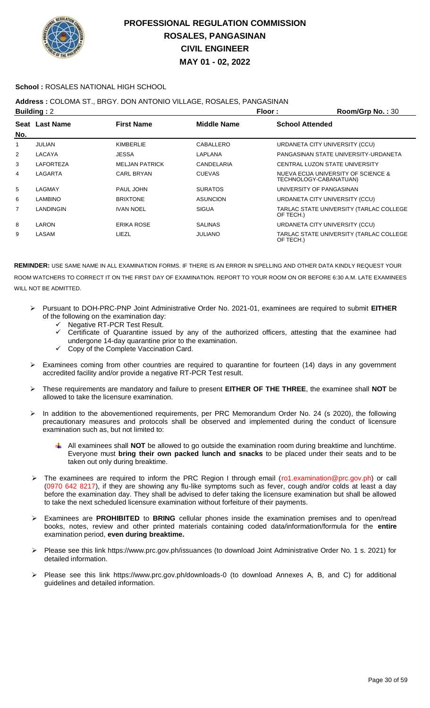

### **School :** ROSALES NATIONAL HIGH SCHOOL

### **Address :** COLOMA ST., BRGY. DON ANTONIO VILLAGE, ROSALES, PANGASINAN

| <b>Building: 2</b> |                       |                       |                    | Floor:                   | Room/Grp No.: 30                        |
|--------------------|-----------------------|-----------------------|--------------------|--------------------------|-----------------------------------------|
| No.                | <b>Seat Last Name</b> | <b>First Name</b>     | <b>Middle Name</b> | <b>School Attended</b>   |                                         |
| 1                  | <b>JULIAN</b>         | <b>KIMBERLIE</b>      | CABALLERO          |                          | URDANETA CITY UNIVERSITY (CCU)          |
| $\overline{2}$     | LACAYA                | <b>JESSA</b>          | LAPLANA            |                          | PANGASINAN STATE UNIVERSITY-URDANETA    |
| 3                  | <b>LAFORTEZA</b>      | <b>MELJAN PATRICK</b> | CANDELARIA         |                          | CENTRAL LUZON STATE UNIVERSITY          |
| 4                  | LAGARTA               | <b>CARL BRYAN</b>     | <b>CUEVAS</b>      | TECHNOLOGY-CABANATUAN)   | NUEVA ECIJA UNIVERSITY OF SCIENCE &     |
| 5                  | LAGMAY                | PAUL JOHN             | <b>SURATOS</b>     | UNIVERSITY OF PANGASINAN |                                         |
| 6                  | <b>LAMBINO</b>        | <b>BRIXTONE</b>       | <b>ASUNCION</b>    |                          | URDANETA CITY UNIVERSITY (CCU)          |
| 7                  | LANDINGIN             | <b>IVAN NOEL</b>      | <b>SIGUA</b>       | OF TECH.)                | TARLAC STATE UNIVERSITY (TARLAC COLLEGE |
| 8                  | LARON                 | <b>ERIKA ROSE</b>     | <b>SALINAS</b>     |                          | URDANETA CITY UNIVERSITY (CCU)          |
| 9                  | LASAM                 | LIEZL                 | <b>JULIANO</b>     | OF TECH.)                | TARLAC STATE UNIVERSITY (TARLAC COLLEGE |

- Pursuant to DOH-PRC-PNP Joint Administrative Order No. 2021-01, examinees are required to submit **EITHER** of the following on the examination day:
	- ← Negative RT-PCR Test Result.
	- Certificate of Quarantine issued by any of the authorized officers, attesting that the examinee had undergone 14-day quarantine prior to the examination.
	- Copy of the Complete Vaccination Card.
- > Examinees coming from other countries are required to quarantine for fourteen (14) days in any government accredited facility and/or provide a negative RT-PCR Test result.
- These requirements are mandatory and failure to present **EITHER OF THE THREE**, the examinee shall **NOT** be allowed to take the licensure examination.
- In addition to the abovementioned requirements, per PRC Memorandum Order No. 24 (s 2020), the following precautionary measures and protocols shall be observed and implemented during the conduct of licensure examination such as, but not limited to:
	- All examinees shall **NOT** be allowed to go outside the examination room during breaktime and lunchtime. Everyone must **bring their own packed lunch and snacks** to be placed under their seats and to be taken out only during breaktime.
- > The examinees are required to inform the PRC Region I through email (ro1.examination@prc.gov.ph) or call (0970 642 8217), if they are showing any flu-like symptoms such as fever, cough and/or colds at least a day before the examination day. They shall be advised to defer taking the licensure examination but shall be allowed to take the next scheduled licensure examination without forfeiture of their payments.
- Examinees are **PROHIBITED** to **BRING** cellular phones inside the examination premises and to open/read books, notes, review and other printed materials containing coded data/information/formula for the **entire** examination period, **even during breaktime.**
- Please see this link https://www.prc.gov.ph/issuances (to download Joint Administrative Order No. 1 s. 2021) for detailed information.
- Please see this link https://www.prc.gov.ph/downloads-0 (to download Annexes A, B, and C) for additional guidelines and detailed information.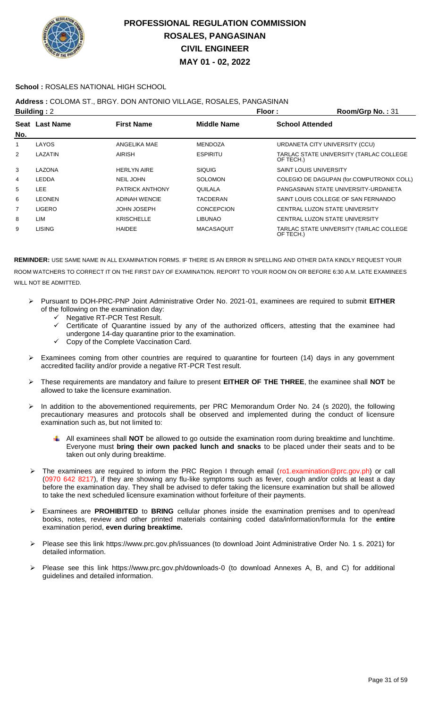

### **School :** ROSALES NATIONAL HIGH SCHOOL

## **Address :** COLOMA ST., BRGY. DON ANTONIO VILLAGE, ROSALES, PANGASINAN

| <b>Building: 2</b> |                |                        |                    | Floor:<br>Room/Grp No.: 31                           |
|--------------------|----------------|------------------------|--------------------|------------------------------------------------------|
| No.                | Seat Last Name | <b>First Name</b>      | <b>Middle Name</b> | <b>School Attended</b>                               |
| 1                  | LAYOS          | ANGELIKA MAE           | <b>MENDOZA</b>     | URDANETA CITY UNIVERSITY (CCU)                       |
| 2                  | LAZATIN        | AIRISH                 | <b>ESPIRITU</b>    | TARLAC STATE UNIVERSITY (TARLAC COLLEGE<br>OF TECH.) |
| 3                  | LAZONA         | <b>HERLYN AIRE</b>     | <b>SIQUIG</b>      | <b>SAINT LOUIS UNIVERSITY</b>                        |
| 4                  | LEDDA          | <b>NEIL JOHN</b>       | <b>SOLOMON</b>     | COLEGIO DE DAGUPAN (for.COMPUTRONIX COLL)            |
| 5                  | <b>LEE</b>     | <b>PATRICK ANTHONY</b> | QUILALA            | PANGASINAN STATE UNIVERSITY-URDANETA                 |
| 6                  | <b>LEONEN</b>  | <b>ADINAH WENCIE</b>   | TACDERAN           | SAINT LOUIS COLLEGE OF SAN FERNANDO                  |
| $\overline{7}$     | <b>LIGERO</b>  | <b>JOHN JOSEPH</b>     | <b>CONCEPCION</b>  | CENTRAL LUZON STATE UNIVERSITY                       |
| 8                  | LIM            | <b>KRISCHELLE</b>      | <b>LIBUNAO</b>     | CENTRAL LUZON STATE UNIVERSITY                       |
| 9                  | <b>LISING</b>  | <b>HAIDEE</b>          | <b>MACASAQUIT</b>  | TARLAC STATE UNIVERSITY (TARLAC COLLEGE<br>OF TECH.) |

- Pursuant to DOH-PRC-PNP Joint Administrative Order No. 2021-01, examinees are required to submit **EITHER** of the following on the examination day:
	- G Negative RT-PCR Test Result.<br>G Certificate of Quarantine issue
	- Certificate of Quarantine issued by any of the authorized officers, attesting that the examinee had undergone 14-day quarantine prior to the examination.
	- $\checkmark$  Copy of the Complete Vaccination Card.
- $\triangleright$  Examinees coming from other countries are required to quarantine for fourteen (14) days in any government accredited facility and/or provide a negative RT-PCR Test result.
- These requirements are mandatory and failure to present **EITHER OF THE THREE**, the examinee shall **NOT** be allowed to take the licensure examination.
- In addition to the abovementioned requirements, per PRC Memorandum Order No. 24 (s 2020), the following precautionary measures and protocols shall be observed and implemented during the conduct of licensure examination such as, but not limited to:
	- All examinees shall **NOT** be allowed to go outside the examination room during breaktime and lunchtime. Everyone must **bring their own packed lunch and snacks** to be placed under their seats and to be taken out only during breaktime.
- ▶ The examinees are required to inform the PRC Region I through email (ro1.examination@prc.gov.ph) or call (0970 642 8217), if they are showing any flu-like symptoms such as fever, cough and/or colds at least a day before the examination day. They shall be advised to defer taking the licensure examination but shall be allowed to take the next scheduled licensure examination without forfeiture of their payments.
- Examinees are **PROHIBITED** to **BRING** cellular phones inside the examination premises and to open/read books, notes, review and other printed materials containing coded data/information/formula for the **entire** examination period, **even during breaktime.**
- Please see this link https://www.prc.gov.ph/issuances (to download Joint Administrative Order No. 1 s. 2021) for detailed information.
- Please see this link https://www.prc.gov.ph/downloads-0 (to download Annexes A, B, and C) for additional guidelines and detailed information.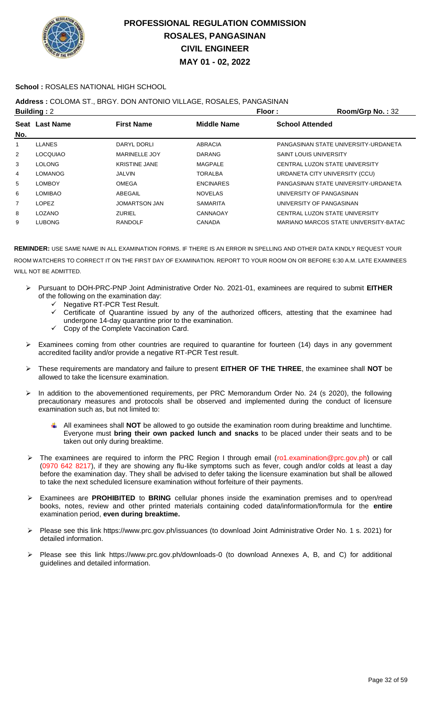

### **School :** ROSALES NATIONAL HIGH SCHOOL

## **Address :** COLOMA ST., BRGY. DON ANTONIO VILLAGE, ROSALES, PANGASINAN

| <b>Building: 2</b> |                 |                      | Floor:           | Room/Grp No.: 32                      |
|--------------------|-----------------|----------------------|------------------|---------------------------------------|
|                    | Seat Last Name  | <b>First Name</b>    | Middle Name      | <b>School Attended</b>                |
| No.                |                 |                      |                  |                                       |
| 1                  | <b>LLANES</b>   | DARYL DORLI          | ABRACIA          | PANGASINAN STATE UNIVERSITY-URDANETA  |
| 2                  | <b>LOCQUIAO</b> | <b>MARINELLE JOY</b> | <b>DARANG</b>    | <b>SAINT LOUIS UNIVERSITY</b>         |
| 3                  | <b>LOLONG</b>   | <b>KRISTINE JANE</b> | MAGPALE          | CENTRAL LUZON STATE UNIVERSITY        |
| $\overline{4}$     | <b>LOMANOG</b>  | JALVIN               | TORALBA          | URDANETA CITY UNIVERSITY (CCU)        |
| 5                  | <b>LOMBOY</b>   | <b>OMEGA</b>         | <b>ENCINARES</b> | PANGASINAN STATE UNIVERSITY-URDANETA  |
| 6                  | <b>LOMIBAO</b>  | ABEGAIL              | <b>NOVELAS</b>   | UNIVERSITY OF PANGASINAN              |
| $\overline{7}$     | LOPEZ           | <b>JOMARTSON JAN</b> | <b>SAMARITA</b>  | UNIVERSITY OF PANGASINAN              |
| 8                  | <b>LOZANO</b>   | <b>ZURIEL</b>        | CANNAOAY         | CENTRAL LUZON STATE UNIVERSITY        |
| 9                  | <b>LUBONG</b>   | <b>RANDOLF</b>       | <b>CANADA</b>    | MARIANO MARCOS STATE UNIVERSITY-BATAC |
|                    |                 |                      |                  |                                       |

- Pursuant to DOH-PRC-PNP Joint Administrative Order No. 2021-01, examinees are required to submit **EITHER** of the following on the examination day:
	- $\checkmark$  Negative RT-PCR Test Result.<br> $\checkmark$  Certificate of Quarantine issue
	- Certificate of Quarantine issued by any of the authorized officers, attesting that the examinee had undergone 14-day quarantine prior to the examination.
	- Copy of the Complete Vaccination Card.
- $\triangleright$  Examinees coming from other countries are required to quarantine for fourteen (14) days in any government accredited facility and/or provide a negative RT-PCR Test result.
- These requirements are mandatory and failure to present **EITHER OF THE THREE**, the examinee shall **NOT** be allowed to take the licensure examination.
- > In addition to the abovementioned requirements, per PRC Memorandum Order No. 24 (s 2020), the following precautionary measures and protocols shall be observed and implemented during the conduct of licensure examination such as, but not limited to:
	- All examinees shall **NOT** be allowed to go outside the examination room during breaktime and lunchtime. Everyone must **bring their own packed lunch and snacks** to be placed under their seats and to be taken out only during breaktime.
- The examinees are required to inform the PRC Region I through email (ro1.examination@prc.gov.ph) or call (0970 642 8217), if they are showing any flu-like symptoms such as fever, cough and/or colds at least a day before the examination day. They shall be advised to defer taking the licensure examination but shall be allowed to take the next scheduled licensure examination without forfeiture of their payments.
- Examinees are **PROHIBITED** to **BRING** cellular phones inside the examination premises and to open/read books, notes, review and other printed materials containing coded data/information/formula for the **entire** examination period, **even during breaktime.**
- Please see this link https://www.prc.gov.ph/issuances (to download Joint Administrative Order No. 1 s. 2021) for detailed information.
- Please see this link https://www.prc.gov.ph/downloads-0 (to download Annexes A, B, and C) for additional guidelines and detailed information.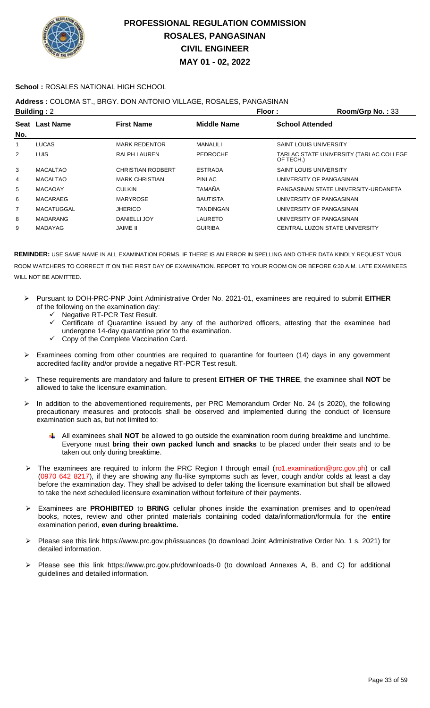

### **School :** ROSALES NATIONAL HIGH SCHOOL

### **Address :** COLOMA ST., BRGY. DON ANTONIO VILLAGE, ROSALES, PANGASINAN

|                | <b>Building: 2</b> |                          |                    | Floor:                        | Room/Grp No.: 33                        |
|----------------|--------------------|--------------------------|--------------------|-------------------------------|-----------------------------------------|
|                | Seat Last Name     | <b>First Name</b>        | <b>Middle Name</b> | <b>School Attended</b>        |                                         |
| No.            |                    |                          |                    |                               |                                         |
| 1              | <b>LUCAS</b>       | <b>MARK REDENTOR</b>     | <b>MANALILI</b>    | <b>SAINT LOUIS UNIVERSITY</b> |                                         |
| $\overline{2}$ | LUIS.              | <b>RALPH LAUREN</b>      | <b>PEDROCHE</b>    | OF TECH.)                     | TARLAC STATE UNIVERSITY (TARLAC COLLEGE |
| 3              | <b>MACALTAO</b>    | <b>CHRISTIAN RODBERT</b> | <b>ESTRADA</b>     | <b>SAINT LOUIS UNIVERSITY</b> |                                         |
| 4              | <b>MACALTAO</b>    | <b>MARK CHRISTIAN</b>    | <b>PINLAC</b>      |                               | UNIVERSITY OF PANGASINAN                |
| 5              | <b>MACAOAY</b>     | <b>CULKIN</b>            | <b>TAMAÑA</b>      |                               | PANGASINAN STATE UNIVERSITY-URDANETA    |
| 6              | MACARAEG           | <b>MARYROSE</b>          | <b>BAUTISTA</b>    |                               | UNIVERSITY OF PANGASINAN                |
| 7              | <b>MACATUGGAL</b>  | <b>JHERICO</b>           | TANDINGAN          |                               | UNIVERSITY OF PANGASINAN                |
| 8              | <b>MADARANG</b>    | DANIELLI JOY             | LAURETO            |                               | UNIVERSITY OF PANGASINAN                |
| 9              | <b>MADAYAG</b>     | JAIME II                 | <b>GUIRIBA</b>     |                               | CENTRAL LUZON STATE UNIVERSITY          |

- Pursuant to DOH-PRC-PNP Joint Administrative Order No. 2021-01, examinees are required to submit **EITHER** of the following on the examination day:
	- Negative RT-PCR Test Result.
	- $\checkmark$  Certificate of Quarantine issued by any of the authorized officers, attesting that the examinee had undergone 14-day quarantine prior to the examination.
		- Copy of the Complete Vaccination Card.
- Examinees coming from other countries are required to quarantine for fourteen (14) days in any government accredited facility and/or provide a negative RT-PCR Test result.
- These requirements are mandatory and failure to present **EITHER OF THE THREE**, the examinee shall **NOT** be allowed to take the licensure examination.
- In addition to the abovementioned requirements, per PRC Memorandum Order No. 24 (s 2020), the following precautionary measures and protocols shall be observed and implemented during the conduct of licensure examination such as, but not limited to:
	- All examinees shall **NOT** be allowed to go outside the examination room during breaktime and lunchtime. Everyone must **bring their own packed lunch and snacks** to be placed under their seats and to be taken out only during breaktime.
- > The examinees are required to inform the PRC Region I through email (ro1.examination@prc.gov.ph) or call (0970 642 8217), if they are showing any flu-like symptoms such as fever, cough and/or colds at least a day before the examination day. They shall be advised to defer taking the licensure examination but shall be allowed to take the next scheduled licensure examination without forfeiture of their payments.
- Examinees are **PROHIBITED** to **BRING** cellular phones inside the examination premises and to open/read books, notes, review and other printed materials containing coded data/information/formula for the **entire** examination period, **even during breaktime.**
- Please see this link https://www.prc.gov.ph/issuances (to download Joint Administrative Order No. 1 s. 2021) for detailed information.
- Please see this link https://www.prc.gov.ph/downloads-0 (to download Annexes A, B, and C) for additional guidelines and detailed information.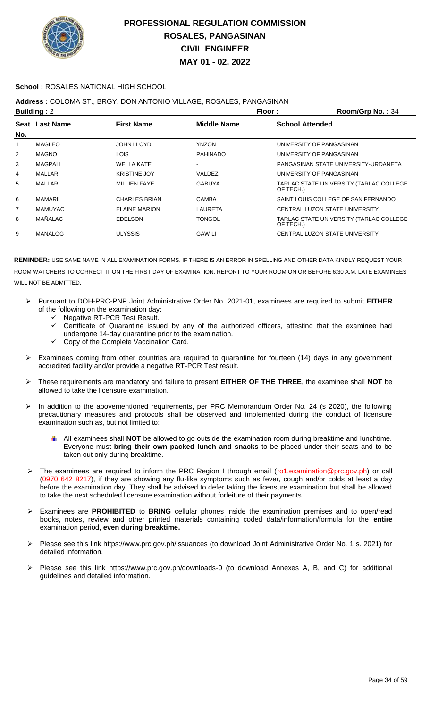

### **School :** ROSALES NATIONAL HIGH SCHOOL

## **Address :** COLOMA ST., BRGY. DON ANTONIO VILLAGE, ROSALES, PANGASINAN

| Floor:<br><b>Building: 2</b><br>Room/Grp No.: 34 |                |                      |                    |                                                      |
|--------------------------------------------------|----------------|----------------------|--------------------|------------------------------------------------------|
| No.                                              | Seat Last Name | <b>First Name</b>    | <b>Middle Name</b> | <b>School Attended</b>                               |
| 1                                                | <b>MAGLEO</b>  | <b>JOHN LLOYD</b>    | <b>YNZON</b>       | UNIVERSITY OF PANGASINAN                             |
| 2                                                | <b>MAGNO</b>   | LOIS                 | <b>PAHINADO</b>    | UNIVERSITY OF PANGASINAN                             |
| 3                                                | <b>MAGPALI</b> | <b>WELLA KATE</b>    |                    | PANGASINAN STATE UNIVERSITY-URDANETA                 |
| 4                                                | MALLARI        | <b>KRISTINE JOY</b>  | VALDEZ             | UNIVERSITY OF PANGASINAN                             |
| 5                                                | MALLARI        | <b>MILLIEN FAYE</b>  | <b>GABUYA</b>      | TARLAC STATE UNIVERSITY (TARLAC COLLEGE<br>OF TECH.) |
| 6                                                | <b>MAMARIL</b> | <b>CHARLES BRIAN</b> | CAMBA              | SAINT LOUIS COLLEGE OF SAN FERNANDO                  |
| $\overline{7}$                                   | <b>MAMUYAC</b> | <b>ELAINE MARION</b> | LAURETA            | CENTRAL LUZON STATE UNIVERSITY                       |
| 8                                                | MAÑALAC        | <b>EDELSON</b>       | <b>TONGOL</b>      | TARLAC STATE UNIVERSITY (TARLAC COLLEGE<br>OF TECH.) |
| 9                                                | <b>MANALOG</b> | <b>ULYSSIS</b>       | <b>GAWILI</b>      | CENTRAL LUZON STATE UNIVERSITY                       |
|                                                  |                |                      |                    |                                                      |

- Pursuant to DOH-PRC-PNP Joint Administrative Order No. 2021-01, examinees are required to submit **EITHER** of the following on the examination day:
	- Negative RT-PCR Test Result.
	- $\checkmark$  Certificate of Quarantine issued by any of the authorized officers, attesting that the examinee had undergone 14-day quarantine prior to the examination.
	- Copy of the Complete Vaccination Card.
- Examinees coming from other countries are required to quarantine for fourteen (14) days in any government accredited facility and/or provide a negative RT-PCR Test result.
- These requirements are mandatory and failure to present **EITHER OF THE THREE**, the examinee shall **NOT** be allowed to take the licensure examination.
- In addition to the abovementioned requirements, per PRC Memorandum Order No. 24 (s 2020), the following precautionary measures and protocols shall be observed and implemented during the conduct of licensure examination such as, but not limited to:
	- All examinees shall **NOT** be allowed to go outside the examination room during breaktime and lunchtime. Everyone must **bring their own packed lunch and snacks** to be placed under their seats and to be taken out only during breaktime.
- The examinees are required to inform the PRC Region I through email (ro1.examination@prc.gov.ph) or call (0970 642 8217), if they are showing any flu-like symptoms such as fever, cough and/or colds at least a day before the examination day. They shall be advised to defer taking the licensure examination but shall be allowed to take the next scheduled licensure examination without forfeiture of their payments.
- Examinees are **PROHIBITED** to **BRING** cellular phones inside the examination premises and to open/read books, notes, review and other printed materials containing coded data/information/formula for the **entire** examination period, **even during breaktime.**
- Please see this link https://www.prc.gov.ph/issuances (to download Joint Administrative Order No. 1 s. 2021) for detailed information.
- Please see this link https://www.prc.gov.ph/downloads-0 (to download Annexes A, B, and C) for additional guidelines and detailed information.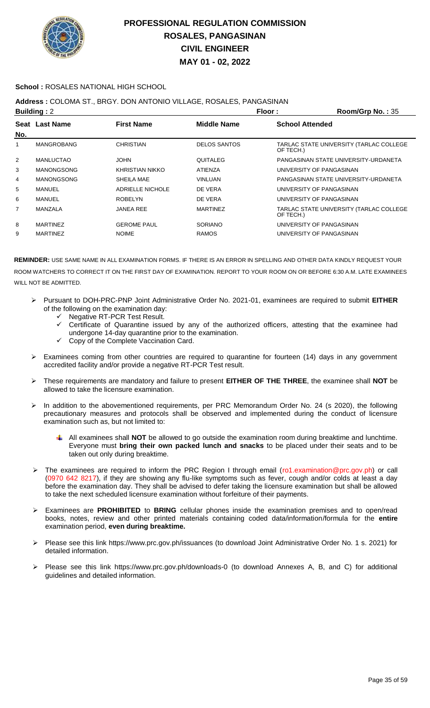

### **School :** ROSALES NATIONAL HIGH SCHOOL

### **Address :** COLOMA ST., BRGY. DON ANTONIO VILLAGE, ROSALES, PANGASINAN

|             | <b>Building: 2</b> | Floor:<br>Room/Grp No.: 35 |                     |                                                      |
|-------------|--------------------|----------------------------|---------------------|------------------------------------------------------|
| Seat<br>No. | <b>Last Name</b>   | <b>First Name</b>          | <b>Middle Name</b>  | <b>School Attended</b>                               |
| 1           | <b>MANGROBANG</b>  | <b>CHRISTIAN</b>           | <b>DELOS SANTOS</b> | TARLAC STATE UNIVERSITY (TARLAC COLLEGE<br>OF TECH.) |
| 2           | <b>MANLUCTAO</b>   | <b>JOHN</b>                | <b>QUITALEG</b>     | PANGASINAN STATE UNIVERSITY-URDANETA                 |
| 3           | <b>MANONGSONG</b>  | KHRISTIAN NIKKO            | <b>ATIENZA</b>      | UNIVERSITY OF PANGASINAN                             |
| 4           | <b>MANONGSONG</b>  | SHEILA MAE                 | <b>VINLUAN</b>      | PANGASINAN STATE UNIVERSITY-URDANETA                 |
| 5           | MANUEL             | ADRIELLE NICHOLE           | DE VERA             | UNIVERSITY OF PANGASINAN                             |
| 6           | MANUEL             | <b>ROBELYN</b>             | DE VERA             | UNIVERSITY OF PANGASINAN                             |
| 7           | MANZALA            | <b>JANEA REE</b>           | <b>MARTINEZ</b>     | TARLAC STATE UNIVERSITY (TARLAC COLLEGE<br>OF TECH.) |
| 8           | <b>MARTINEZ</b>    | <b>GEROME PAUL</b>         | <b>SORIANO</b>      | UNIVERSITY OF PANGASINAN                             |
| 9           | <b>MARTINEZ</b>    | <b>NOIME</b>               | <b>RAMOS</b>        | UNIVERSITY OF PANGASINAN                             |
|             |                    |                            |                     |                                                      |

- Pursuant to DOH-PRC-PNP Joint Administrative Order No. 2021-01, examinees are required to submit **EITHER** of the following on the examination day:
	- G Negative RT-PCR Test Result.<br>Generational of Quarantine issue
	- Certificate of Quarantine issued by any of the authorized officers, attesting that the examinee had undergone 14-day quarantine prior to the examination.
	- Copy of the Complete Vaccination Card.
- $\triangleright$  Examinees coming from other countries are required to quarantine for fourteen (14) days in any government accredited facility and/or provide a negative RT-PCR Test result.
- These requirements are mandatory and failure to present **EITHER OF THE THREE**, the examinee shall **NOT** be allowed to take the licensure examination.
- In addition to the abovementioned requirements, per PRC Memorandum Order No. 24 (s 2020), the following precautionary measures and protocols shall be observed and implemented during the conduct of licensure examination such as, but not limited to:
	- All examinees shall **NOT** be allowed to go outside the examination room during breaktime and lunchtime. Everyone must **bring their own packed lunch and snacks** to be placed under their seats and to be taken out only during breaktime.
- ▶ The examinees are required to inform the PRC Region I through email (ro1.examination@prc.gov.ph) or call (0970 642 8217), if they are showing any flu-like symptoms such as fever, cough and/or colds at least a day before the examination day. They shall be advised to defer taking the licensure examination but shall be allowed to take the next scheduled licensure examination without forfeiture of their payments.
- Examinees are **PROHIBITED** to **BRING** cellular phones inside the examination premises and to open/read books, notes, review and other printed materials containing coded data/information/formula for the **entire** examination period, **even during breaktime.**
- Please see this link https://www.prc.gov.ph/issuances (to download Joint Administrative Order No. 1 s. 2021) for detailed information.
- Please see this link https://www.prc.gov.ph/downloads-0 (to download Annexes A, B, and C) for additional guidelines and detailed information.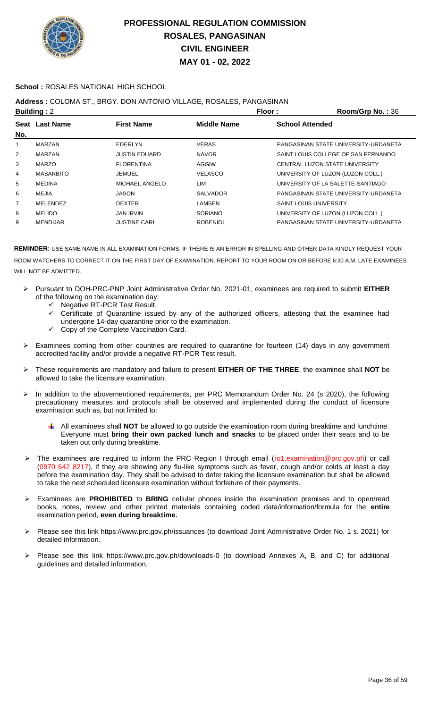

### **School :** ROSALES NATIONAL HIGH SCHOOL

## **Address :** COLOMA ST., BRGY. DON ANTONIO VILLAGE, ROSALES, PANGASINAN

| <b>Building: 2</b> |                  |                      | Floor:             | Room/Grp No.: 36                     |
|--------------------|------------------|----------------------|--------------------|--------------------------------------|
|                    | Seat Last Name   | <b>First Name</b>    | <b>Middle Name</b> | <b>School Attended</b>               |
| No.                |                  |                      |                    |                                      |
| 1                  | <b>MARZAN</b>    | <b>EDERLYN</b>       | <b>VERAS</b>       | PANGASINAN STATE UNIVERSITY-URDANETA |
| $\overline{2}$     | <b>MARZAN</b>    | <b>JUSTIN EDUARD</b> | <b>NAVOR</b>       | SAINT LOUIS COLLEGE OF SAN FERNANDO  |
| 3                  | <b>MARZO</b>     | <b>FLORENTINA</b>    | AGGIW              | CENTRAL LUZON STATE UNIVERSITY       |
| 4                  | <b>MASARBITO</b> | JEMUEL               | <b>VELASCO</b>     | UNIVERSITY OF LUZON (LUZON COLL.)    |
| 5                  | <b>MEDINA</b>    | MICHAEL ANGELO       | LIM                | UNIVERSITY OF LA SALETTE-SANTIAGO    |
| 6                  | <b>MEJIA</b>     | JASON                | <b>SALVADOR</b>    | PANGASINAN STATE UNIVERSITY-URDANETA |
| 7                  | <b>MELENDEZ</b>  | <b>DEXTER</b>        | LAMSEN             | <b>SAINT LOUIS UNIVERSITY</b>        |
| 8                  | <b>MELIDO</b>    | <b>JAN IRVIN</b>     | <b>SORIANO</b>     | UNIVERSITY OF LUZON (LUZON COLL.)    |
| 9                  | <b>MENDIJAR</b>  | <b>JUSTINE CARL</b>  | <b>ROBENIOL</b>    | PANGASINAN STATE UNIVERSITY-URDANETA |
|                    |                  |                      |                    |                                      |

- Pursuant to DOH-PRC-PNP Joint Administrative Order No. 2021-01, examinees are required to submit **EITHER** of the following on the examination day:
	- G Negative RT-PCR Test Result.<br>G Certificate of Quarantine issue
	- Certificate of Quarantine issued by any of the authorized officers, attesting that the examinee had undergone 14-day quarantine prior to the examination.
	- $\checkmark$  Copy of the Complete Vaccination Card.
- $\triangleright$  Examinees coming from other countries are required to quarantine for fourteen (14) days in any government accredited facility and/or provide a negative RT-PCR Test result.
- These requirements are mandatory and failure to present **EITHER OF THE THREE**, the examinee shall **NOT** be allowed to take the licensure examination.
- In addition to the abovementioned requirements, per PRC Memorandum Order No. 24 (s 2020), the following precautionary measures and protocols shall be observed and implemented during the conduct of licensure examination such as, but not limited to:
	- All examinees shall **NOT** be allowed to go outside the examination room during breaktime and lunchtime. ٠ Everyone must **bring their own packed lunch and snacks** to be placed under their seats and to be taken out only during breaktime.
- The examinees are required to inform the PRC Region I through email (ro1.examination@prc.gov.ph) or call (0970 642 8217), if they are showing any flu-like symptoms such as fever, cough and/or colds at least a day before the examination day. They shall be advised to defer taking the licensure examination but shall be allowed to take the next scheduled licensure examination without forfeiture of their payments.
- Examinees are **PROHIBITED** to **BRING** cellular phones inside the examination premises and to open/read books, notes, review and other printed materials containing coded data/information/formula for the **entire** examination period, **even during breaktime.**
- Please see this link https://www.prc.gov.ph/issuances (to download Joint Administrative Order No. 1 s. 2021) for detailed information.
- Please see this link https://www.prc.gov.ph/downloads-0 (to download Annexes A, B, and C) for additional guidelines and detailed information.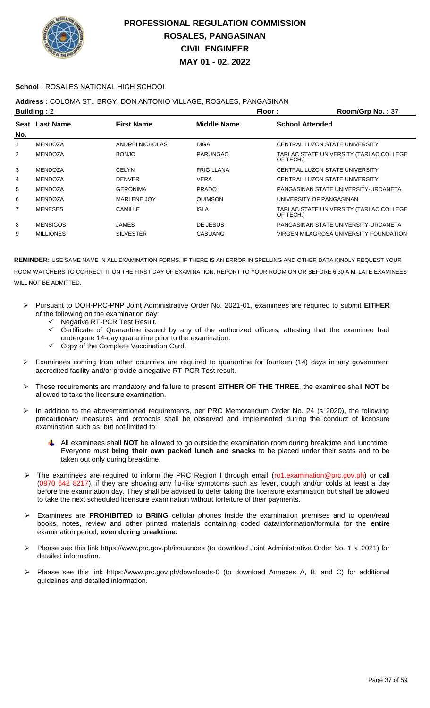

### **School :** ROSALES NATIONAL HIGH SCHOOL

## **Address :** COLOMA ST., BRGY. DON ANTONIO VILLAGE, ROSALES, PANGASINAN

|                | <b>Building: 2</b> |                   | Floor:             | Room/Grp No.: 37                                     |
|----------------|--------------------|-------------------|--------------------|------------------------------------------------------|
| No.            | Seat Last Name     | <b>First Name</b> | <b>Middle Name</b> | <b>School Attended</b>                               |
|                | <b>MENDOZA</b>     | ANDREI NICHOLAS   | <b>DIGA</b>        | CENTRAL LUZON STATE UNIVERSITY                       |
| $\overline{2}$ | <b>MENDOZA</b>     | <b>BONJO</b>      | <b>PARUNGAO</b>    | TARLAC STATE UNIVERSITY (TARLAC COLLEGE<br>OF TECH.) |
| 3              | <b>MENDOZA</b>     | <b>CELYN</b>      | <b>FRIGILLANA</b>  | CENTRAL LUZON STATE UNIVERSITY                       |
| 4              | <b>MENDOZA</b>     | <b>DENVER</b>     | <b>VERA</b>        | CENTRAL LUZON STATE UNIVERSITY                       |
| 5              | <b>MENDOZA</b>     | <b>GERONIMA</b>   | <b>PRADO</b>       | PANGASINAN STATE UNIVERSITY-URDANETA                 |
| 6              | <b>MENDOZA</b>     | MARLENE JOY       | QUIMSON            | UNIVERSITY OF PANGASINAN                             |
| 7              | <b>MENESES</b>     | CAMILLE           | <b>ISLA</b>        | TARLAC STATE UNIVERSITY (TARLAC COLLEGE<br>OF TECH.) |
| 8              | <b>MENSIGOS</b>    | JAMES             | DE JESUS           | PANGASINAN STATE UNIVERSITY-URDANETA                 |
| 9              | <b>MILLIONES</b>   | <b>SILVESTER</b>  | <b>CABUANG</b>     | VIRGEN MILAGROSA UNIVERSITY FOUNDATION               |
|                |                    |                   |                    |                                                      |

- Pursuant to DOH-PRC-PNP Joint Administrative Order No. 2021-01, examinees are required to submit **EITHER** of the following on the examination day:
	- $\checkmark$  Negative RT-PCR Test Result.
	- $\checkmark$  Certificate of Quarantine issued by any of the authorized officers, attesting that the examinee had undergone 14-day quarantine prior to the examination.
	- Copy of the Complete Vaccination Card.
- Examinees coming from other countries are required to quarantine for fourteen (14) days in any government accredited facility and/or provide a negative RT-PCR Test result.
- These requirements are mandatory and failure to present **EITHER OF THE THREE**, the examinee shall **NOT** be allowed to take the licensure examination.
- In addition to the abovementioned requirements, per PRC Memorandum Order No. 24 (s 2020), the following precautionary measures and protocols shall be observed and implemented during the conduct of licensure examination such as, but not limited to:
	- All examinees shall **NOT** be allowed to go outside the examination room during breaktime and lunchtime. Everyone must **bring their own packed lunch and snacks** to be placed under their seats and to be taken out only during breaktime.
- The examinees are required to inform the PRC Region I through email (ro1.examination@prc.gov.ph) or call (0970 642 8217), if they are showing any flu-like symptoms such as fever, cough and/or colds at least a day before the examination day. They shall be advised to defer taking the licensure examination but shall be allowed to take the next scheduled licensure examination without forfeiture of their payments.
- Examinees are **PROHIBITED** to **BRING** cellular phones inside the examination premises and to open/read books, notes, review and other printed materials containing coded data/information/formula for the **entire** examination period, **even during breaktime.**
- Please see this link https://www.prc.gov.ph/issuances (to download Joint Administrative Order No. 1 s. 2021) for detailed information.
- Please see this link https://www.prc.gov.ph/downloads-0 (to download Annexes A, B, and C) for additional guidelines and detailed information.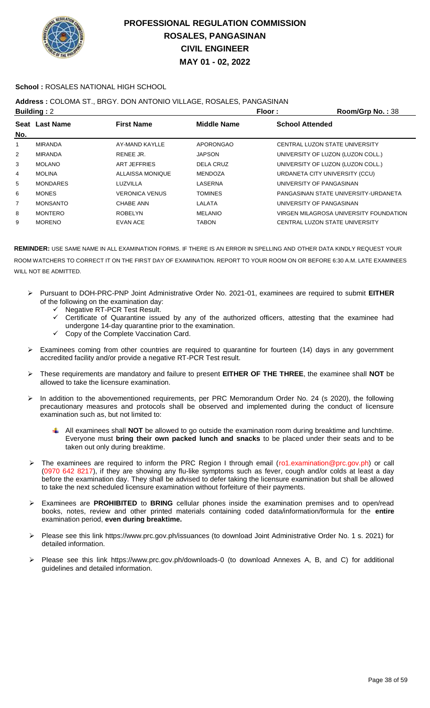

### **School :** ROSALES NATIONAL HIGH SCHOOL

### **Address :** COLOMA ST., BRGY. DON ANTONIO VILLAGE, ROSALES, PANGASINAN

|                 |                                      | Floor:             | <b>Room/Grp No.: 38</b>                |
|-----------------|--------------------------------------|--------------------|----------------------------------------|
|                 | <b>First Name</b>                    | <b>Middle Name</b> | <b>School Attended</b>                 |
|                 |                                      |                    |                                        |
| <b>MIRANDA</b>  | AY-MAND KAYLLE                       | APORONGAO          | CENTRAL LUZON STATE UNIVERSITY         |
| <b>MIRANDA</b>  | RENEE JR.                            | <b>JAPSON</b>      | UNIVERSITY OF LUZON (LUZON COLL.)      |
| <b>MOLANO</b>   | ART JEFFRIES                         | DELA CRUZ          | UNIVERSITY OF LUZON (LUZON COLL.)      |
| <b>MOLINA</b>   | ALLAISSA MONIQUE                     | <b>MENDOZA</b>     | URDANETA CITY UNIVERSITY (CCU)         |
| <b>MONDARES</b> | LUZVILLA                             | LASERNA            | UNIVERSITY OF PANGASINAN               |
| <b>MONES</b>    | <b>VERONICA VENUS</b>                | <b>TOMINES</b>     | PANGASINAN STATE UNIVERSITY-URDANETA   |
| <b>MONSANTO</b> | CHABE ANN                            | LALATA             | UNIVERSITY OF PANGASINAN               |
| <b>MONTERO</b>  | <b>ROBELYN</b>                       | <b>MELANIO</b>     | VIRGEN MILAGROSA UNIVERSITY FOUNDATION |
| <b>MORENO</b>   | <b>EVAN ACE</b>                      | <b>TABON</b>       | CENTRAL LUZON STATE UNIVERSITY         |
|                 | <b>Building: 2</b><br>Seat Last Name |                    |                                        |

- Pursuant to DOH-PRC-PNP Joint Administrative Order No. 2021-01, examinees are required to submit **EITHER** of the following on the examination day:
	- ← Negative RT-PCR Test Result.
	- Certificate of Quarantine issued by any of the authorized officers, attesting that the examinee had undergone 14-day quarantine prior to the examination.
	- $\checkmark$  Copy of the Complete Vaccination Card.
- Examinees coming from other countries are required to quarantine for fourteen (14) days in any government accredited facility and/or provide a negative RT-PCR Test result.
- These requirements are mandatory and failure to present **EITHER OF THE THREE**, the examinee shall **NOT** be allowed to take the licensure examination.
- In addition to the abovementioned requirements, per PRC Memorandum Order No. 24 (s 2020), the following precautionary measures and protocols shall be observed and implemented during the conduct of licensure examination such as, but not limited to:
	- All examinees shall **NOT** be allowed to go outside the examination room during breaktime and lunchtime. Everyone must **bring their own packed lunch and snacks** to be placed under their seats and to be taken out only during breaktime.
- The examinees are required to inform the PRC Region I through email (ro1.examination@prc.gov.ph) or call (0970 642 8217), if they are showing any flu-like symptoms such as fever, cough and/or colds at least a day before the examination day. They shall be advised to defer taking the licensure examination but shall be allowed to take the next scheduled licensure examination without forfeiture of their payments.
- Examinees are **PROHIBITED** to **BRING** cellular phones inside the examination premises and to open/read books, notes, review and other printed materials containing coded data/information/formula for the **entire** examination period, **even during breaktime.**
- Please see this link https://www.prc.gov.ph/issuances (to download Joint Administrative Order No. 1 s. 2021) for detailed information.
- Please see this link https://www.prc.gov.ph/downloads-0 (to download Annexes A, B, and C) for additional guidelines and detailed information.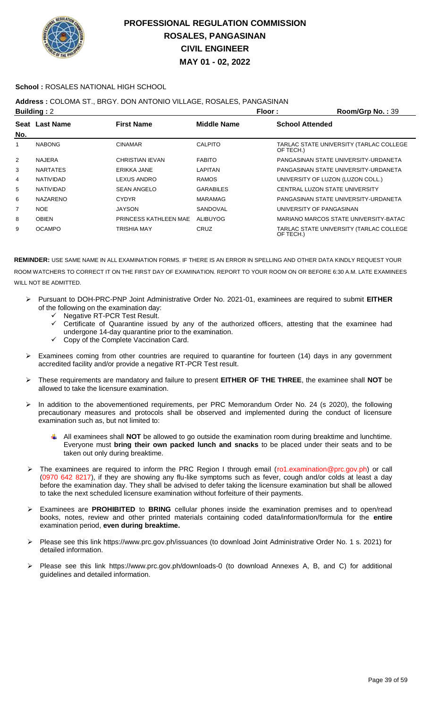

### **School :** ROSALES NATIONAL HIGH SCHOOL

### **Address :** COLOMA ST., BRGY. DON ANTONIO VILLAGE, ROSALES, PANGASINAN

|                | <b>Building: 2</b> |                       | Floor:             | Room/Grp No.: 39                                     |
|----------------|--------------------|-----------------------|--------------------|------------------------------------------------------|
| No.            | Seat Last Name     | <b>First Name</b>     | <b>Middle Name</b> | <b>School Attended</b>                               |
| 1              | <b>NABONG</b>      | <b>CINAMAR</b>        | <b>CALPITO</b>     | TARLAC STATE UNIVERSITY (TARLAC COLLEGE<br>OF TECH.) |
| $\overline{2}$ | <b>NAJERA</b>      | CHRISTIAN IEVAN       | <b>FABITO</b>      | PANGASINAN STATE UNIVERSITY-URDANETA                 |
| 3              | <b>NARTATES</b>    | ERIKKA JANE           | LAPITAN            | PANGASINAN STATE UNIVERSITY-URDANETA                 |
| 4              | <b>NATIVIDAD</b>   | LEXUS ANDRO           | <b>RAMOS</b>       | UNIVERSITY OF LUZON (LUZON COLL.)                    |
| 5              | <b>NATIVIDAD</b>   | <b>SEAN ANGELO</b>    | <b>GARABILES</b>   | CENTRAL LUZON STATE UNIVERSITY                       |
| 6              | <b>NAZARENO</b>    | <b>CYDYR</b>          | MARAMAG            | PANGASINAN STATE UNIVERSITY-URDANETA                 |
| $\overline{7}$ | <b>NOE</b>         | <b>JAYSON</b>         | SANDOVAL           | UNIVERSITY OF PANGASINAN                             |
| 8              | <b>OBIEN</b>       | PRINCESS KATHLEEN MAE | ALIBUYOG           | MARIANO MARCOS STATE UNIVERSITY-BATAC                |
| 9              | <b>OCAMPO</b>      | <b>TRISHIA MAY</b>    | CRUZ               | TARLAC STATE UNIVERSITY (TARLAC COLLEGE<br>OF TECH.) |

- Pursuant to DOH-PRC-PNP Joint Administrative Order No. 2021-01, examinees are required to submit **EITHER** of the following on the examination day:
	- Negative RT-PCR Test Result.
	- Certificate of Quarantine issued by any of the authorized officers, attesting that the examinee had undergone 14-day quarantine prior to the examination.
	- Copy of the Complete Vaccination Card.
- > Examinees coming from other countries are required to quarantine for fourteen (14) days in any government accredited facility and/or provide a negative RT-PCR Test result.
- These requirements are mandatory and failure to present **EITHER OF THE THREE**, the examinee shall **NOT** be allowed to take the licensure examination.
- In addition to the abovementioned requirements, per PRC Memorandum Order No. 24 (s 2020), the following precautionary measures and protocols shall be observed and implemented during the conduct of licensure examination such as, but not limited to:
	- All examinees shall **NOT** be allowed to go outside the examination room during breaktime and lunchtime. Everyone must **bring their own packed lunch and snacks** to be placed under their seats and to be taken out only during breaktime.
- The examinees are required to inform the PRC Region I through email (ro1.examination@prc.gov.ph) or call (0970 642 8217), if they are showing any flu-like symptoms such as fever, cough and/or colds at least a day before the examination day. They shall be advised to defer taking the licensure examination but shall be allowed to take the next scheduled licensure examination without forfeiture of their payments.
- Examinees are **PROHIBITED** to **BRING** cellular phones inside the examination premises and to open/read books, notes, review and other printed materials containing coded data/information/formula for the **entire** examination period, **even during breaktime.**
- Please see this link https://www.prc.gov.ph/issuances (to download Joint Administrative Order No. 1 s. 2021) for detailed information.
- Please see this link https://www.prc.gov.ph/downloads-0 (to download Annexes A, B, and C) for additional guidelines and detailed information.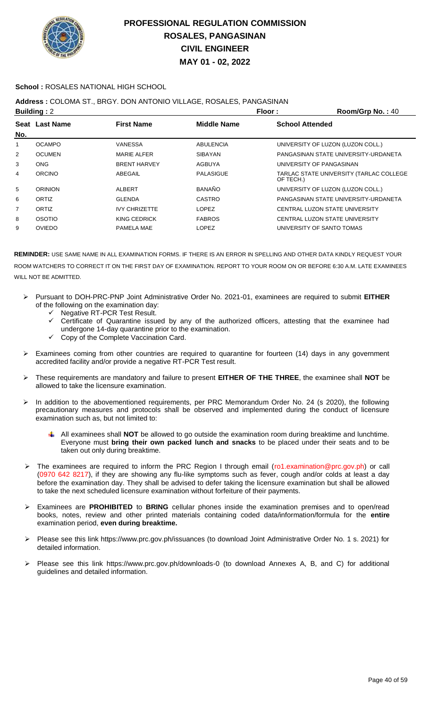

### **School :** ROSALES NATIONAL HIGH SCHOOL

## **Address :** COLOMA ST., BRGY. DON ANTONIO VILLAGE, ROSALES, PANGASINAN

|     | <b>Building: 2</b> |                      | Floor:             | Room/Grp No.: 40                                     |
|-----|--------------------|----------------------|--------------------|------------------------------------------------------|
|     | Seat Last Name     | <b>First Name</b>    | <b>Middle Name</b> | <b>School Attended</b>                               |
| No. |                    |                      |                    |                                                      |
| 1   | <b>OCAMPO</b>      | VANESSA              | <b>ABULENCIA</b>   | UNIVERSITY OF LUZON (LUZON COLL.)                    |
| 2   | <b>OCUMEN</b>      | <b>MARIE ALFER</b>   | <b>SIBAYAN</b>     | PANGASINAN STATE UNIVERSITY-URDANETA                 |
| 3   | <b>ONG</b>         | <b>BRENT HARVEY</b>  | <b>AGBUYA</b>      | UNIVERSITY OF PANGASINAN                             |
| 4   | ORCINO             | ABEGAIL              | PALASIGUE          | TARLAC STATE UNIVERSITY (TARLAC COLLEGE<br>OF TECH.) |
| 5   | <b>ORINION</b>     | ALBERT               | <b>BANAÑO</b>      | UNIVERSITY OF LUZON (LUZON COLL.)                    |
| 6   | ORTIZ              | <b>GLENDA</b>        | <b>CASTRO</b>      | PANGASINAN STATE UNIVERSITY-URDANETA                 |
| 7   | ORTIZ              | <b>IVY CHRIZETTE</b> | LOPEZ              | CENTRAL LUZON STATE UNIVERSITY                       |
| 8   | OSOTIO             | KING CEDRICK         | <b>FABROS</b>      | CENTRAL LUZON STATE UNIVERSITY                       |
| 9   | <b>OVIEDO</b>      | PAMELA MAE           | <b>LOPEZ</b>       | UNIVERSITY OF SANTO TOMAS                            |
|     |                    |                      |                    |                                                      |

- Pursuant to DOH-PRC-PNP Joint Administrative Order No. 2021-01, examinees are required to submit **EITHER** of the following on the examination day:
	- Negative RT-PCR Test Result.
	- Certificate of Quarantine issued by any of the authorized officers, attesting that the examinee had undergone 14-day quarantine prior to the examination.
	- Copy of the Complete Vaccination Card.
- Examinees coming from other countries are required to quarantine for fourteen (14) days in any government accredited facility and/or provide a negative RT-PCR Test result.
- These requirements are mandatory and failure to present **EITHER OF THE THREE**, the examinee shall **NOT** be allowed to take the licensure examination.
- > In addition to the abovementioned requirements, per PRC Memorandum Order No. 24 (s 2020), the following precautionary measures and protocols shall be observed and implemented during the conduct of licensure examination such as, but not limited to:
	- All examinees shall **NOT** be allowed to go outside the examination room during breaktime and lunchtime. Everyone must **bring their own packed lunch and snacks** to be placed under their seats and to be taken out only during breaktime.
- The examinees are required to inform the PRC Region I through email (ro1.examination@prc.gov.ph) or call (0970 642 8217), if they are showing any flu-like symptoms such as fever, cough and/or colds at least a day before the examination day. They shall be advised to defer taking the licensure examination but shall be allowed to take the next scheduled licensure examination without forfeiture of their payments.
- Examinees are **PROHIBITED** to **BRING** cellular phones inside the examination premises and to open/read books, notes, review and other printed materials containing coded data/information/formula for the **entire** examination period, **even during breaktime.**
- Please see this link https://www.prc.gov.ph/issuances (to download Joint Administrative Order No. 1 s. 2021) for detailed information.
- Please see this link https://www.prc.gov.ph/downloads-0 (to download Annexes A, B, and C) for additional guidelines and detailed information.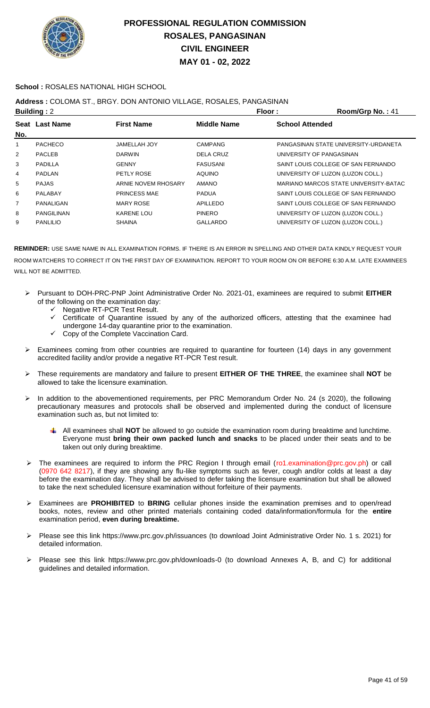

### **School :** ROSALES NATIONAL HIGH SCHOOL

## **Address :** COLOMA ST., BRGY. DON ANTONIO VILLAGE, ROSALES, PANGASINAN

|     | <b>Building: 2</b> |                     | Floor:         | Room/Grp No.: 41                      |
|-----|--------------------|---------------------|----------------|---------------------------------------|
|     | Seat Last Name     | <b>First Name</b>   | Middle Name    | <b>School Attended</b>                |
| No. |                    |                     |                |                                       |
| 1   | <b>PACHECO</b>     | <b>JAMELLAH JOY</b> | <b>CAMPANG</b> | PANGASINAN STATE UNIVERSITY-URDANETA  |
| 2   | <b>PACLEB</b>      | <b>DARWIN</b>       | DELA CRUZ      | UNIVERSITY OF PANGASINAN              |
| 3   | PADILLA            | <b>GENNY</b>        | FASUSANI       | SAINT LOUIS COLLEGE OF SAN FERNANDO   |
| 4   | <b>PADLAN</b>      | PETLY ROSE          | <b>AQUINO</b>  | UNIVERSITY OF LUZON (LUZON COLL.)     |
| 5   | <b>PAJAS</b>       | ARNIE NOVEM RHOSARY | <b>AMANO</b>   | MARIANO MARCOS STATE UNIVERSITY-BATAC |
| 6   | PALABAY            | <b>PRINCESS MAE</b> | <b>PADUA</b>   | SAINT LOUIS COLLEGE OF SAN FERNANDO   |
| 7   | PANALIGAN          | <b>MARY ROSE</b>    | APILLEDO       | SAINT LOUIS COLLEGE OF SAN FERNANDO   |
| 8   | <b>PANGILINAN</b>  | <b>KARENE LOU</b>   | <b>PINERO</b>  | UNIVERSITY OF LUZON (LUZON COLL.)     |
| 9   | <b>PANLILIO</b>    | <b>SHAINA</b>       | GALLARDO       | UNIVERSITY OF LUZON (LUZON COLL.)     |
|     |                    |                     |                |                                       |

- Pursuant to DOH-PRC-PNP Joint Administrative Order No. 2021-01, examinees are required to submit **EITHER** of the following on the examination day:
	- ← Negative RT-PCR Test Result.
	- Certificate of Quarantine issued by any of the authorized officers, attesting that the examinee had undergone 14-day quarantine prior to the examination.
	- Copy of the Complete Vaccination Card.
- $\triangleright$  Examinees coming from other countries are required to quarantine for fourteen (14) days in any government accredited facility and/or provide a negative RT-PCR Test result.
- These requirements are mandatory and failure to present **EITHER OF THE THREE**, the examinee shall **NOT** be allowed to take the licensure examination.
- In addition to the abovementioned requirements, per PRC Memorandum Order No. 24 (s 2020), the following precautionary measures and protocols shall be observed and implemented during the conduct of licensure examination such as, but not limited to:
	- All examinees shall **NOT** be allowed to go outside the examination room during breaktime and lunchtime. Everyone must **bring their own packed lunch and snacks** to be placed under their seats and to be taken out only during breaktime.
- The examinees are required to inform the PRC Region I through email (ro1.examination@prc.gov.ph) or call (0970 642 8217), if they are showing any flu-like symptoms such as fever, cough and/or colds at least a day before the examination day. They shall be advised to defer taking the licensure examination but shall be allowed to take the next scheduled licensure examination without forfeiture of their payments.
- Examinees are **PROHIBITED** to **BRING** cellular phones inside the examination premises and to open/read books, notes, review and other printed materials containing coded data/information/formula for the **entire** examination period, **even during breaktime.**
- Please see this link https://www.prc.gov.ph/issuances (to download Joint Administrative Order No. 1 s. 2021) for detailed information.
- Please see this link https://www.prc.gov.ph/downloads-0 (to download Annexes A, B, and C) for additional guidelines and detailed information.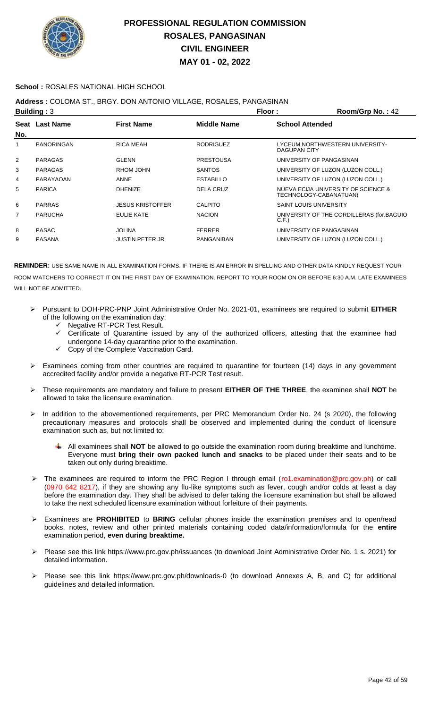

### **School :** ROSALES NATIONAL HIGH SCHOOL

### **Address :** COLOMA ST., BRGY. DON ANTONIO VILLAGE, ROSALES, PANGASINAN

|                | Building: $3$     |                         | Floor:             | Room/Grp No.: 42       |                                                               |
|----------------|-------------------|-------------------------|--------------------|------------------------|---------------------------------------------------------------|
|                | Seat Last Name    | <b>First Name</b>       | <b>Middle Name</b> | <b>School Attended</b> |                                                               |
| No.            |                   |                         |                    |                        |                                                               |
| 1              | <b>PANORINGAN</b> | <b>RICA MEAH</b>        | <b>RODRIGUEZ</b>   | DAGUPAN CITY           | LYCEUM NORTHWESTERN UNIVERSITY-                               |
| $\overline{2}$ | <b>PARAGAS</b>    | <b>GLENN</b>            | <b>PRESTOUSA</b>   |                        | UNIVERSITY OF PANGASINAN                                      |
| 3              | <b>PARAGAS</b>    | RHOM JOHN               | <b>SANTOS</b>      |                        | UNIVERSITY OF LUZON (LUZON COLL.)                             |
| 4              | PARAYAOAN         | <b>ANNE</b>             | <b>ESTABILLO</b>   |                        | UNIVERSITY OF LUZON (LUZON COLL.)                             |
| 5              | <b>PARICA</b>     | <b>DHENIZE</b>          | <b>DELA CRUZ</b>   |                        | NUEVA ECIJA UNIVERSITY OF SCIENCE &<br>TECHNOLOGY-CABANATUAN) |
| 6              | <b>PARRAS</b>     | <b>JESUS KRISTOFFER</b> | <b>CALPITO</b>     | SAINT LOUIS UNIVERSITY |                                                               |
| 7              | <b>PARUCHA</b>    | EULIE KATE              | <b>NACION</b>      | C.F.                   | UNIVERSITY OF THE CORDILLERAS (for.BAGUIO                     |
| 8              | <b>PASAC</b>      | <b>JOLINA</b>           | <b>FERRER</b>      |                        | UNIVERSITY OF PANGASINAN                                      |
| 9              | <b>PASANA</b>     | <b>JUSTIN PETER JR</b>  | <b>PANGANIBAN</b>  |                        | UNIVERSITY OF LUZON (LUZON COLL.)                             |

- Pursuant to DOH-PRC-PNP Joint Administrative Order No. 2021-01, examinees are required to submit **EITHER** of the following on the examination day:
	- Negative RT-PCR Test Result.
	- Certificate of Quarantine issued by any of the authorized officers, attesting that the examinee had
	- undergone 14-day quarantine prior to the examination. Copy of the Complete Vaccination Card.
- Examinees coming from other countries are required to quarantine for fourteen (14) days in any government accredited facility and/or provide a negative RT-PCR Test result.
- These requirements are mandatory and failure to present **EITHER OF THE THREE**, the examinee shall **NOT** be allowed to take the licensure examination.
- > In addition to the abovementioned requirements, per PRC Memorandum Order No. 24 (s 2020), the following precautionary measures and protocols shall be observed and implemented during the conduct of licensure examination such as, but not limited to:
	- All examinees shall **NOT** be allowed to go outside the examination room during breaktime and lunchtime. Everyone must **bring their own packed lunch and snacks** to be placed under their seats and to be taken out only during breaktime.
- > The examinees are required to inform the PRC Region I through email (ro1.examination@prc.gov.ph) or call (0970 642 8217), if they are showing any flu-like symptoms such as fever, cough and/or colds at least a day before the examination day. They shall be advised to defer taking the licensure examination but shall be allowed to take the next scheduled licensure examination without forfeiture of their payments.
- Examinees are **PROHIBITED** to **BRING** cellular phones inside the examination premises and to open/read books, notes, review and other printed materials containing coded data/information/formula for the **entire** examination period, **even during breaktime.**
- Please see this link https://www.prc.gov.ph/issuances (to download Joint Administrative Order No. 1 s. 2021) for detailed information.
- Please see this link https://www.prc.gov.ph/downloads-0 (to download Annexes A, B, and C) for additional guidelines and detailed information.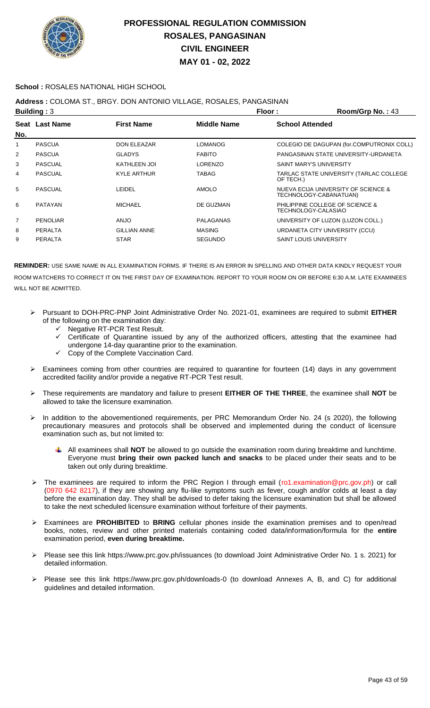

### **School :** ROSALES NATIONAL HIGH SCHOOL

### **Address :** COLOMA ST., BRGY. DON ANTONIO VILLAGE, ROSALES, PANGASINAN

|                | Building: $3$   |                     |                    | Floor:                         | Room/Grp No.: 43                                              |
|----------------|-----------------|---------------------|--------------------|--------------------------------|---------------------------------------------------------------|
|                | Seat Last Name  | <b>First Name</b>   | <b>Middle Name</b> | <b>School Attended</b>         |                                                               |
| No.            |                 |                     |                    |                                |                                                               |
| 1              | <b>PASCUA</b>   | DON ELEAZAR         | <b>LOMANOG</b>     |                                | COLEGIO DE DAGUPAN (for.COMPUTRONIX COLL)                     |
| $\overline{2}$ | <b>PASCUA</b>   | <b>GLADYS</b>       | <b>FABITO</b>      |                                | PANGASINAN STATE UNIVERSITY-URDANETA                          |
| 3              | <b>PASCUAL</b>  | <b>KATHLEEN JOI</b> | LORENZO            | <b>SAINT MARY'S UNIVERSITY</b> |                                                               |
| 4              | <b>PASCUAL</b>  | <b>KYLE ARTHUR</b>  | <b>TABAG</b>       | OF TECH.)                      | TARLAC STATE UNIVERSITY (TARLAC COLLEGE                       |
| 5              | <b>PASCUAL</b>  | LEIDEL              | <b>AMOLO</b>       |                                | NUEVA ECIJA UNIVERSITY OF SCIENCE &<br>TECHNOLOGY-CABANATUAN) |
| 6              | <b>PATAYAN</b>  | <b>MICHAEL</b>      | DE GUZMAN          | TECHNOLOGY-CALASIAO            | PHILIPPINE COLLEGE OF SCIENCE &                               |
| $\overline{7}$ | <b>PENOLIAR</b> | <b>OLIA</b>         | PALAGANAS          |                                | UNIVERSITY OF LUZON (LUZON COLL.)                             |
| 8              | PERALTA         | <b>GILLIAN ANNE</b> | <b>MASING</b>      |                                | URDANETA CITY UNIVERSITY (CCU)                                |
| 9              | <b>PERALTA</b>  | <b>STAR</b>         | <b>SEGUNDO</b>     | <b>SAINT LOUIS UNIVERSITY</b>  |                                                               |

- Pursuant to DOH-PRC-PNP Joint Administrative Order No. 2021-01, examinees are required to submit **EITHER** of the following on the examination day:
	- ← Negative RT-PCR Test Result.
	- Certificate of Quarantine issued by any of the authorized officers, attesting that the examinee had undergone 14-day quarantine prior to the examination.
	- Copy of the Complete Vaccination Card.
- Examinees coming from other countries are required to quarantine for fourteen (14) days in any government accredited facility and/or provide a negative RT-PCR Test result.
- These requirements are mandatory and failure to present **EITHER OF THE THREE**, the examinee shall **NOT** be allowed to take the licensure examination.
- > In addition to the abovementioned requirements, per PRC Memorandum Order No. 24 (s 2020), the following precautionary measures and protocols shall be observed and implemented during the conduct of licensure examination such as, but not limited to:
	- All examinees shall **NOT** be allowed to go outside the examination room during breaktime and lunchtime. Everyone must **bring their own packed lunch and snacks** to be placed under their seats and to be taken out only during breaktime.
- The examinees are required to inform the PRC Region I through email (ro1.examination@prc.gov.ph) or call (0970 642 8217), if they are showing any flu-like symptoms such as fever, cough and/or colds at least a day before the examination day. They shall be advised to defer taking the licensure examination but shall be allowed to take the next scheduled licensure examination without forfeiture of their payments.
- Examinees are **PROHIBITED** to **BRING** cellular phones inside the examination premises and to open/read books, notes, review and other printed materials containing coded data/information/formula for the **entire** examination period, **even during breaktime.**
- Please see this link https://www.prc.gov.ph/issuances (to download Joint Administrative Order No. 1 s. 2021) for detailed information.
- Please see this link https://www.prc.gov.ph/downloads-0 (to download Annexes A, B, and C) for additional guidelines and detailed information.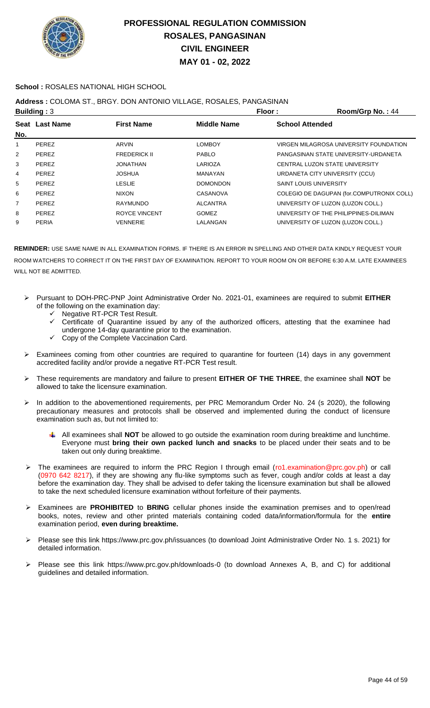

### **School :** ROSALES NATIONAL HIGH SCHOOL

## **Address :** COLOMA ST., BRGY. DON ANTONIO VILLAGE, ROSALES, PANGASINAN

|     | Building: $3$  |                      | Floor:          | Room/Grp No.: 44                          |
|-----|----------------|----------------------|-----------------|-------------------------------------------|
|     | Seat Last Name | <b>First Name</b>    | Middle Name     | <b>School Attended</b>                    |
| No. |                |                      |                 |                                           |
| 1   | <b>PEREZ</b>   | ARVIN                | <b>LOMBOY</b>   | VIRGEN MILAGROSA UNIVERSITY FOUNDATION    |
| 2   | <b>PEREZ</b>   | <b>FREDERICK II</b>  | <b>PABLO</b>    | PANGASINAN STATE UNIVERSITY-URDANETA      |
| 3   | <b>PEREZ</b>   | JONATHAN             | LARIOZA         | CENTRAL LUZON STATE UNIVERSITY            |
| 4   | <b>PEREZ</b>   | <b>JOSHUA</b>        | MANAYAN         | URDANETA CITY UNIVERSITY (CCU)            |
| 5   | <b>PEREZ</b>   | <b>LESLIE</b>        | <b>DOMONDON</b> | <b>SAINT LOUIS UNIVERSITY</b>             |
| 6   | <b>PEREZ</b>   | <b>NIXON</b>         | <b>CASANOVA</b> | COLEGIO DE DAGUPAN (for.COMPUTRONIX COLL) |
| 7   | <b>PEREZ</b>   | <b>RAYMUNDO</b>      | <b>ALCANTRA</b> | UNIVERSITY OF LUZON (LUZON COLL.)         |
| 8   | PEREZ          | <b>ROYCE VINCENT</b> | <b>GOMEZ</b>    | UNIVERSITY OF THE PHILIPPINES-DILIMAN     |
| 9   | <b>PERIA</b>   | <b>VENNERIE</b>      | LALANGAN        | UNIVERSITY OF LUZON (LUZON COLL.)         |
|     |                |                      |                 |                                           |

- Pursuant to DOH-PRC-PNP Joint Administrative Order No. 2021-01, examinees are required to submit **EITHER** of the following on the examination day:
	- $\checkmark$  Negative RT-PCR Test Result.<br> $\checkmark$  Certificate of Quarantine issue
	- Certificate of Quarantine issued by any of the authorized officers, attesting that the examinee had undergone 14-day quarantine prior to the examination.
	- Copy of the Complete Vaccination Card.
- $\triangleright$  Examinees coming from other countries are required to quarantine for fourteen (14) days in any government accredited facility and/or provide a negative RT-PCR Test result.
- These requirements are mandatory and failure to present **EITHER OF THE THREE**, the examinee shall **NOT** be allowed to take the licensure examination.
- > In addition to the abovementioned requirements, per PRC Memorandum Order No. 24 (s 2020), the following precautionary measures and protocols shall be observed and implemented during the conduct of licensure examination such as, but not limited to:
	- All examinees shall **NOT** be allowed to go outside the examination room during breaktime and lunchtime. Everyone must **bring their own packed lunch and snacks** to be placed under their seats and to be taken out only during breaktime.
- The examinees are required to inform the PRC Region I through email (ro1.examination@prc.gov.ph) or call (0970 642 8217), if they are showing any flu-like symptoms such as fever, cough and/or colds at least a day before the examination day. They shall be advised to defer taking the licensure examination but shall be allowed to take the next scheduled licensure examination without forfeiture of their payments.
- Examinees are **PROHIBITED** to **BRING** cellular phones inside the examination premises and to open/read books, notes, review and other printed materials containing coded data/information/formula for the **entire** examination period, **even during breaktime.**
- Please see this link https://www.prc.gov.ph/issuances (to download Joint Administrative Order No. 1 s. 2021) for detailed information.
- Please see this link https://www.prc.gov.ph/downloads-0 (to download Annexes A, B, and C) for additional guidelines and detailed information.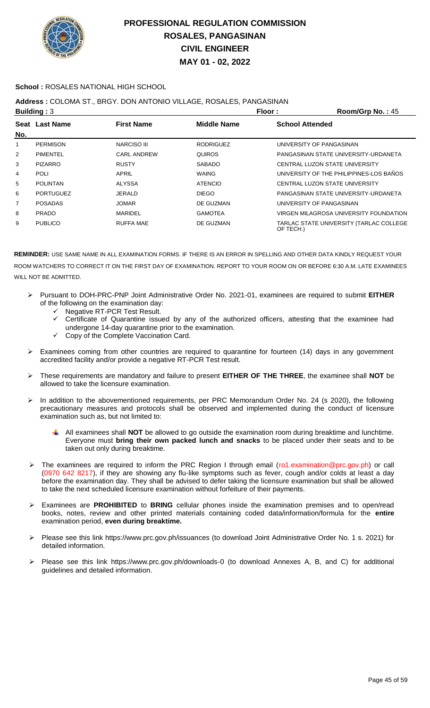

### **School :** ROSALES NATIONAL HIGH SCHOOL

## **Address :** COLOMA ST., BRGY. DON ANTONIO VILLAGE, ROSALES, PANGASINAN

|     | Building: $3$    |                    | Floor:           | Room/Grp No.: 45                                     |
|-----|------------------|--------------------|------------------|------------------------------------------------------|
|     | Seat Last Name   | <b>First Name</b>  | Middle Name      | <b>School Attended</b>                               |
| No. |                  |                    |                  |                                                      |
| 1   | <b>PERMISON</b>  | <b>NARCISO III</b> | <b>RODRIGUEZ</b> | UNIVERSITY OF PANGASINAN                             |
| 2   | <b>PIMENTEL</b>  | <b>CARL ANDREW</b> | <b>QUIROS</b>    | PANGASINAN STATE UNIVERSITY-URDANETA                 |
| 3   | <b>PIZARRO</b>   | <b>RUSTY</b>       | <b>SABADO</b>    | CENTRAL LUZON STATE UNIVERSITY                       |
| 4   | <b>POLI</b>      | APRIL              | <b>WAING</b>     | UNIVERSITY OF THE PHILIPPINES-LOS BAÑOS              |
| 5   | <b>POLINTAN</b>  | <b>ALYSSA</b>      | <b>ATENCIO</b>   | CENTRAL LUZON STATE UNIVERSITY                       |
| 6   | <b>PORTUGUEZ</b> | <b>JERALD</b>      | <b>DIEGO</b>     | PANGASINAN STATE UNIVERSITY-URDANETA                 |
| 7   | <b>POSADAS</b>   | <b>JOMAR</b>       | DE GUZMAN        | UNIVERSITY OF PANGASINAN                             |
| 8   | <b>PRADO</b>     | <b>MARIDEL</b>     | <b>GAMOTEA</b>   | VIRGEN MILAGROSA UNIVERSITY FOUNDATION               |
| 9   | <b>PUBLICO</b>   | <b>RUFFA MAE</b>   | DE GUZMAN        | TARLAC STATE UNIVERSITY (TARLAC COLLEGE<br>OF TECH.) |

- Pursuant to DOH-PRC-PNP Joint Administrative Order No. 2021-01, examinees are required to submit **EITHER** of the following on the examination day:
	- Negative RT-PCR Test Result.
	- Certificate of Quarantine issued by any of the authorized officers, attesting that the examinee had undergone 14-day quarantine prior to the examination.
	- Copy of the Complete Vaccination Card.
- Examinees coming from other countries are required to quarantine for fourteen (14) days in any government accredited facility and/or provide a negative RT-PCR Test result.
- These requirements are mandatory and failure to present **EITHER OF THE THREE**, the examinee shall **NOT** be allowed to take the licensure examination.
- In addition to the abovementioned requirements, per PRC Memorandum Order No. 24 (s 2020), the following precautionary measures and protocols shall be observed and implemented during the conduct of licensure examination such as, but not limited to:
	- All examinees shall **NOT** be allowed to go outside the examination room during breaktime and lunchtime. Everyone must **bring their own packed lunch and snacks** to be placed under their seats and to be taken out only during breaktime.
- The examinees are required to inform the PRC Region I through email (ro1.examination@prc.gov.ph) or call (0970 642 8217), if they are showing any flu-like symptoms such as fever, cough and/or colds at least a day before the examination day. They shall be advised to defer taking the licensure examination but shall be allowed to take the next scheduled licensure examination without forfeiture of their payments.
- Examinees are **PROHIBITED** to **BRING** cellular phones inside the examination premises and to open/read books, notes, review and other printed materials containing coded data/information/formula for the **entire** examination period, **even during breaktime.**
- Please see this link https://www.prc.gov.ph/issuances (to download Joint Administrative Order No. 1 s. 2021) for detailed information.
- Please see this link https://www.prc.gov.ph/downloads-0 (to download Annexes A, B, and C) for additional guidelines and detailed information.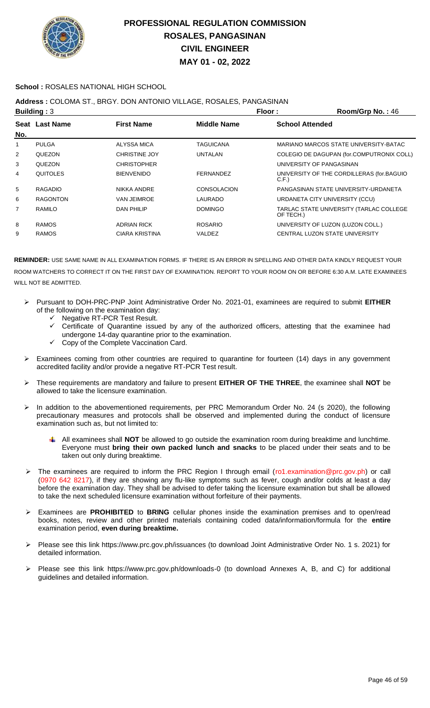

### **School :** ROSALES NATIONAL HIGH SCHOOL

## **Address :** COLOMA ST., BRGY. DON ANTONIO VILLAGE, ROSALES, PANGASINAN

|     | <b>Building: 3</b> |                       | Floor:             | Room/Grp No.: 46                                     |
|-----|--------------------|-----------------------|--------------------|------------------------------------------------------|
| No. | Seat Last Name     | <b>First Name</b>     | <b>Middle Name</b> | <b>School Attended</b>                               |
| 1   | <b>PULGA</b>       | ALYSSA MICA           | <b>TAGUICANA</b>   | MARIANO MARCOS STATE UNIVERSITY-BATAC                |
| 2   | <b>QUEZON</b>      | <b>CHRISTINE JOY</b>  | <b>UNTALAN</b>     | COLEGIO DE DAGUPAN (for.COMPUTRONIX COLL)            |
| 3   | <b>QUEZON</b>      | <b>CHRISTOPHER</b>    |                    | UNIVERSITY OF PANGASINAN                             |
| 4   | <b>QUITOLES</b>    | <b>BIENVENIDO</b>     | FERNANDEZ          | UNIVERSITY OF THE CORDILLERAS (for BAGUIO<br>C.F.    |
| 5   | RAGADIO            | NIKKA ANDRE           | <b>CONSOLACION</b> | PANGASINAN STATE UNIVERSITY-URDANETA                 |
| 6   | <b>RAGONTON</b>    | <b>VAN JEIMROE</b>    | LAURADO            | URDANETA CITY UNIVERSITY (CCU)                       |
| 7   | RAMILO             | <b>DAN PHILIP</b>     | <b>DOMINGO</b>     | TARLAC STATE UNIVERSITY (TARLAC COLLEGE<br>OF TECH.) |
| 8   | <b>RAMOS</b>       | <b>ADRIAN RICK</b>    | <b>ROSARIO</b>     | UNIVERSITY OF LUZON (LUZON COLL.)                    |
| 9   | <b>RAMOS</b>       | <b>CIARA KRISTINA</b> | VALDEZ             | CENTRAL LUZON STATE UNIVERSITY                       |
|     |                    |                       |                    |                                                      |

- Pursuant to DOH-PRC-PNP Joint Administrative Order No. 2021-01, examinees are required to submit **EITHER** of the following on the examination day:
	- Negative RT-PCR Test Result.
	- Certificate of Quarantine issued by any of the authorized officers, attesting that the examinee had undergone 14-day quarantine prior to the examination.
	- Copy of the Complete Vaccination Card.
- $\triangleright$  Examinees coming from other countries are required to quarantine for fourteen (14) days in any government accredited facility and/or provide a negative RT-PCR Test result.
- These requirements are mandatory and failure to present **EITHER OF THE THREE**, the examinee shall **NOT** be allowed to take the licensure examination.
- In addition to the abovementioned requirements, per PRC Memorandum Order No. 24 (s 2020), the following precautionary measures and protocols shall be observed and implemented during the conduct of licensure examination such as, but not limited to:
	- All examinees shall **NOT** be allowed to go outside the examination room during breaktime and lunchtime. Everyone must **bring their own packed lunch and snacks** to be placed under their seats and to be taken out only during breaktime.
- The examinees are required to inform the PRC Region I through email (ro1.examination@prc.gov.ph) or call (0970 642 8217), if they are showing any flu-like symptoms such as fever, cough and/or colds at least a day before the examination day. They shall be advised to defer taking the licensure examination but shall be allowed to take the next scheduled licensure examination without forfeiture of their payments.
- Examinees are **PROHIBITED** to **BRING** cellular phones inside the examination premises and to open/read books, notes, review and other printed materials containing coded data/information/formula for the **entire** examination period, **even during breaktime.**
- Please see this link https://www.prc.gov.ph/issuances (to download Joint Administrative Order No. 1 s. 2021) for detailed information.
- Please see this link https://www.prc.gov.ph/downloads-0 (to download Annexes A, B, and C) for additional guidelines and detailed information.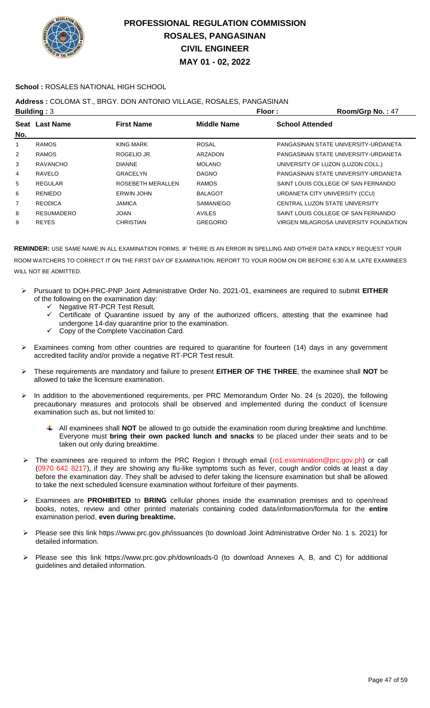

### **School :** ROSALES NATIONAL HIGH SCHOOL

## **Address :** COLOMA ST., BRGY. DON ANTONIO VILLAGE, ROSALES, PANGASINAN

|                | <b>Building: 3</b> |                   | Floor:          | Room/Grp No.: 47                       |
|----------------|--------------------|-------------------|-----------------|----------------------------------------|
|                | Seat Last Name     | <b>First Name</b> | Middle Name     | <b>School Attended</b>                 |
| No.            |                    |                   |                 |                                        |
| 1              | <b>RAMOS</b>       | <b>KING MARK</b>  | <b>ROSAL</b>    | PANGASINAN STATE UNIVERSITY-URDANETA   |
| $\overline{2}$ | <b>RAMOS</b>       | ROGELIO JR.       | ARZADON         | PANGASINAN STATE UNIVERSITY-URDANETA   |
| 3              | <b>RAVANCHO</b>    | <b>DIANNE</b>     | <b>MOLANO</b>   | UNIVERSITY OF LUZON (LUZON COLL.)      |
| 4              | RAVELO             | GRACELYN          | <b>DAGNO</b>    | PANGASINAN STATE UNIVERSITY-URDANETA   |
| 5              | <b>REGULAR</b>     | ROSEBETH MERALLEN | <b>RAMOS</b>    | SAINT LOUIS COLLEGE OF SAN FERNANDO    |
| 6              | <b>RENIEDO</b>     | <b>ERWIN JOHN</b> | <b>BALAGOT</b>  | URDANETA CITY UNIVERSITY (CCU)         |
| 7              | <b>REODICA</b>     | <b>JAMICA</b>     | SAMANIEGO       | CENTRAL LUZON STATE UNIVERSITY         |
| 8              | <b>RESUMADERO</b>  | <b>JOAN</b>       | <b>AVILES</b>   | SAINT LOUIS COLLEGE OF SAN FERNANDO    |
| 9              | <b>REYES</b>       | <b>CHRISTIAN</b>  | <b>GREGORIO</b> | VIRGEN MILAGROSA UNIVERSITY FOUNDATION |
|                |                    |                   |                 |                                        |

- Pursuant to DOH-PRC-PNP Joint Administrative Order No. 2021-01, examinees are required to submit **EITHER** of the following on the examination day:
	- ← Negative RT-PCR Test Result.<br>← Certificate of Quarantine issue
	- Certificate of Quarantine issued by any of the authorized officers, attesting that the examinee had undergone 14-day quarantine prior to the examination.
	- Copy of the Complete Vaccination Card.
- Examinees coming from other countries are required to quarantine for fourteen (14) days in any government accredited facility and/or provide a negative RT-PCR Test result.
- These requirements are mandatory and failure to present **EITHER OF THE THREE**, the examinee shall **NOT** be allowed to take the licensure examination.
- In addition to the abovementioned requirements, per PRC Memorandum Order No. 24 (s 2020), the following precautionary measures and protocols shall be observed and implemented during the conduct of licensure examination such as, but not limited to:
	- All examinees shall **NOT** be allowed to go outside the examination room during breaktime and lunchtime. Everyone must **bring their own packed lunch and snacks** to be placed under their seats and to be taken out only during breaktime.
- > The examinees are required to inform the PRC Region I through email (ro1.examination@prc.gov.ph) or call (0970 642 8217), if they are showing any flu-like symptoms such as fever, cough and/or colds at least a day before the examination day. They shall be advised to defer taking the licensure examination but shall be allowed to take the next scheduled licensure examination without forfeiture of their payments.
- Examinees are **PROHIBITED** to **BRING** cellular phones inside the examination premises and to open/read books, notes, review and other printed materials containing coded data/information/formula for the **entire** examination period, **even during breaktime.**
- Please see this link https://www.prc.gov.ph/issuances (to download Joint Administrative Order No. 1 s. 2021) for detailed information.
- Please see this link https://www.prc.gov.ph/downloads-0 (to download Annexes A, B, and C) for additional guidelines and detailed information.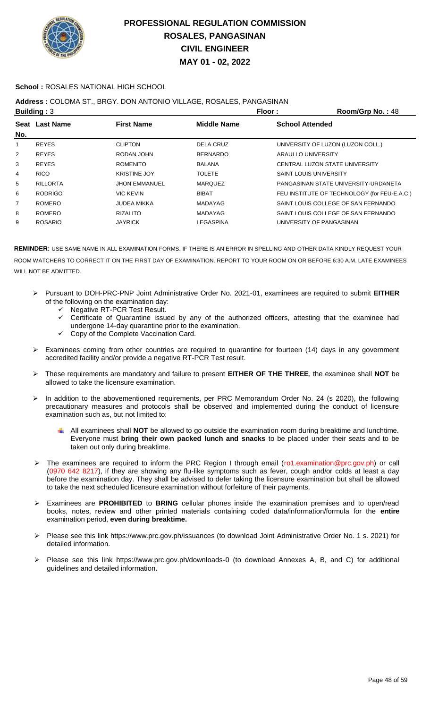

### **School :** ROSALES NATIONAL HIGH SCHOOL

### **Address :** COLOMA ST., BRGY. DON ANTONIO VILLAGE, ROSALES, PANGASINAN

|                | <b>Building: 3</b> |                      | Floor:             | Room/Grp No.: 48                             |
|----------------|--------------------|----------------------|--------------------|----------------------------------------------|
|                | Seat Last Name     | <b>First Name</b>    | <b>Middle Name</b> | <b>School Attended</b>                       |
| No.            |                    |                      |                    |                                              |
| 1              | <b>REYES</b>       | <b>CLIPTON</b>       | DELA CRUZ          | UNIVERSITY OF LUZON (LUZON COLL.)            |
| $\overline{2}$ | <b>REYES</b>       | RODAN JOHN           | <b>BERNARDO</b>    | ARAULLO UNIVERSITY                           |
| 3              | <b>REYES</b>       | <b>ROMENITO</b>      | <b>BALANA</b>      | CENTRAL LUZON STATE UNIVERSITY               |
| 4              | <b>RICO</b>        | <b>KRISTINE JOY</b>  | <b>TOLETE</b>      | <b>SAINT LOUIS UNIVERSITY</b>                |
| 5              | <b>RILLORTA</b>    | <b>JHON EMMANUEL</b> | <b>MARQUEZ</b>     | PANGASINAN STATE UNIVERSITY-URDANETA         |
| 6              | <b>RODRIGO</b>     | VIC KEVIN            | <b>BIBAT</b>       | FEU INSTITUTE OF TECHNOLOGY (for FEU-E.A.C.) |
| 7              | <b>ROMERO</b>      | <b>JUDEA MIKKA</b>   | <b>MADAYAG</b>     | SAINT LOUIS COLLEGE OF SAN FERNANDO          |
| 8              | <b>ROMERO</b>      | <b>RIZALITO</b>      | <b>MADAYAG</b>     | SAINT LOUIS COLLEGE OF SAN FERNANDO          |
| 9              | <b>ROSARIO</b>     | <b>JAYRICK</b>       | LEGASPINA          | UNIVERSITY OF PANGASINAN                     |
|                |                    |                      |                    |                                              |

- Pursuant to DOH-PRC-PNP Joint Administrative Order No. 2021-01, examinees are required to submit **EITHER** of the following on the examination day:
	- $\checkmark$  Negative RT-PCR Test Result.
	- $\checkmark$  Certificate of Quarantine issued by any of the authorized officers, attesting that the examinee had undergone 14-day quarantine prior to the examination.
	- $\checkmark$  Copy of the Complete Vaccination Card.
- $\triangleright$  Examinees coming from other countries are required to quarantine for fourteen (14) days in any government accredited facility and/or provide a negative RT-PCR Test result.
- These requirements are mandatory and failure to present **EITHER OF THE THREE**, the examinee shall **NOT** be allowed to take the licensure examination.
- $\triangleright$  In addition to the abovementioned requirements, per PRC Memorandum Order No. 24 (s 2020), the following precautionary measures and protocols shall be observed and implemented during the conduct of licensure examination such as, but not limited to:
	- All examinees shall **NOT** be allowed to go outside the examination room during breaktime and lunchtime. Everyone must **bring their own packed lunch and snacks** to be placed under their seats and to be taken out only during breaktime.
- The examinees are required to inform the PRC Region I through email (ro1.examination@prc.gov.ph) or call (0970 642 8217), if they are showing any flu-like symptoms such as fever, cough and/or colds at least a day before the examination day. They shall be advised to defer taking the licensure examination but shall be allowed to take the next scheduled licensure examination without forfeiture of their payments.
- Examinees are **PROHIBITED** to **BRING** cellular phones inside the examination premises and to open/read books, notes, review and other printed materials containing coded data/information/formula for the **entire** examination period, **even during breaktime.**
- Please see this link https://www.prc.gov.ph/issuances (to download Joint Administrative Order No. 1 s. 2021) for detailed information.
- Please see this link https://www.prc.gov.ph/downloads-0 (to download Annexes A, B, and C) for additional guidelines and detailed information.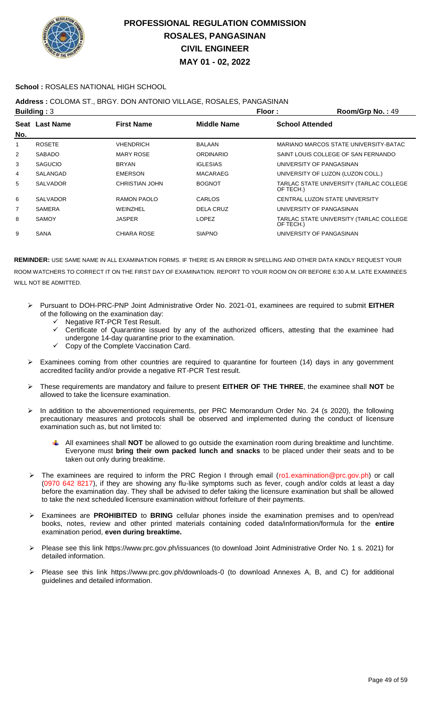

### **School :** ROSALES NATIONAL HIGH SCHOOL

### **Address :** COLOMA ST., BRGY. DON ANTONIO VILLAGE, ROSALES, PANGASINAN

|                | Building: $3$   |                       | Floor:             | Room/Grp No.: 49                                     |
|----------------|-----------------|-----------------------|--------------------|------------------------------------------------------|
| No.            | Seat Last Name  | <b>First Name</b>     | <b>Middle Name</b> | <b>School Attended</b>                               |
| 1              | <b>ROSETE</b>   | <b>VHENDRICH</b>      | <b>BALAAN</b>      | MARIANO MARCOS STATE UNIVERSITY-BATAC                |
| $\overline{2}$ | <b>SABADO</b>   | <b>MARY ROSE</b>      | <b>ORDINARIO</b>   | SAINT LOUIS COLLEGE OF SAN FERNANDO                  |
| 3              | <b>SAGUCIO</b>  | <b>BRYAN</b>          | <b>IGLESIAS</b>    | UNIVERSITY OF PANGASINAN                             |
| 4              | SALANGAD        | <b>EMERSON</b>        | MACARAEG           | UNIVERSITY OF LUZON (LUZON COLL.)                    |
| 5              | <b>SALVADOR</b> | <b>CHRISTIAN JOHN</b> | <b>BOGNOT</b>      | TARLAC STATE UNIVERSITY (TARLAC COLLEGE<br>OF TECH.) |
| 6              | <b>SALVADOR</b> | RAMON PAOLO           | CARLOS             | CENTRAL LUZON STATE UNIVERSITY                       |
| $\overline{7}$ | <b>SAMERA</b>   | WEINZHEL              | DELA CRUZ          | UNIVERSITY OF PANGASINAN                             |
| 8              | SAMOY           | JASPER                | <b>LOPEZ</b>       | TARLAC STATE UNIVERSITY (TARLAC COLLEGE<br>OF TECH.) |
| 9              | <b>SANA</b>     | <b>CHIARA ROSE</b>    | <b>SIAPNO</b>      | UNIVERSITY OF PANGASINAN                             |

- Pursuant to DOH-PRC-PNP Joint Administrative Order No. 2021-01, examinees are required to submit **EITHER** of the following on the examination day:
	- Negative RT-PCR Test Result.
	- $\checkmark$  Certificate of Quarantine issued by any of the authorized officers, attesting that the examinee had undergone 14-day quarantine prior to the examination.
	- $\checkmark$  Copy of the Complete Vaccination Card.
- Examinees coming from other countries are required to quarantine for fourteen (14) days in any government accredited facility and/or provide a negative RT-PCR Test result.
- These requirements are mandatory and failure to present **EITHER OF THE THREE**, the examinee shall **NOT** be allowed to take the licensure examination.
- In addition to the abovementioned requirements, per PRC Memorandum Order No. 24 (s 2020), the following precautionary measures and protocols shall be observed and implemented during the conduct of licensure examination such as, but not limited to:
	- All examinees shall **NOT** be allowed to go outside the examination room during breaktime and lunchtime. Everyone must **bring their own packed lunch and snacks** to be placed under their seats and to be taken out only during breaktime.
- The examinees are required to inform the PRC Region I through email (ro1.examination@prc.gov.ph) or call (0970 642 8217), if they are showing any flu-like symptoms such as fever, cough and/or colds at least a day before the examination day. They shall be advised to defer taking the licensure examination but shall be allowed to take the next scheduled licensure examination without forfeiture of their payments.
- Examinees are **PROHIBITED** to **BRING** cellular phones inside the examination premises and to open/read books, notes, review and other printed materials containing coded data/information/formula for the **entire** examination period, **even during breaktime.**
- Please see this link https://www.prc.gov.ph/issuances (to download Joint Administrative Order No. 1 s. 2021) for detailed information.
- Please see this link https://www.prc.gov.ph/downloads-0 (to download Annexes A, B, and C) for additional guidelines and detailed information.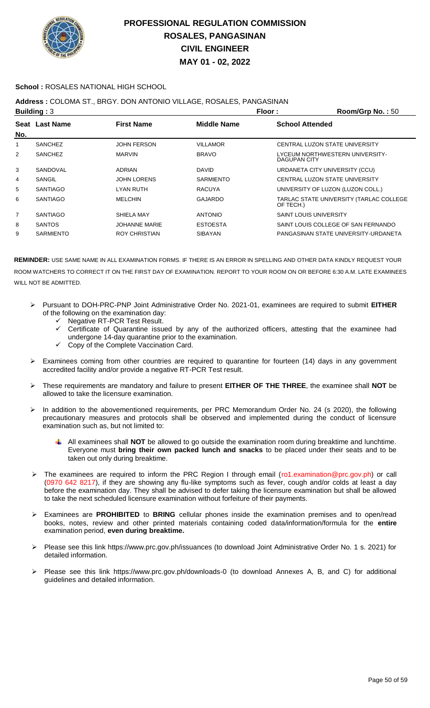

#### **School :** ROSALES NATIONAL HIGH SCHOOL

### **Address :** COLOMA ST., BRGY. DON ANTONIO VILLAGE, ROSALES, PANGASINAN

|     | <b>Building: 3</b> |                      | Floor:             | Room/Grp No.: 50                                     |
|-----|--------------------|----------------------|--------------------|------------------------------------------------------|
| No. | Seat Last Name     | <b>First Name</b>    | <b>Middle Name</b> | <b>School Attended</b>                               |
| 1   | <b>SANCHEZ</b>     | <b>JOHN FERSON</b>   | VILLAMOR           | CENTRAL LUZON STATE UNIVERSITY                       |
| 2   | <b>SANCHEZ</b>     | <b>MARVIN</b>        | <b>BRAVO</b>       | LYCEUM NORTHWESTERN UNIVERSITY-<br>DAGUPAN CITY      |
| 3   | SANDOVAL           | <b>ADRIAN</b>        | <b>DAVID</b>       | URDANETA CITY UNIVERSITY (CCU)                       |
| 4   | SANGIL             | <b>JOHN LORENS</b>   | <b>SARMIENTO</b>   | CENTRAL LUZON STATE UNIVERSITY                       |
| 5   | <b>SANTIAGO</b>    | LYAN RUTH            | <b>RACUYA</b>      | UNIVERSITY OF LUZON (LUZON COLL.)                    |
| 6   | <b>SANTIAGO</b>    | <b>MELCHIN</b>       | GAJARDO            | TARLAC STATE UNIVERSITY (TARLAC COLLEGE<br>OF TECH.) |
| 7   | <b>SANTIAGO</b>    | SHIELA MAY           | <b>ANTONIO</b>     | <b>SAINT LOUIS UNIVERSITY</b>                        |
| 8   | <b>SANTOS</b>      | <b>JOHANNE MARIE</b> | <b>ESTOESTA</b>    | SAINT LOUIS COLLEGE OF SAN FERNANDO                  |
| 9   | <b>SARMIENTO</b>   | ROY CHRISTIAN        | <b>SIBAYAN</b>     | PANGASINAN STATE UNIVERSITY-URDANETA                 |

- Pursuant to DOH-PRC-PNP Joint Administrative Order No. 2021-01, examinees are required to submit **EITHER** of the following on the examination day:
	- Negative RT-PCR Test Result.
	- Certificate of Quarantine issued by any of the authorized officers, attesting that the examinee had undergone 14-day quarantine prior to the examination.
	- Copy of the Complete Vaccination Card.
- $\triangleright$  Examinees coming from other countries are required to quarantine for fourteen (14) days in any government accredited facility and/or provide a negative RT-PCR Test result.
- These requirements are mandatory and failure to present **EITHER OF THE THREE**, the examinee shall **NOT** be allowed to take the licensure examination.
- In addition to the abovementioned requirements, per PRC Memorandum Order No. 24 (s 2020), the following precautionary measures and protocols shall be observed and implemented during the conduct of licensure examination such as, but not limited to:
	- All examinees shall **NOT** be allowed to go outside the examination room during breaktime and lunchtime. Everyone must **bring their own packed lunch and snacks** to be placed under their seats and to be taken out only during breaktime.
- > The examinees are required to inform the PRC Region I through email (ro1.examination@prc.gov.ph) or call (0970 642 8217), if they are showing any flu-like symptoms such as fever, cough and/or colds at least a day before the examination day. They shall be advised to defer taking the licensure examination but shall be allowed to take the next scheduled licensure examination without forfeiture of their payments.
- Examinees are **PROHIBITED** to **BRING** cellular phones inside the examination premises and to open/read books, notes, review and other printed materials containing coded data/information/formula for the **entire** examination period, **even during breaktime.**
- Please see this link https://www.prc.gov.ph/issuances (to download Joint Administrative Order No. 1 s. 2021) for detailed information.
- Please see this link https://www.prc.gov.ph/downloads-0 (to download Annexes A, B, and C) for additional guidelines and detailed information.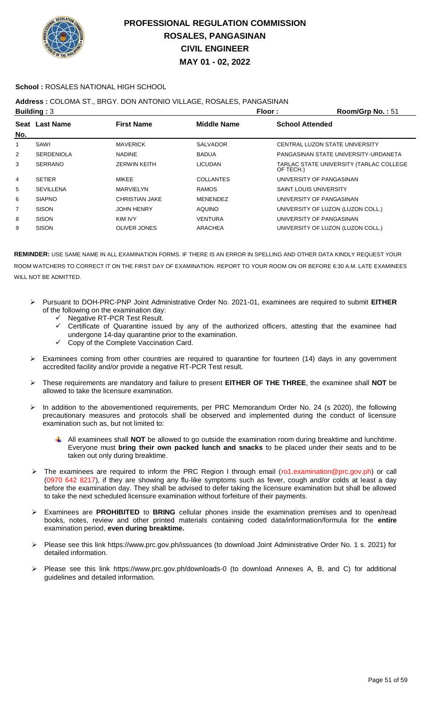

### **School :** ROSALES NATIONAL HIGH SCHOOL

## **Address :** COLOMA ST., BRGY. DON ANTONIO VILLAGE, ROSALES, PANGASINAN

|     | <b>Building: 3</b><br>Floor: |                       |                    |                               | Room/Grp No.: 51                        |
|-----|------------------------------|-----------------------|--------------------|-------------------------------|-----------------------------------------|
|     | Seat Last Name               | <b>First Name</b>     | <b>Middle Name</b> | <b>School Attended</b>        |                                         |
| No. |                              |                       |                    |                               |                                         |
| 1   | SAWI                         | <b>MAVERICK</b>       | <b>SALVADOR</b>    |                               | CENTRAL LUZON STATE UNIVERSITY          |
| 2   | <b>SERDENIOLA</b>            | <b>NADINE</b>         | <b>BADUA</b>       |                               | PANGASINAN STATE UNIVERSITY-URDANETA    |
| 3   | <b>SERRANO</b>               | <b>ZERWIN KEITH</b>   | <b>LICUDAN</b>     | OF TECH.)                     | TARLAC STATE UNIVERSITY (TARLAC COLLEGE |
| 4   | <b>SETIER</b>                | <b>MIKEE</b>          | <b>COLLANTES</b>   |                               | UNIVERSITY OF PANGASINAN                |
| 5   | <b>SEVILLENA</b>             | <b>MARVIELYN</b>      | <b>RAMOS</b>       | <b>SAINT LOUIS UNIVERSITY</b> |                                         |
| 6   | <b>SIAPNO</b>                | <b>CHRISTIAN JAKE</b> | <b>MENENDEZ</b>    |                               | UNIVERSITY OF PANGASINAN                |
| 7   | <b>SISON</b>                 | <b>JOHN HENRY</b>     | <b>AQUINO</b>      |                               | UNIVERSITY OF LUZON (LUZON COLL.)       |
| 8   | <b>SISON</b>                 | KIM IVY               | VENTURA            |                               | UNIVERSITY OF PANGASINAN                |
| 9   | <b>SISON</b>                 | <b>OLIVER JONES</b>   | <b>ARACHEA</b>     |                               | UNIVERSITY OF LUZON (LUZON COLL.)       |

- Pursuant to DOH-PRC-PNP Joint Administrative Order No. 2021-01, examinees are required to submit **EITHER** of the following on the examination day:
	- Negative RT-PCR Test Result.
	- Certificate of Quarantine issued by any of the authorized officers, attesting that the examinee had undergone 14-day quarantine prior to the examination.
	- $\checkmark$  Copy of the Complete Vaccination Card.
- $\triangleright$  Examinees coming from other countries are required to quarantine for fourteen (14) days in any government accredited facility and/or provide a negative RT-PCR Test result.
- These requirements are mandatory and failure to present **EITHER OF THE THREE**, the examinee shall **NOT** be allowed to take the licensure examination.
- > In addition to the abovementioned requirements, per PRC Memorandum Order No. 24 (s 2020), the following precautionary measures and protocols shall be observed and implemented during the conduct of licensure examination such as, but not limited to:
	- All examinees shall **NOT** be allowed to go outside the examination room during breaktime and lunchtime. Everyone must **bring their own packed lunch and snacks** to be placed under their seats and to be taken out only during breaktime.
- ▶ The examinees are required to inform the PRC Region I through email (ro1.examination@prc.gov.ph) or call (0970 642 8217), if they are showing any flu-like symptoms such as fever, cough and/or colds at least a day before the examination day. They shall be advised to defer taking the licensure examination but shall be allowed to take the next scheduled licensure examination without forfeiture of their payments.
- Examinees are **PROHIBITED** to **BRING** cellular phones inside the examination premises and to open/read books, notes, review and other printed materials containing coded data/information/formula for the **entire** examination period, **even during breaktime.**
- Please see this link https://www.prc.gov.ph/issuances (to download Joint Administrative Order No. 1 s. 2021) for detailed information.
- Please see this link https://www.prc.gov.ph/downloads-0 (to download Annexes A, B, and C) for additional guidelines and detailed information.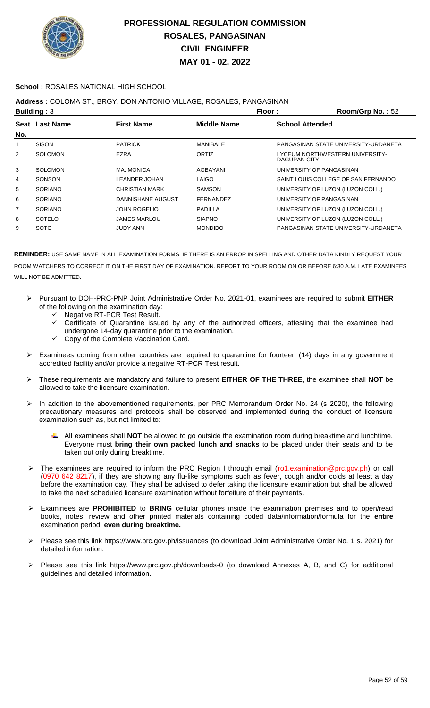

### **School :** ROSALES NATIONAL HIGH SCHOOL

## **Address :** COLOMA ST., BRGY. DON ANTONIO VILLAGE, ROSALES, PANGASINAN

|                | Building: $3$<br>Floor: |                       |                  |                        | Room/Grp No.: 52                     |
|----------------|-------------------------|-----------------------|------------------|------------------------|--------------------------------------|
|                | Seat Last Name          | <b>First Name</b>     | Middle Name      | <b>School Attended</b> |                                      |
| No.            |                         |                       |                  |                        |                                      |
| 1              | <b>SISON</b>            | <b>PATRICK</b>        | <b>MANIBALE</b>  |                        | PANGASINAN STATE UNIVERSITY-URDANETA |
| $\overline{2}$ | <b>SOLOMON</b>          | <b>EZRA</b>           | ORTIZ            | DAGUPAN CITY           | LYCEUM NORTHWESTERN UNIVERSITY-      |
| 3              | SOLOMON                 | MA. MONICA            | AGBAYANI         |                        | UNIVERSITY OF PANGASINAN             |
| 4              | SONSON                  | LEANDER JOHAN         | <b>LAIGO</b>     |                        | SAINT LOUIS COLLEGE OF SAN FERNANDO  |
| 5              | <b>SORIANO</b>          | <b>CHRISTIAN MARK</b> | <b>SAMSON</b>    |                        | UNIVERSITY OF LUZON (LUZON COLL.)    |
| 6              | <b>SORIANO</b>          | DANNISHANE AUGUST     | <b>FERNANDEZ</b> |                        | UNIVERSITY OF PANGASINAN             |
| $\overline{7}$ | <b>SORIANO</b>          | <b>JOHN ROGELIO</b>   | <b>PADILLA</b>   |                        | UNIVERSITY OF LUZON (LUZON COLL.)    |
| 8              | <b>SOTELO</b>           | <b>JAMES MARLOU</b>   | <b>SIAPNO</b>    |                        | UNIVERSITY OF LUZON (LUZON COLL.)    |
| 9              | <b>SOTO</b>             | <b>JUDY ANN</b>       | <b>MONDIDO</b>   |                        | PANGASINAN STATE UNIVERSITY-URDANETA |

- Pursuant to DOH-PRC-PNP Joint Administrative Order No. 2021-01, examinees are required to submit **EITHER** of the following on the examination day:
	- Negative RT-PCR Test Result.
	- $\checkmark$  Certificate of Quarantine issued by any of the authorized officers, attesting that the examinee had undergone 14-day quarantine prior to the examination.
	- Copy of the Complete Vaccination Card.
- Examinees coming from other countries are required to quarantine for fourteen (14) days in any government accredited facility and/or provide a negative RT-PCR Test result.
- These requirements are mandatory and failure to present **EITHER OF THE THREE**, the examinee shall **NOT** be allowed to take the licensure examination.
- In addition to the abovementioned requirements, per PRC Memorandum Order No. 24 (s 2020), the following precautionary measures and protocols shall be observed and implemented during the conduct of licensure examination such as, but not limited to:
	- All examinees shall **NOT** be allowed to go outside the examination room during breaktime and lunchtime. Everyone must **bring their own packed lunch and snacks** to be placed under their seats and to be taken out only during breaktime.
- The examinees are required to inform the PRC Region I through email (ro1.examination@prc.gov.ph) or call (0970 642 8217), if they are showing any flu-like symptoms such as fever, cough and/or colds at least a day before the examination day. They shall be advised to defer taking the licensure examination but shall be allowed to take the next scheduled licensure examination without forfeiture of their payments.
- Examinees are **PROHIBITED** to **BRING** cellular phones inside the examination premises and to open/read books, notes, review and other printed materials containing coded data/information/formula for the **entire** examination period, **even during breaktime.**
- Please see this link https://www.prc.gov.ph/issuances (to download Joint Administrative Order No. 1 s. 2021) for detailed information.
- Please see this link https://www.prc.gov.ph/downloads-0 (to download Annexes A, B, and C) for additional guidelines and detailed information.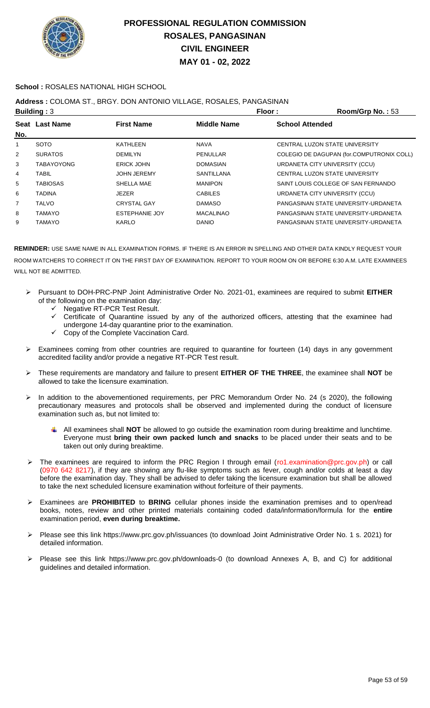

### **School :** ROSALES NATIONAL HIGH SCHOOL

### **Address :** COLOMA ST., BRGY. DON ANTONIO VILLAGE, ROSALES, PANGASINAN

|     | Building: $3$     |                       | Floor:            | Room/Grp No.: 53                          |
|-----|-------------------|-----------------------|-------------------|-------------------------------------------|
|     | Seat Last Name    | <b>First Name</b>     | Middle Name       | <b>School Attended</b>                    |
| No. |                   |                       |                   |                                           |
| 1   | <b>SOTO</b>       | KATHLEEN              | <b>NAVA</b>       | CENTRAL LUZON STATE UNIVERSITY            |
| 2   | <b>SURATOS</b>    | <b>DEMILYN</b>        | PENULLAR          | COLEGIO DE DAGUPAN (for.COMPUTRONIX COLL) |
| 3   | <b>TABAYOYONG</b> | ERICK JOHN            | <b>DOMASIAN</b>   | URDANETA CITY UNIVERSITY (CCU)            |
| 4   | TABIL             | <b>JOHN JEREMY</b>    | <b>SANTILLANA</b> | CENTRAL LUZON STATE UNIVERSITY            |
| 5   | <b>TABIOSAS</b>   | SHELLA MAE            | <b>MANIPON</b>    | SAINT LOUIS COLLEGE OF SAN FERNANDO       |
| 6   | TADINA            | JEZER                 | <b>CABILES</b>    | URDANETA CITY UNIVERSITY (CCU)            |
| 7   | <b>TALVO</b>      | <b>CRYSTAL GAY</b>    | <b>DAMASO</b>     | PANGASINAN STATE UNIVERSITY-URDANETA      |
| 8   | <b>TAMAYO</b>     | <b>ESTEPHANIE JOY</b> | <b>MACALINAO</b>  | PANGASINAN STATE UNIVERSITY-URDANETA      |
| 9   | <b>TAMAYO</b>     | KARLO                 | <b>DANIO</b>      | PANGASINAN STATE UNIVERSITY-URDANETA      |
|     |                   |                       |                   |                                           |

- Pursuant to DOH-PRC-PNP Joint Administrative Order No. 2021-01, examinees are required to submit **EITHER** of the following on the examination day:
	- G Negative RT-PCR Test Result.<br>G Certificate of Quarantine issue
	- Certificate of Quarantine issued by any of the authorized officers, attesting that the examinee had undergone 14-day quarantine prior to the examination.
	- Copy of the Complete Vaccination Card.
- $\triangleright$  Examinees coming from other countries are required to quarantine for fourteen (14) days in any government accredited facility and/or provide a negative RT-PCR Test result.
- These requirements are mandatory and failure to present **EITHER OF THE THREE**, the examinee shall **NOT** be allowed to take the licensure examination.
- > In addition to the abovementioned requirements, per PRC Memorandum Order No. 24 (s 2020), the following precautionary measures and protocols shall be observed and implemented during the conduct of licensure examination such as, but not limited to:
	- All examinees shall **NOT** be allowed to go outside the examination room during breaktime and lunchtime. Everyone must **bring their own packed lunch and snacks** to be placed under their seats and to be taken out only during breaktime.
- The examinees are required to inform the PRC Region I through email (ro1.examination@prc.gov.ph) or call (0970 642 8217), if they are showing any flu-like symptoms such as fever, cough and/or colds at least a day before the examination day. They shall be advised to defer taking the licensure examination but shall be allowed to take the next scheduled licensure examination without forfeiture of their payments.
- Examinees are **PROHIBITED** to **BRING** cellular phones inside the examination premises and to open/read books, notes, review and other printed materials containing coded data/information/formula for the **entire** examination period, **even during breaktime.**
- Please see this link https://www.prc.gov.ph/issuances (to download Joint Administrative Order No. 1 s. 2021) for detailed information.
- Please see this link https://www.prc.gov.ph/downloads-0 (to download Annexes A, B, and C) for additional guidelines and detailed information.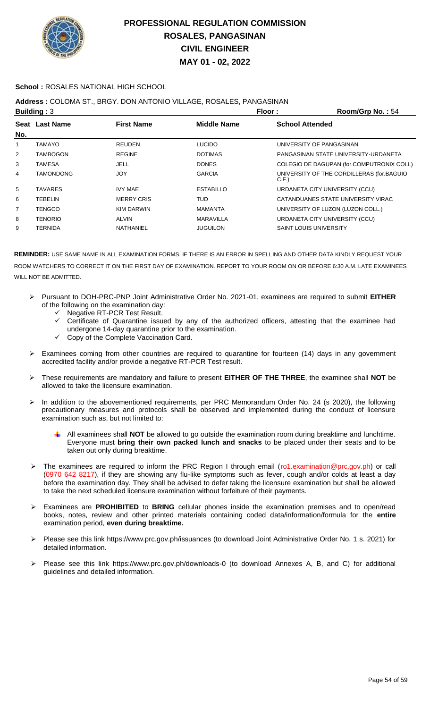

### **School :** ROSALES NATIONAL HIGH SCHOOL

## **Address :** COLOMA ST., BRGY. DON ANTONIO VILLAGE, ROSALES, PANGASINAN

|                | <b>Building: 3</b> |                   |                    | Floor:                        | Room/Grp No.: 54                          |
|----------------|--------------------|-------------------|--------------------|-------------------------------|-------------------------------------------|
|                | Seat Last Name     | <b>First Name</b> | <b>Middle Name</b> | <b>School Attended</b>        |                                           |
| No.            |                    |                   |                    |                               |                                           |
| 1              | TAMAYO             | <b>REUDEN</b>     | <b>LUCIDO</b>      |                               | UNIVERSITY OF PANGASINAN                  |
| $\overline{2}$ | TAMBOGON           | <b>REGINE</b>     | <b>DOTIMAS</b>     |                               | PANGASINAN STATE UNIVERSITY-URDANETA      |
| 3              | TAMESA             | JELL              | <b>DONES</b>       |                               | COLEGIO DE DAGUPAN (for.COMPUTRONIX COLL) |
| 4              | TAMONDONG          | <b>JOY</b>        | <b>GARCIA</b>      | C.F.                          | UNIVERSITY OF THE CORDILLERAS (for BAGUIO |
| 5              | <b>TAVARES</b>     | <b>IVY MAE</b>    | <b>ESTABILLO</b>   |                               | URDANETA CITY UNIVERSITY (CCU)            |
| 6              | TEBELIN            | <b>MERRY CRIS</b> | <b>TUD</b>         |                               | CATANDUANES STATE UNIVERSITY VIRAC        |
| 7              | <b>TENGCO</b>      | KIM DARWIN        | <b>MAMANTA</b>     |                               | UNIVERSITY OF LUZON (LUZON COLL.)         |
| 8              | <b>TENORIO</b>     | <b>ALVIN</b>      | <b>MARAVILLA</b>   |                               | URDANETA CITY UNIVERSITY (CCU)            |
| 9              | TERNIDA            | <b>NATHANIEL</b>  | <b>JUGUILON</b>    | <b>SAINT LOUIS UNIVERSITY</b> |                                           |

- Pursuant to DOH-PRC-PNP Joint Administrative Order No. 2021-01, examinees are required to submit **EITHER** of the following on the examination day:
	- Negative RT-PCR Test Result.
	- Certificate of Quarantine issued by any of the authorized officers, attesting that the examinee had undergone 14-day quarantine prior to the examination.
	- Copy of the Complete Vaccination Card.
- Examinees coming from other countries are required to quarantine for fourteen (14) days in any government accredited facility and/or provide a negative RT-PCR Test result.
- These requirements are mandatory and failure to present **EITHER OF THE THREE**, the examinee shall **NOT** be allowed to take the licensure examination.
- > In addition to the abovementioned requirements, per PRC Memorandum Order No. 24 (s 2020), the following precautionary measures and protocols shall be observed and implemented during the conduct of licensure examination such as, but not limited to:
	- All examinees shall **NOT** be allowed to go outside the examination room during breaktime and lunchtime. ₩ Everyone must **bring their own packed lunch and snacks** to be placed under their seats and to be taken out only during breaktime.
- ▶ The examinees are required to inform the PRC Region I through email (ro1.examination@prc.gov.ph) or call (0970 642 8217), if they are showing any flu-like symptoms such as fever, cough and/or colds at least a day before the examination day. They shall be advised to defer taking the licensure examination but shall be allowed to take the next scheduled licensure examination without forfeiture of their payments.
- Examinees are **PROHIBITED** to **BRING** cellular phones inside the examination premises and to open/read books, notes, review and other printed materials containing coded data/information/formula for the **entire** examination period, **even during breaktime.**
- Please see this link https://www.prc.gov.ph/issuances (to download Joint Administrative Order No. 1 s. 2021) for detailed information.
- Please see this link https://www.prc.gov.ph/downloads-0 (to download Annexes A, B, and C) for additional guidelines and detailed information.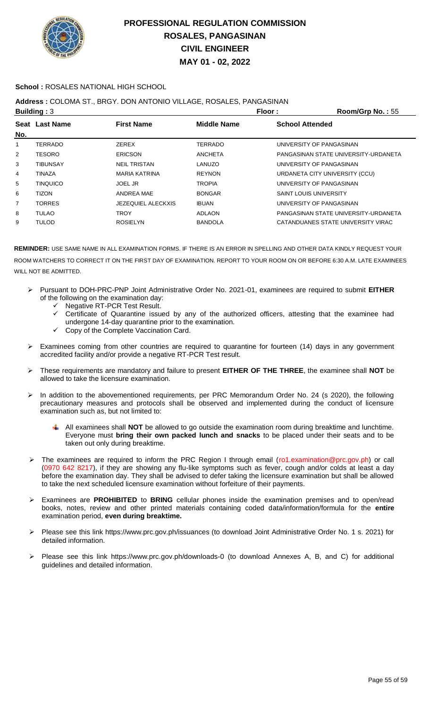

### **School :** ROSALES NATIONAL HIGH SCHOOL

### **Address :** COLOMA ST., BRGY. DON ANTONIO VILLAGE, ROSALES, PANGASINAN

|     | Building: $3$   |                           | Floor:         | Room/Grp No.: 55                     |
|-----|-----------------|---------------------------|----------------|--------------------------------------|
|     | Seat Last Name  | <b>First Name</b>         | Middle Name    | <b>School Attended</b>               |
| No. |                 |                           |                |                                      |
| 1   | <b>TERRADO</b>  | ZEREX                     | <b>TERRADO</b> | UNIVERSITY OF PANGASINAN             |
| 2   | <b>TESORO</b>   | <b>ERICSON</b>            | <b>ANCHETA</b> | PANGASINAN STATE UNIVERSITY-URDANETA |
| 3   | <b>TIBUNSAY</b> | <b>NEIL TRISTAN</b>       | LANUZO         | UNIVERSITY OF PANGASINAN             |
| 4   | TINAZA          | <b>MARIA KATRINA</b>      | <b>REYNON</b>  | URDANETA CITY UNIVERSITY (CCU)       |
| 5   | <b>TINQUICO</b> | <b>JOEL JR</b>            | <b>TROPIA</b>  | UNIVERSITY OF PANGASINAN             |
| 6   | <b>TIZON</b>    | ANDREA MAE                | <b>BONGAR</b>  | <b>SAINT LOUIS UNIVERSITY</b>        |
| 7   | <b>TORRES</b>   | <b>JEZEQUIEL ALECKXIS</b> | <b>IBUAN</b>   | UNIVERSITY OF PANGASINAN             |
| 8   | <b>TULAO</b>    | <b>TROY</b>               | <b>ADLAON</b>  | PANGASINAN STATE UNIVERSITY-URDANETA |
| 9   | <b>TULOD</b>    | <b>ROSIELYN</b>           | <b>BANDOLA</b> | CATANDUANES STATE UNIVERSITY VIRAC   |
|     |                 |                           |                |                                      |

- Pursuant to DOH-PRC-PNP Joint Administrative Order No. 2021-01, examinees are required to submit **EITHER** of the following on the examination day:
	- V Negative RT-PCR Test Result.<br>V Certificate of Quarantine issue
	- Certificate of Quarantine issued by any of the authorized officers, attesting that the examinee had undergone 14-day quarantine prior to the examination.
	- Copy of the Complete Vaccination Card.
- Examinees coming from other countries are required to quarantine for fourteen (14) days in any government accredited facility and/or provide a negative RT-PCR Test result.
- These requirements are mandatory and failure to present **EITHER OF THE THREE**, the examinee shall **NOT** be allowed to take the licensure examination.
- In addition to the abovementioned requirements, per PRC Memorandum Order No. 24 (s 2020), the following precautionary measures and protocols shall be observed and implemented during the conduct of licensure examination such as, but not limited to:
	- All examinees shall **NOT** be allowed to go outside the examination room during breaktime and lunchtime. Everyone must **bring their own packed lunch and snacks** to be placed under their seats and to be taken out only during breaktime.
- The examinees are required to inform the PRC Region I through email (ro1.examination@prc.gov.ph) or call (0970 642 8217), if they are showing any flu-like symptoms such as fever, cough and/or colds at least a day before the examination day. They shall be advised to defer taking the licensure examination but shall be allowed to take the next scheduled licensure examination without forfeiture of their payments.
- Examinees are **PROHIBITED** to **BRING** cellular phones inside the examination premises and to open/read books, notes, review and other printed materials containing coded data/information/formula for the **entire** examination period, **even during breaktime.**
- Please see this link https://www.prc.gov.ph/issuances (to download Joint Administrative Order No. 1 s. 2021) for detailed information.
- Please see this link https://www.prc.gov.ph/downloads-0 (to download Annexes A, B, and C) for additional guidelines and detailed information.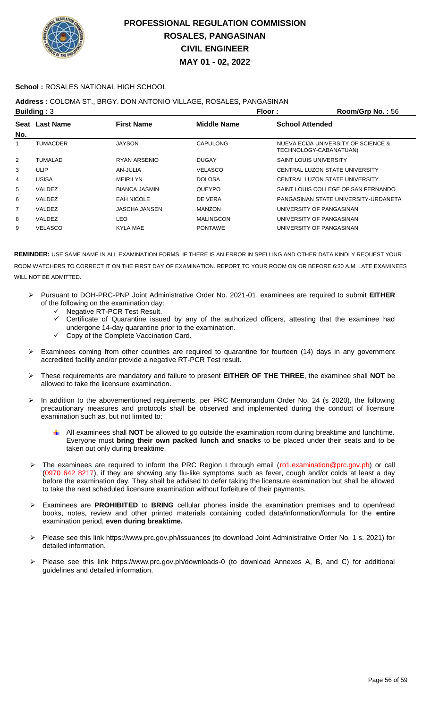

### **School :** ROSALES NATIONAL HIGH SCHOOL

### **Address :** COLOMA ST., BRGY. DON ANTONIO VILLAGE, ROSALES, PANGASINAN

|     | Building: $3$   |                      | Floor:           | Room/Grp No.: 56                                              |
|-----|-----------------|----------------------|------------------|---------------------------------------------------------------|
|     | Seat Last Name  | <b>First Name</b>    | Middle Name      | <b>School Attended</b>                                        |
| No. |                 |                      |                  |                                                               |
| 1   | <b>TUMACDER</b> | <b>JAYSON</b>        | CAPULONG         | NUEVA ECIJA UNIVERSITY OF SCIENCE &<br>TECHNOLOGY-CABANATUAN) |
| 2   | <b>TUMALAD</b>  | RYAN ARSENIO         | <b>DUGAY</b>     | <b>SAINT LOUIS UNIVERSITY</b>                                 |
| 3   | ULIP            | AN-JULIA             | <b>VELASCO</b>   | CENTRAL LUZON STATE UNIVERSITY                                |
| 4   | USISA           | <b>MEIRILYN</b>      | <b>DOLOSA</b>    | CENTRAL LUZON STATE UNIVERSITY                                |
| 5   | VALDEZ          | <b>BIANCA JASMIN</b> | <b>QUEYPO</b>    | SAINT LOUIS COLLEGE OF SAN FERNANDO                           |
| 6   | VALDEZ          | <b>EAH NICOLE</b>    | DE VERA          | PANGASINAN STATE UNIVERSITY-URDANETA                          |
| 7   | VALDEZ          | <b>JASCHA JANSEN</b> | <b>MANZON</b>    | UNIVERSITY OF PANGASINAN                                      |
| 8   | VALDEZ          | LEO.                 | <b>MALINGCON</b> | UNIVERSITY OF PANGASINAN                                      |
| 9   | <b>VELASCO</b>  | <b>KYLA MAE</b>      | <b>PONTAWE</b>   | UNIVERSITY OF PANGASINAN                                      |
|     |                 |                      |                  |                                                               |

- Pursuant to DOH-PRC-PNP Joint Administrative Order No. 2021-01, examinees are required to submit **EITHER** of the following on the examination day:
	- Negative RT-PCR Test Result.
	- Certificate of Quarantine issued by any of the authorized officers, attesting that the examinee had undergone 14-day quarantine prior to the examination.
	- Copy of the Complete Vaccination Card.
- Examinees coming from other countries are required to quarantine for fourteen (14) days in any government accredited facility and/or provide a negative RT-PCR Test result.
- These requirements are mandatory and failure to present **EITHER OF THE THREE**, the examinee shall **NOT** be allowed to take the licensure examination.
- In addition to the abovementioned requirements, per PRC Memorandum Order No. 24 (s 2020), the following precautionary measures and protocols shall be observed and implemented during the conduct of licensure examination such as, but not limited to:
	- All examinees shall **NOT** be allowed to go outside the examination room during breaktime and lunchtime. Everyone must **bring their own packed lunch and snacks** to be placed under their seats and to be taken out only during breaktime.
- The examinees are required to inform the PRC Region I through email (ro1.examination@prc.gov.ph) or call (0970 642 8217), if they are showing any flu-like symptoms such as fever, cough and/or colds at least a day before the examination day. They shall be advised to defer taking the licensure examination but shall be allowed to take the next scheduled licensure examination without forfeiture of their payments.
- Examinees are **PROHIBITED** to **BRING** cellular phones inside the examination premises and to open/read books, notes, review and other printed materials containing coded data/information/formula for the **entire** examination period, **even during breaktime.**
- Please see this link https://www.prc.gov.ph/issuances (to download Joint Administrative Order No. 1 s. 2021) for detailed information.
- Please see this link https://www.prc.gov.ph/downloads-0 (to download Annexes A, B, and C) for additional guidelines and detailed information.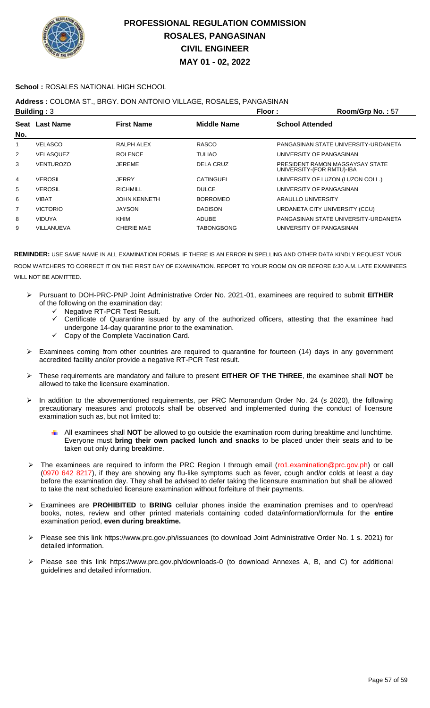

### **School :** ROSALES NATIONAL HIGH SCHOOL

## **Address :** COLOMA ST., BRGY. DON ANTONIO VILLAGE, ROSALES, PANGASINAN

|                | Building: $3$    |                     | Floor:            | Room/Grp No.: 57                                             |
|----------------|------------------|---------------------|-------------------|--------------------------------------------------------------|
|                | Seat Last Name   | <b>First Name</b>   | Middle Name       | <b>School Attended</b>                                       |
| No.            |                  |                     |                   |                                                              |
|                | <b>VELASCO</b>   | RALPH ALEX          | <b>RASCO</b>      | PANGASINAN STATE UNIVERSITY-URDANETA                         |
| $\overline{2}$ | VELASQUEZ        | <b>ROLENCE</b>      | <b>TULIAO</b>     | UNIVERSITY OF PANGASINAN                                     |
| 3              | <b>VENTUROZO</b> | <b>JEREME</b>       | DELA CRUZ         | PRESIDENT RAMON MAGSAYSAY STATE<br>UNIVERSITY-(FOR RMTU)-IBA |
| 4              | <b>VEROSIL</b>   | <b>JERRY</b>        | <b>CATINGUEL</b>  | UNIVERSITY OF LUZON (LUZON COLL.)                            |
| 5              | <b>VEROSIL</b>   | <b>RICHMILL</b>     | <b>DULCE</b>      | UNIVERSITY OF PANGASINAN                                     |
| 6              | <b>VIBAT</b>     | <b>JOHN KENNETH</b> | <b>BORROMEO</b>   | ARAULLO UNIVERSITY                                           |
| 7              | <b>VICTORIO</b>  | <b>JAYSON</b>       | <b>DADISON</b>    | URDANETA CITY UNIVERSITY (CCU)                               |
| 8              | <b>VIDUYA</b>    | KHIM                | <b>ADUBE</b>      | PANGASINAN STATE UNIVERSITY-URDANETA                         |
| 9              | VILLANUEVA       | <b>CHERIE MAE</b>   | <b>TABONGBONG</b> | UNIVERSITY OF PANGASINAN                                     |
|                |                  |                     |                   |                                                              |

- Pursuant to DOH-PRC-PNP Joint Administrative Order No. 2021-01, examinees are required to submit **EITHER** of the following on the examination day:
	- Negative RT-PCR Test Result.
	- Certificate of Quarantine issued by any of the authorized officers, attesting that the examinee had undergone 14-day quarantine prior to the examination.
	- Copy of the Complete Vaccination Card.
- Examinees coming from other countries are required to quarantine for fourteen (14) days in any government accredited facility and/or provide a negative RT-PCR Test result.
- These requirements are mandatory and failure to present **EITHER OF THE THREE**, the examinee shall **NOT** be allowed to take the licensure examination.
- In addition to the abovementioned requirements, per PRC Memorandum Order No. 24 (s 2020), the following precautionary measures and protocols shall be observed and implemented during the conduct of licensure examination such as, but not limited to:
	- All examinees shall **NOT** be allowed to go outside the examination room during breaktime and lunchtime. Everyone must **bring their own packed lunch and snacks** to be placed under their seats and to be taken out only during breaktime.
- The examinees are required to inform the PRC Region I through email (ro1.examination@prc.gov.ph) or call (0970 642 8217), if they are showing any flu-like symptoms such as fever, cough and/or colds at least a day before the examination day. They shall be advised to defer taking the licensure examination but shall be allowed to take the next scheduled licensure examination without forfeiture of their payments.
- Examinees are **PROHIBITED** to **BRING** cellular phones inside the examination premises and to open/read books, notes, review and other printed materials containing coded data/information/formula for the **entire** examination period, **even during breaktime.**
- Please see this link https://www.prc.gov.ph/issuances (to download Joint Administrative Order No. 1 s. 2021) for detailed information.
- Please see this link https://www.prc.gov.ph/downloads-0 (to download Annexes A, B, and C) for additional guidelines and detailed information.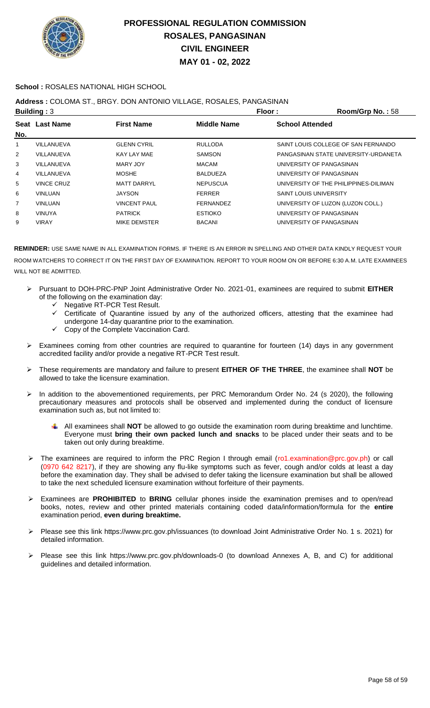

### **School :** ROSALES NATIONAL HIGH SCHOOL

## **Address :** COLOMA ST., BRGY. DON ANTONIO VILLAGE, ROSALES, PANGASINAN

|     | Building: $3$     |                     | Floor:             | Room/Grp No.: 58                      |
|-----|-------------------|---------------------|--------------------|---------------------------------------|
|     | Seat Last Name    | <b>First Name</b>   | <b>Middle Name</b> | <b>School Attended</b>                |
| No. |                   |                     |                    |                                       |
| 1   | VILLANUEVA        | <b>GLENN CYRIL</b>  | <b>RULLODA</b>     | SAINT LOUIS COLLEGE OF SAN FERNANDO   |
| 2   | VILLANUEVA        | KAY LAY MAE         | <b>SAMSON</b>      | PANGASINAN STATE UNIVERSITY-URDANETA  |
| 3   | VILLANUEVA        | MARY JOY            | <b>MACAM</b>       | UNIVERSITY OF PANGASINAN              |
| 4   | VILLANUEVA        | <b>MOSHE</b>        | <b>BALDUEZA</b>    | UNIVERSITY OF PANGASINAN              |
| 5   | <b>VINCE CRUZ</b> | <b>MATT DARRYL</b>  | <b>NEPUSCUA</b>    | UNIVERSITY OF THE PHILIPPINES-DILIMAN |
| 6   | <b>VINLUAN</b>    | <b>JAYSON</b>       | <b>FERRER</b>      | <b>SAINT LOUIS UNIVERSITY</b>         |
| 7   | <b>VINLUAN</b>    | <b>VINCENT PAUL</b> | <b>FERNANDEZ</b>   | UNIVERSITY OF LUZON (LUZON COLL.)     |
| 8   | <b>VINUYA</b>     | <b>PATRICK</b>      | <b>ESTIOKO</b>     | UNIVERSITY OF PANGASINAN              |
| 9   | <b>VIRAY</b>      | MIKE DEMSTER        | <b>BACANI</b>      | UNIVERSITY OF PANGASINAN              |
|     |                   |                     |                    |                                       |

- Pursuant to DOH-PRC-PNP Joint Administrative Order No. 2021-01, examinees are required to submit **EITHER** of the following on the examination day:
	- Negative RT-PCR Test Result.
	- $\checkmark$  Certificate of Quarantine issued by any of the authorized officers, attesting that the examinee had undergone 14-day quarantine prior to the examination.
	- $\checkmark$  Copy of the Complete Vaccination Card.
- > Examinees coming from other countries are required to quarantine for fourteen (14) days in any government accredited facility and/or provide a negative RT-PCR Test result.
- These requirements are mandatory and failure to present **EITHER OF THE THREE**, the examinee shall **NOT** be allowed to take the licensure examination.
- In addition to the abovementioned requirements, per PRC Memorandum Order No. 24 (s 2020), the following precautionary measures and protocols shall be observed and implemented during the conduct of licensure examination such as, but not limited to:
	- All examinees shall **NOT** be allowed to go outside the examination room during breaktime and lunchtime. Everyone must **bring their own packed lunch and snacks** to be placed under their seats and to be taken out only during breaktime.
- The examinees are required to inform the PRC Region I through email (ro1.examination@prc.gov.ph) or call (0970 642 8217), if they are showing any flu-like symptoms such as fever, cough and/or colds at least a day before the examination day. They shall be advised to defer taking the licensure examination but shall be allowed to take the next scheduled licensure examination without forfeiture of their payments.
- Examinees are **PROHIBITED** to **BRING** cellular phones inside the examination premises and to open/read books, notes, review and other printed materials containing coded data/information/formula for the **entire** examination period, **even during breaktime.**
- Please see this link https://www.prc.gov.ph/issuances (to download Joint Administrative Order No. 1 s. 2021) for detailed information.
- Please see this link https://www.prc.gov.ph/downloads-0 (to download Annexes A, B, and C) for additional guidelines and detailed information.